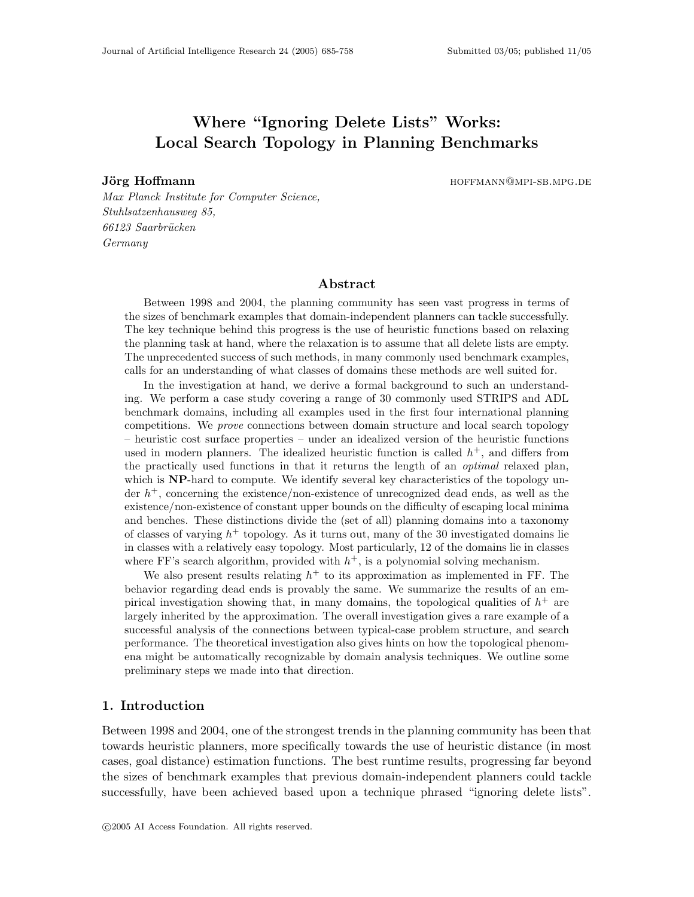# Where "Ignoring Delete Lists" Works: Local Search Topology in Planning Benchmarks

Jörg Hoffmann hoffmann hoffmann hoffmann hoffmann hoffmann hoffmann hoffmann hoffmann hoffmann hoffmann hoffmann hoffmann hoffmann hoffmann hoffmann hoffmann hoffmann hoffmann hoffmann hoffmann hoffmann hoffmann hoffmann h

Max Planck Institute for Computer Science, Stuhlsatzenhausweg 85, 66123 Saarbrücken Germany

### Abstract

Between 1998 and 2004, the planning community has seen vast progress in terms of the sizes of benchmark examples that domain-independent planners can tackle successfully. The key technique behind this progress is the use of heuristic functions based on relaxing the planning task at hand, where the relaxation is to assume that all delete lists are empty. The unprecedented success of such methods, in many commonly used benchmark examples, calls for an understanding of what classes of domains these methods are well suited for.

In the investigation at hand, we derive a formal background to such an understanding. We perform a case study covering a range of 30 commonly used STRIPS and ADL benchmark domains, including all examples used in the first four international planning competitions. We prove connections between domain structure and local search topology – heuristic cost surface properties – under an idealized version of the heuristic functions used in modern planners. The idealized heuristic function is called  $h^+$ , and differs from the practically used functions in that it returns the length of an optimal relaxed plan, which is NP-hard to compute. We identify several key characteristics of the topology under  $h^+$ , concerning the existence/non-existence of unrecognized dead ends, as well as the existence/non-existence of constant upper bounds on the difficulty of escaping local minima and benches. These distinctions divide the (set of all) planning domains into a taxonomy of classes of varying  $h^+$  topology. As it turns out, many of the 30 investigated domains lie in classes with a relatively easy topology. Most particularly, 12 of the domains lie in classes where FF's search algorithm, provided with  $h^+$ , is a polynomial solving mechanism.

We also present results relating  $h^+$  to its approximation as implemented in FF. The behavior regarding dead ends is provably the same. We summarize the results of an empirical investigation showing that, in many domains, the topological qualities of  $h^+$  are largely inherited by the approximation. The overall investigation gives a rare example of a successful analysis of the connections between typical-case problem structure, and search performance. The theoretical investigation also gives hints on how the topological phenomena might be automatically recognizable by domain analysis techniques. We outline some preliminary steps we made into that direction.

# 1. Introduction

Between 1998 and 2004, one of the strongest trends in the planning community has been that towards heuristic planners, more specifically towards the use of heuristic distance (in most cases, goal distance) estimation functions. The best runtime results, progressing far beyond the sizes of benchmark examples that previous domain-independent planners could tackle successfully, have been achieved based upon a technique phrased "ignoring delete lists".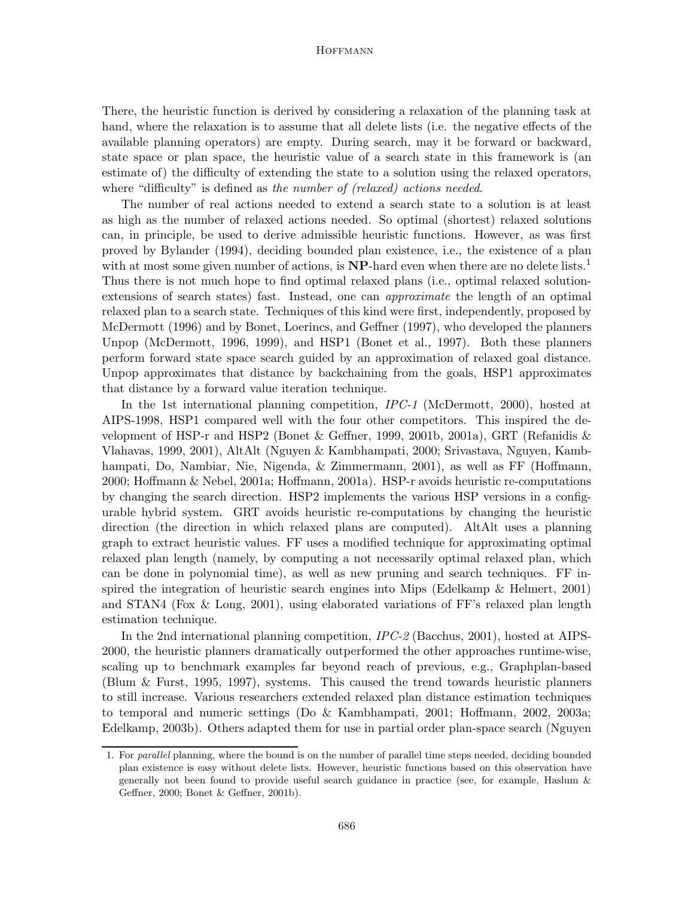There, the heuristic function is derived by considering a relaxation of the planning task at hand, where the relaxation is to assume that all delete lists (i.e. the negative effects of the available planning operators) are empty. During search, may it be forward or backward, state space or plan space, the heuristic value of a search state in this framework is (an estimate of) the difficulty of extending the state to a solution using the relaxed operators, where "difficulty" is defined as the number of (relaxed) actions needed.

The number of real actions needed to extend a search state to a solution is at least as high as the number of relaxed actions needed. So optimal (shortest) relaxed solutions can, in principle, be used to derive admissible heuristic functions. However, as was first proved by Bylander (1994), deciding bounded plan existence, i.e., the existence of a plan with at most some given number of actions, is  $NP$ -hard even when there are no delete lists.<sup>1</sup> Thus there is not much hope to find optimal relaxed plans (i.e., optimal relaxed solutionextensions of search states) fast. Instead, one can *approximate* the length of an optimal relaxed plan to a search state. Techniques of this kind were first, independently, proposed by McDermott (1996) and by Bonet, Loerincs, and Geffner (1997), who developed the planners Unpop (McDermott, 1996, 1999), and HSP1 (Bonet et al., 1997). Both these planners perform forward state space search guided by an approximation of relaxed goal distance. Unpop approximates that distance by backchaining from the goals, HSP1 approximates that distance by a forward value iteration technique.

In the 1st international planning competition, IPC-1 (McDermott, 2000), hosted at AIPS-1998, HSP1 compared well with the four other competitors. This inspired the development of HSP-r and HSP2 (Bonet  $\&$  Geffner, 1999, 2001b, 2001a), GRT (Refanidis  $\&$ Vlahavas, 1999, 2001), AltAlt (Nguyen & Kambhampati, 2000; Srivastava, Nguyen, Kambhampati, Do, Nambiar, Nie, Nigenda, & Zimmermann, 2001), as well as FF (Hoffmann, 2000; Hoffmann & Nebel, 2001a; Hoffmann, 2001a). HSP-r avoids heuristic re-computations by changing the search direction. HSP2 implements the various HSP versions in a configurable hybrid system. GRT avoids heuristic re-computations by changing the heuristic direction (the direction in which relaxed plans are computed). AltAlt uses a planning graph to extract heuristic values. FF uses a modified technique for approximating optimal relaxed plan length (namely, by computing a not necessarily optimal relaxed plan, which can be done in polynomial time), as well as new pruning and search techniques. FF inspired the integration of heuristic search engines into Mips (Edelkamp & Helmert, 2001) and STAN4 (Fox & Long, 2001), using elaborated variations of FF's relaxed plan length estimation technique.

In the 2nd international planning competition, IPC-2 (Bacchus, 2001), hosted at AIPS-2000, the heuristic planners dramatically outperformed the other approaches runtime-wise, scaling up to benchmark examples far beyond reach of previous, e.g., Graphplan-based (Blum & Furst, 1995, 1997), systems. This caused the trend towards heuristic planners to still increase. Various researchers extended relaxed plan distance estimation techniques to temporal and numeric settings (Do & Kambhampati, 2001; Hoffmann, 2002, 2003a; Edelkamp, 2003b). Others adapted them for use in partial order plan-space search (Nguyen

<sup>1.</sup> For parallel planning, where the bound is on the number of parallel time steps needed, deciding bounded plan existence is easy without delete lists. However, heuristic functions based on this observation have generally not been found to provide useful search guidance in practice (see, for example, Haslum & Geffner, 2000; Bonet & Geffner, 2001b).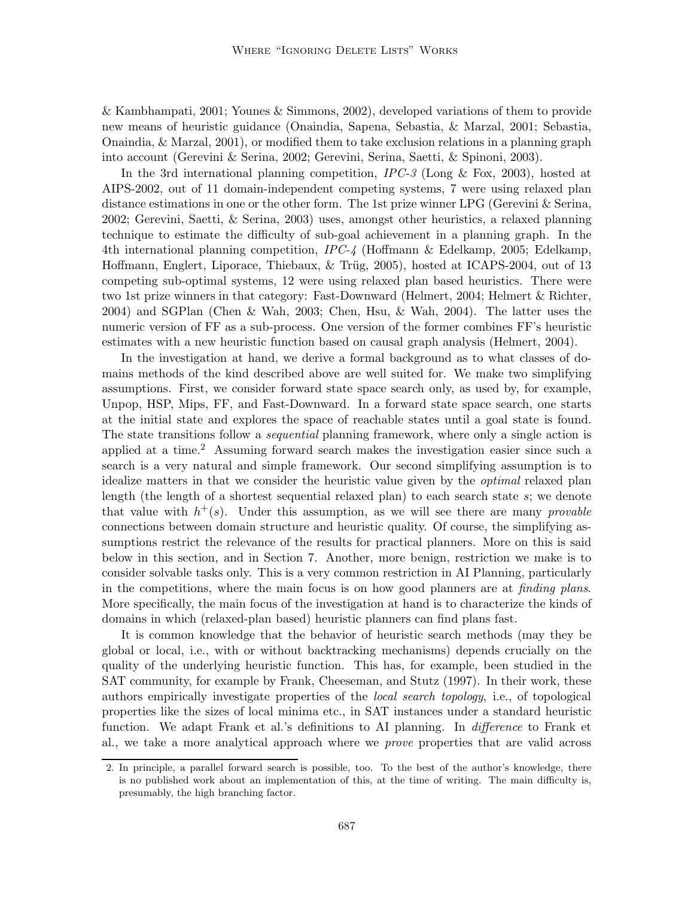& Kambhampati, 2001; Younes & Simmons, 2002), developed variations of them to provide new means of heuristic guidance (Onaindia, Sapena, Sebastia, & Marzal, 2001; Sebastia, Onaindia, & Marzal, 2001), or modified them to take exclusion relations in a planning graph into account (Gerevini & Serina, 2002; Gerevini, Serina, Saetti, & Spinoni, 2003).

In the 3rd international planning competition,  $IPC-3$  (Long & Fox, 2003), hosted at AIPS-2002, out of 11 domain-independent competing systems, 7 were using relaxed plan distance estimations in one or the other form. The 1st prize winner LPG (Gerevini & Serina, 2002; Gerevini, Saetti, & Serina, 2003) uses, amongst other heuristics, a relaxed planning technique to estimate the difficulty of sub-goal achievement in a planning graph. In the 4th international planning competition, IPC-4 (Hoffmann & Edelkamp, 2005; Edelkamp, Hoffmann, Englert, Liporace, Thiebaux, & Trüg, 2005), hosted at ICAPS-2004, out of 13 competing sub-optimal systems, 12 were using relaxed plan based heuristics. There were two 1st prize winners in that category: Fast-Downward (Helmert, 2004; Helmert & Richter, 2004) and SGPlan (Chen & Wah, 2003; Chen, Hsu, & Wah, 2004). The latter uses the numeric version of FF as a sub-process. One version of the former combines FF's heuristic estimates with a new heuristic function based on causal graph analysis (Helmert, 2004).

In the investigation at hand, we derive a formal background as to what classes of domains methods of the kind described above are well suited for. We make two simplifying assumptions. First, we consider forward state space search only, as used by, for example, Unpop, HSP, Mips, FF, and Fast-Downward. In a forward state space search, one starts at the initial state and explores the space of reachable states until a goal state is found. The state transitions follow a sequential planning framework, where only a single action is applied at a time.<sup>2</sup> Assuming forward search makes the investigation easier since such a search is a very natural and simple framework. Our second simplifying assumption is to idealize matters in that we consider the heuristic value given by the optimal relaxed plan length (the length of a shortest sequential relaxed plan) to each search state s; we denote that value with  $h^+(s)$ . Under this assumption, as we will see there are many *provable* connections between domain structure and heuristic quality. Of course, the simplifying assumptions restrict the relevance of the results for practical planners. More on this is said below in this section, and in Section 7. Another, more benign, restriction we make is to consider solvable tasks only. This is a very common restriction in AI Planning, particularly in the competitions, where the main focus is on how good planners are at *finding plans*. More specifically, the main focus of the investigation at hand is to characterize the kinds of domains in which (relaxed-plan based) heuristic planners can find plans fast.

It is common knowledge that the behavior of heuristic search methods (may they be global or local, i.e., with or without backtracking mechanisms) depends crucially on the quality of the underlying heuristic function. This has, for example, been studied in the SAT community, for example by Frank, Cheeseman, and Stutz (1997). In their work, these authors empirically investigate properties of the local search topology, i.e., of topological properties like the sizes of local minima etc., in SAT instances under a standard heuristic function. We adapt Frank et al.'s definitions to AI planning. In *difference* to Frank et al., we take a more analytical approach where we prove properties that are valid across

<sup>2.</sup> In principle, a parallel forward search is possible, too. To the best of the author's knowledge, there is no published work about an implementation of this, at the time of writing. The main difficulty is, presumably, the high branching factor.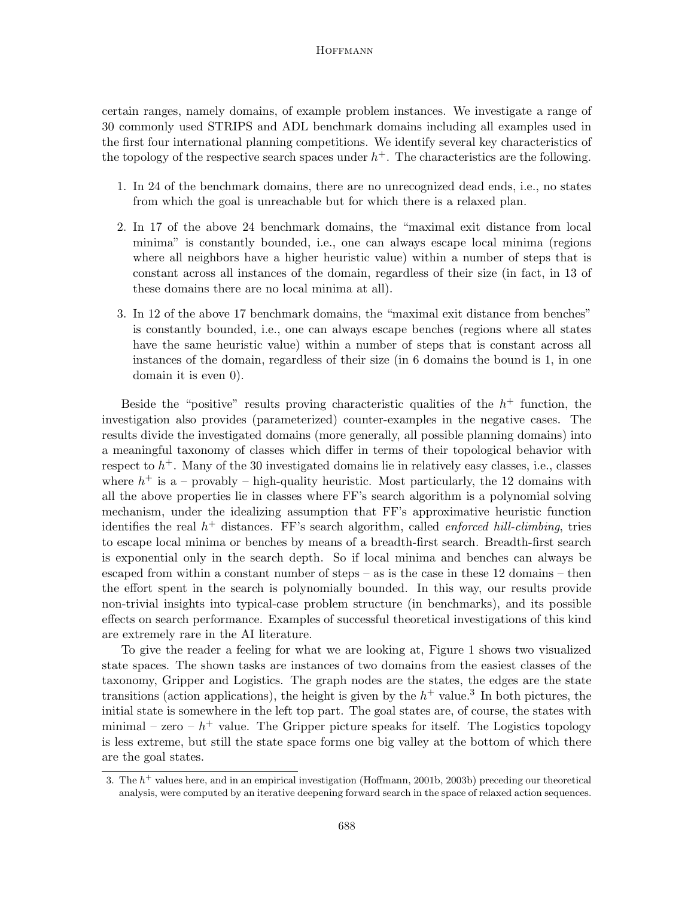certain ranges, namely domains, of example problem instances. We investigate a range of 30 commonly used STRIPS and ADL benchmark domains including all examples used in the first four international planning competitions. We identify several key characteristics of the topology of the respective search spaces under  $h^+$ . The characteristics are the following.

- 1. In 24 of the benchmark domains, there are no unrecognized dead ends, i.e., no states from which the goal is unreachable but for which there is a relaxed plan.
- 2. In 17 of the above 24 benchmark domains, the "maximal exit distance from local minima" is constantly bounded, i.e., one can always escape local minima (regions where all neighbors have a higher heuristic value) within a number of steps that is constant across all instances of the domain, regardless of their size (in fact, in 13 of these domains there are no local minima at all).
- 3. In 12 of the above 17 benchmark domains, the "maximal exit distance from benches" is constantly bounded, i.e., one can always escape benches (regions where all states have the same heuristic value) within a number of steps that is constant across all instances of the domain, regardless of their size (in 6 domains the bound is 1, in one domain it is even 0).

Beside the "positive" results proving characteristic qualities of the  $h^+$  function, the investigation also provides (parameterized) counter-examples in the negative cases. The results divide the investigated domains (more generally, all possible planning domains) into a meaningful taxonomy of classes which differ in terms of their topological behavior with respect to  $h^+$ . Many of the 30 investigated domains lie in relatively easy classes, i.e., classes where  $h^+$  is a – provably – high-quality heuristic. Most particularly, the 12 domains with all the above properties lie in classes where FF's search algorithm is a polynomial solving mechanism, under the idealizing assumption that FF's approximative heuristic function identifies the real  $h^+$  distances. FF's search algorithm, called *enforced hill-climbing*, tries to escape local minima or benches by means of a breadth-first search. Breadth-first search is exponential only in the search depth. So if local minima and benches can always be escaped from within a constant number of steps – as is the case in these 12 domains – then the effort spent in the search is polynomially bounded. In this way, our results provide non-trivial insights into typical-case problem structure (in benchmarks), and its possible effects on search performance. Examples of successful theoretical investigations of this kind are extremely rare in the AI literature.

To give the reader a feeling for what we are looking at, Figure 1 shows two visualized state spaces. The shown tasks are instances of two domains from the easiest classes of the taxonomy, Gripper and Logistics. The graph nodes are the states, the edges are the state transitions (action applications), the height is given by the  $h^+$  value.<sup>3</sup> In both pictures, the initial state is somewhere in the left top part. The goal states are, of course, the states with minimal – zero –  $h^+$  value. The Gripper picture speaks for itself. The Logistics topology is less extreme, but still the state space forms one big valley at the bottom of which there are the goal states.

<sup>3.</sup> The  $h^+$  values here, and in an empirical investigation (Hoffmann, 2001b, 2003b) preceding our theoretical analysis, were computed by an iterative deepening forward search in the space of relaxed action sequences.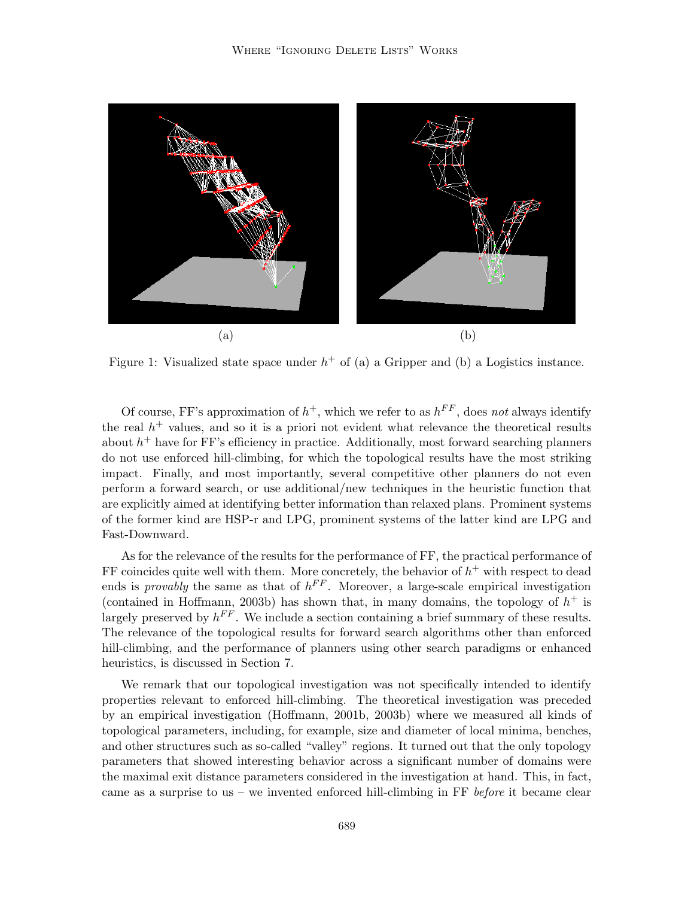

Figure 1: Visualized state space under  $h^+$  of (a) a Gripper and (b) a Logistics instance.

Of course, FF's approximation of  $h^+$ , which we refer to as  $h^{FF}$ , does not always identify the real  $h<sup>+</sup>$  values, and so it is a priori not evident what relevance the theoretical results about  $h^+$  have for FF's efficiency in practice. Additionally, most forward searching planners do not use enforced hill-climbing, for which the topological results have the most striking impact. Finally, and most importantly, several competitive other planners do not even perform a forward search, or use additional/new techniques in the heuristic function that are explicitly aimed at identifying better information than relaxed plans. Prominent systems of the former kind are HSP-r and LPG, prominent systems of the latter kind are LPG and Fast-Downward.

As for the relevance of the results for the performance of FF, the practical performance of FF coincides quite well with them. More concretely, the behavior of  $h^+$  with respect to dead ends is *provably* the same as that of  $h^{FF}$ . Moreover, a large-scale empirical investigation (contained in Hoffmann, 2003b) has shown that, in many domains, the topology of  $h^+$  is largely preserved by  $h^{FF}$ . We include a section containing a brief summary of these results. The relevance of the topological results for forward search algorithms other than enforced hill-climbing, and the performance of planners using other search paradigms or enhanced heuristics, is discussed in Section 7.

We remark that our topological investigation was not specifically intended to identify properties relevant to enforced hill-climbing. The theoretical investigation was preceded by an empirical investigation (Hoffmann, 2001b, 2003b) where we measured all kinds of topological parameters, including, for example, size and diameter of local minima, benches, and other structures such as so-called "valley" regions. It turned out that the only topology parameters that showed interesting behavior across a significant number of domains were the maximal exit distance parameters considered in the investigation at hand. This, in fact, came as a surprise to us – we invented enforced hill-climbing in FF before it became clear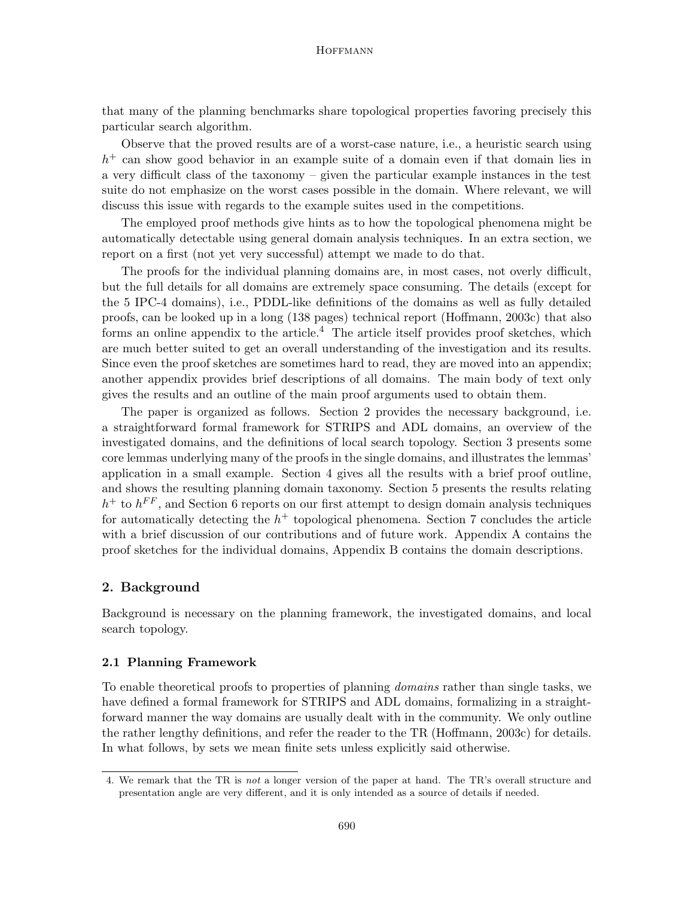that many of the planning benchmarks share topological properties favoring precisely this particular search algorithm.

Observe that the proved results are of a worst-case nature, i.e., a heuristic search using  $h<sup>+</sup>$  can show good behavior in an example suite of a domain even if that domain lies in a very difficult class of the taxonomy – given the particular example instances in the test suite do not emphasize on the worst cases possible in the domain. Where relevant, we will discuss this issue with regards to the example suites used in the competitions.

The employed proof methods give hints as to how the topological phenomena might be automatically detectable using general domain analysis techniques. In an extra section, we report on a first (not yet very successful) attempt we made to do that.

The proofs for the individual planning domains are, in most cases, not overly difficult, but the full details for all domains are extremely space consuming. The details (except for the 5 IPC-4 domains), i.e., PDDL-like definitions of the domains as well as fully detailed proofs, can be looked up in a long (138 pages) technical report (Hoffmann, 2003c) that also forms an online appendix to the article.<sup>4</sup> The article itself provides proof sketches, which are much better suited to get an overall understanding of the investigation and its results. Since even the proof sketches are sometimes hard to read, they are moved into an appendix; another appendix provides brief descriptions of all domains. The main body of text only gives the results and an outline of the main proof arguments used to obtain them.

The paper is organized as follows. Section 2 provides the necessary background, i.e. a straightforward formal framework for STRIPS and ADL domains, an overview of the investigated domains, and the definitions of local search topology. Section 3 presents some core lemmas underlying many of the proofs in the single domains, and illustrates the lemmas' application in a small example. Section 4 gives all the results with a brief proof outline, and shows the resulting planning domain taxonomy. Section 5 presents the results relating  $h^+$  to  $h^{FF}$ , and Section 6 reports on our first attempt to design domain analysis techniques for automatically detecting the  $h$ <sup>+</sup> topological phenomena. Section 7 concludes the article with a brief discussion of our contributions and of future work. Appendix A contains the proof sketches for the individual domains, Appendix B contains the domain descriptions.

# 2. Background

Background is necessary on the planning framework, the investigated domains, and local search topology.

#### 2.1 Planning Framework

To enable theoretical proofs to properties of planning domains rather than single tasks, we have defined a formal framework for STRIPS and ADL domains, formalizing in a straightforward manner the way domains are usually dealt with in the community. We only outline the rather lengthy definitions, and refer the reader to the TR (Hoffmann, 2003c) for details. In what follows, by sets we mean finite sets unless explicitly said otherwise.

<sup>4.</sup> We remark that the TR is not a longer version of the paper at hand. The TR's overall structure and presentation angle are very different, and it is only intended as a source of details if needed.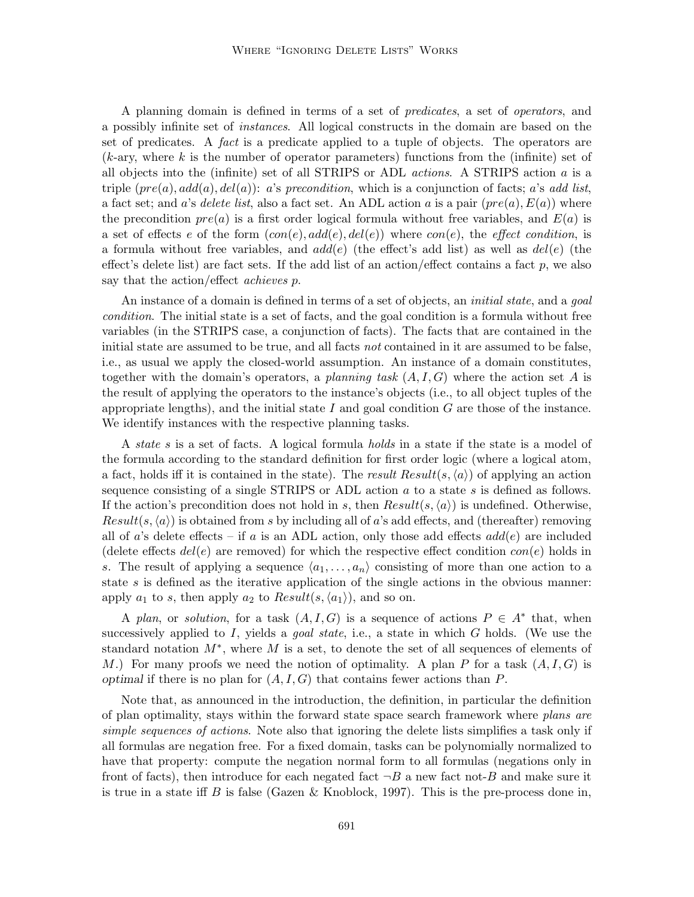A planning domain is defined in terms of a set of predicates, a set of operators, and a possibly infinite set of instances. All logical constructs in the domain are based on the set of predicates. A fact is a predicate applied to a tuple of objects. The operators are  $(k-ary,$  where k is the number of operator parameters) functions from the (infinite) set of all objects into the (infinite) set of all STRIPS or ADL *actions*. A STRIPS action  $a$  is a triple  $(re(a), add(a), del(a))$ : a's precondition, which is a conjunction of facts; a's add list, a fact set; and a's delete list, also a fact set. An ADL action a is a pair  $(pre(a), E(a))$  where the precondition  $pre(a)$  is a first order logical formula without free variables, and  $E(a)$  is a set of effects e of the form  $(con(e), add(e), del(e))$  where  $con(e)$ , the effect condition, is a formula without free variables, and  $add(e)$  (the effect's add list) as well as  $del(e)$  (the effect's delete list) are fact sets. If the add list of an action/effect contains a fact  $p$ , we also say that the action/effect *achieves* p.

An instance of a domain is defined in terms of a set of objects, an *initial state*, and a *qoal* condition. The initial state is a set of facts, and the goal condition is a formula without free variables (in the STRIPS case, a conjunction of facts). The facts that are contained in the initial state are assumed to be true, and all facts not contained in it are assumed to be false, i.e., as usual we apply the closed-world assumption. An instance of a domain constitutes, together with the domain's operators, a planning task  $(A, I, G)$  where the action set A is the result of applying the operators to the instance's objects (i.e., to all object tuples of the appropriate lengths), and the initial state  $I$  and goal condition  $G$  are those of the instance. We identify instances with the respective planning tasks.

A state s is a set of facts. A logical formula holds in a state if the state is a model of the formula according to the standard definition for first order logic (where a logical atom, a fact, holds iff it is contained in the state). The result  $Result(s, \langle a \rangle)$  of applying an action sequence consisting of a single STRIPS or ADL action a to a state s is defined as follows. If the action's precondition does not hold in s, then  $Result(s, \langle a \rangle)$  is undefined. Otherwise,  $Result(s, \langle a \rangle)$  is obtained from s by including all of a's add effects, and (thereafter) removing all of a's delete effects – if a is an ADL action, only those add effects  $add(e)$  are included (delete effects  $del(e)$  are removed) for which the respective effect condition  $con(e)$  holds in s. The result of applying a sequence  $\langle a_1, \ldots, a_n \rangle$  consisting of more than one action to a state  $s$  is defined as the iterative application of the single actions in the obvious manner: apply  $a_1$  to s, then apply  $a_2$  to  $Result(s, \langle a_1 \rangle)$ , and so on.

A plan, or solution, for a task  $(A, I, G)$  is a sequence of actions  $P \in A^*$  that, when successively applied to I, yields a *goal state*, i.e., a state in which G holds. (We use the standard notation  $M^*$ , where M is a set, to denote the set of all sequences of elements of M.) For many proofs we need the notion of optimality. A plan P for a task  $(A, I, G)$  is optimal if there is no plan for  $(A, I, G)$  that contains fewer actions than P.

Note that, as announced in the introduction, the definition, in particular the definition of plan optimality, stays within the forward state space search framework where plans are simple sequences of actions. Note also that ignoring the delete lists simplifies a task only if all formulas are negation free. For a fixed domain, tasks can be polynomially normalized to have that property: compute the negation normal form to all formulas (negations only in front of facts), then introduce for each negated fact  $\neg B$  a new fact not-B and make sure it is true in a state iff B is false (Gazen & Knoblock, 1997). This is the pre-process done in,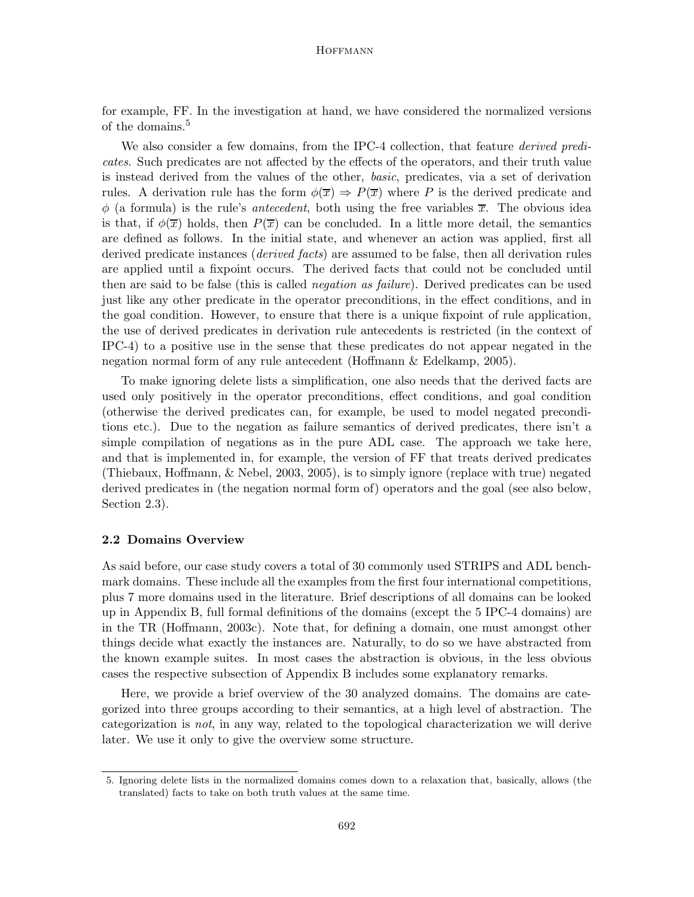for example, FF. In the investigation at hand, we have considered the normalized versions of the domains.<sup>5</sup>

We also consider a few domains, from the IPC-4 collection, that feature *derived predi*cates. Such predicates are not affected by the effects of the operators, and their truth value is instead derived from the values of the other, basic, predicates, via a set of derivation rules. A derivation rule has the form  $\phi(\overline{x}) \Rightarrow P(\overline{x})$  where P is the derived predicate and  $\phi$  (a formula) is the rule's *antecedent*, both using the free variables  $\overline{x}$ . The obvious idea is that, if  $\phi(\overline{x})$  holds, then  $P(\overline{x})$  can be concluded. In a little more detail, the semantics are defined as follows. In the initial state, and whenever an action was applied, first all derived predicate instances *(derived facts)* are assumed to be false, then all derivation rules are applied until a fixpoint occurs. The derived facts that could not be concluded until then are said to be false (this is called *negation as failure*). Derived predicates can be used just like any other predicate in the operator preconditions, in the effect conditions, and in the goal condition. However, to ensure that there is a unique fixpoint of rule application, the use of derived predicates in derivation rule antecedents is restricted (in the context of IPC-4) to a positive use in the sense that these predicates do not appear negated in the negation normal form of any rule antecedent (Hoffmann & Edelkamp, 2005).

To make ignoring delete lists a simplification, one also needs that the derived facts are used only positively in the operator preconditions, effect conditions, and goal condition (otherwise the derived predicates can, for example, be used to model negated preconditions etc.). Due to the negation as failure semantics of derived predicates, there isn't a simple compilation of negations as in the pure ADL case. The approach we take here, and that is implemented in, for example, the version of FF that treats derived predicates (Thiebaux, Hoffmann, & Nebel, 2003, 2005), is to simply ignore (replace with true) negated derived predicates in (the negation normal form of) operators and the goal (see also below, Section 2.3).

#### 2.2 Domains Overview

As said before, our case study covers a total of 30 commonly used STRIPS and ADL benchmark domains. These include all the examples from the first four international competitions, plus 7 more domains used in the literature. Brief descriptions of all domains can be looked up in Appendix B, full formal definitions of the domains (except the 5 IPC-4 domains) are in the TR (Hoffmann, 2003c). Note that, for defining a domain, one must amongst other things decide what exactly the instances are. Naturally, to do so we have abstracted from the known example suites. In most cases the abstraction is obvious, in the less obvious cases the respective subsection of Appendix B includes some explanatory remarks.

Here, we provide a brief overview of the 30 analyzed domains. The domains are categorized into three groups according to their semantics, at a high level of abstraction. The categorization is not, in any way, related to the topological characterization we will derive later. We use it only to give the overview some structure.

<sup>5.</sup> Ignoring delete lists in the normalized domains comes down to a relaxation that, basically, allows (the translated) facts to take on both truth values at the same time.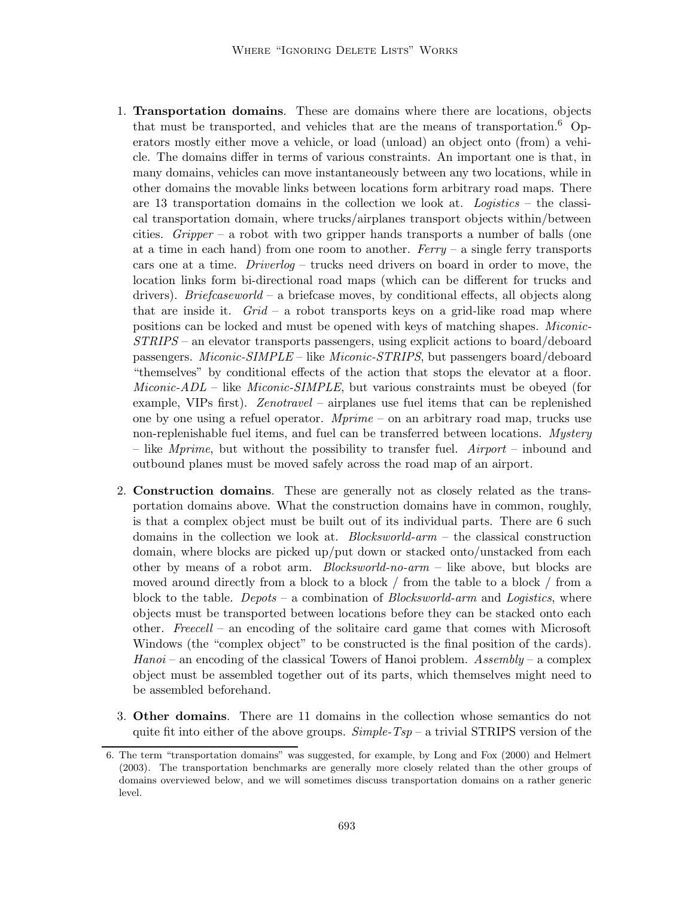- 1. Transportation domains. These are domains where there are locations, objects that must be transported, and vehicles that are the means of transportation.<sup>6</sup> Operators mostly either move a vehicle, or load (unload) an object onto (from) a vehicle. The domains differ in terms of various constraints. An important one is that, in many domains, vehicles can move instantaneously between any two locations, while in other domains the movable links between locations form arbitrary road maps. There are 13 transportation domains in the collection we look at. Logistics – the classical transportation domain, where trucks/airplanes transport objects within/between cities. Gripper – a robot with two gripper hands transports a number of balls (one at a time in each hand) from one room to another. Ferry – a single ferry transports cars one at a time. Driverlog – trucks need drivers on board in order to move, the location links form bi-directional road maps (which can be different for trucks and drivers). *Briefcaseworld* – a briefcase moves, by conditional effects, all objects along that are inside it.  $Grid - a$  robot transports keys on a grid-like road map where positions can be locked and must be opened with keys of matching shapes. Miconic-STRIPS – an elevator transports passengers, using explicit actions to board/deboard passengers. Miconic-SIMPLE – like Miconic-STRIPS, but passengers board/deboard "themselves" by conditional effects of the action that stops the elevator at a floor. Miconic-ADL – like Miconic-SIMPLE, but various constraints must be obeyed (for example, VIPs first). Zenotravel – airplanes use fuel items that can be replenished one by one using a refuel operator.  $Mprime -$  on an arbitrary road map, trucks use non-replenishable fuel items, and fuel can be transferred between locations. Mystery – like Mprime, but without the possibility to transfer fuel. Airport – inbound and outbound planes must be moved safely across the road map of an airport.
- 2. Construction domains. These are generally not as closely related as the transportation domains above. What the construction domains have in common, roughly, is that a complex object must be built out of its individual parts. There are 6 such domains in the collection we look at.  $Blocksword-arm - the classical construction$ domain, where blocks are picked up/put down or stacked onto/unstacked from each other by means of a robot arm. Blocksworld-no-arm – like above, but blocks are moved around directly from a block to a block / from the table to a block / from a block to the table. Depots – a combination of Blocksworld-arm and Logistics, where objects must be transported between locations before they can be stacked onto each other. Freecell – an encoding of the solitaire card game that comes with Microsoft Windows (the "complex object" to be constructed is the final position of the cards).  $Hanoi$  – an encoding of the classical Towers of Hanoi problem. Assembly – a complex object must be assembled together out of its parts, which themselves might need to be assembled beforehand.
- 3. Other domains. There are 11 domains in the collection whose semantics do not quite fit into either of the above groups.  $Simple-Tsp -$  a trivial STRIPS version of the

<sup>6.</sup> The term "transportation domains" was suggested, for example, by Long and Fox (2000) and Helmert (2003). The transportation benchmarks are generally more closely related than the other groups of domains overviewed below, and we will sometimes discuss transportation domains on a rather generic level.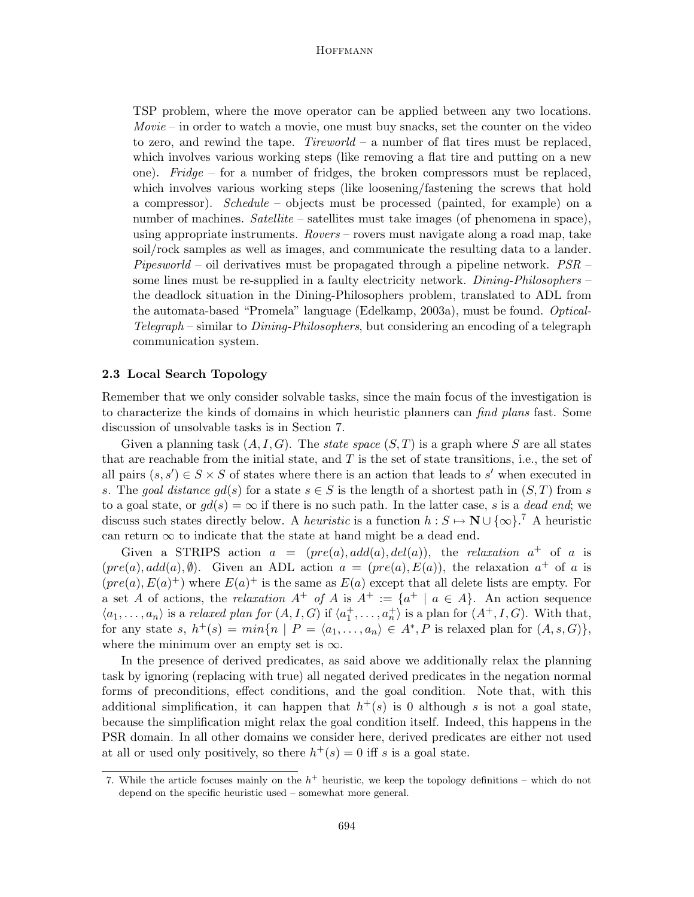TSP problem, where the move operator can be applied between any two locations.  $Movie - in order to watch a movie, one must buy snacks, set the counter on the video$ to zero, and rewind the tape.  $Tireworld - a$  number of flat tires must be replaced, which involves various working steps (like removing a flat tire and putting on a new one). Fridge – for a number of fridges, the broken compressors must be replaced, which involves various working steps (like loosening/fastening the screws that hold a compressor). Schedule – objects must be processed (painted, for example) on a number of machines. Satellite – satellites must take images (of phenomena in space), using appropriate instruments. Rovers – rovers must navigate along a road map, take soil/rock samples as well as images, and communicate the resulting data to a lander. Pipesworld – oil derivatives must be propagated through a pipeline network.  $PSR$  – some lines must be re-supplied in a faulty electricity network. Dining-Philosophers – the deadlock situation in the Dining-Philosophers problem, translated to ADL from the automata-based "Promela" language (Edelkamp, 2003a), must be found. Optical-Telegraph – similar to Dining-Philosophers, but considering an encoding of a telegraph communication system.

### 2.3 Local Search Topology

Remember that we only consider solvable tasks, since the main focus of the investigation is to characterize the kinds of domains in which heuristic planners can find plans fast. Some discussion of unsolvable tasks is in Section 7.

Given a planning task  $(A, I, G)$ . The *state space*  $(S, T)$  is a graph where S are all states that are reachable from the initial state, and  $T$  is the set of state transitions, i.e., the set of all pairs  $(s, s') \in S \times S$  of states where there is an action that leads to s' when executed in s. The goal distance  $gd(s)$  for a state  $s \in S$  is the length of a shortest path in  $(S,T)$  from s to a goal state, or  $gd(s) = \infty$  if there is no such path. In the latter case, s is a dead end; we discuss such states directly below. A *heuristic* is a function  $h: S \mapsto \mathbb{N} \cup \{\infty\}$ .<sup>7</sup> A heuristic can return  $\infty$  to indicate that the state at hand might be a dead end.

Given a STRIPS action  $a = (pre(a), add(a), del(a)),$  the relaxation  $a^+$  of a is  $(pre(a), add(a), \emptyset)$ . Given an ADL action  $a = (pre(a), E(a))$ , the relaxation  $a<sup>+</sup>$  of a is  $(pre(a), E(a)^+)$  where  $E(a)^+$  is the same as  $E(a)$  except that all delete lists are empty. For a set A of actions, the relaxation  $A^+$  of A is  $A^+ := \{a^+ | a \in A\}$ . An action sequence  $\langle a_1,\ldots,a_n\rangle$  is a relaxed plan for  $(A, I, G)$  if  $\langle a_1^+, \ldots, a_n^+\rangle$  is a plan for  $(A^+, I, G)$ . With that, for any state s,  $h^+(s) = min\{n \mid P = \langle a_1, \ldots, a_n \rangle \in A^*, P$  is relaxed plan for  $(A, s, G)\},$ where the minimum over an empty set is  $\infty$ .

In the presence of derived predicates, as said above we additionally relax the planning task by ignoring (replacing with true) all negated derived predicates in the negation normal forms of preconditions, effect conditions, and the goal condition. Note that, with this additional simplification, it can happen that  $h^+(s)$  is 0 although s is not a goal state, because the simplification might relax the goal condition itself. Indeed, this happens in the PSR domain. In all other domains we consider here, derived predicates are either not used at all or used only positively, so there  $h^+(s) = 0$  iff s is a goal state.

<sup>7.</sup> While the article focuses mainly on the  $h^+$  heuristic, we keep the topology definitions – which do not depend on the specific heuristic used – somewhat more general.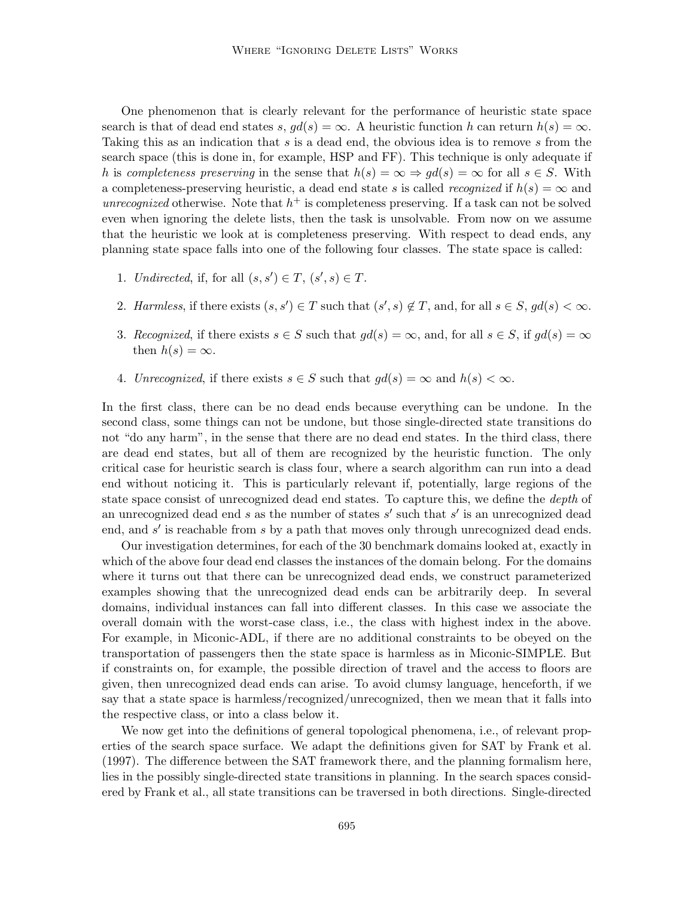One phenomenon that is clearly relevant for the performance of heuristic state space search is that of dead end states s,  $qd(s) = \infty$ . A heuristic function h can return  $h(s) = \infty$ . Taking this as an indication that s is a dead end, the obvious idea is to remove s from the search space (this is done in, for example, HSP and FF). This technique is only adequate if h is completeness preserving in the sense that  $h(s) = \infty \Rightarrow gd(s) = \infty$  for all  $s \in S$ . With a completeness-preserving heuristic, a dead end state s is called *recognized* if  $h(s) = \infty$  and unrecognized otherwise. Note that  $h^+$  is completeness preserving. If a task can not be solved even when ignoring the delete lists, then the task is unsolvable. From now on we assume that the heuristic we look at is completeness preserving. With respect to dead ends, any planning state space falls into one of the following four classes. The state space is called:

- 1. Undirected, if, for all  $(s, s') \in T$ ,  $(s', s) \in T$ .
- 2. Harmless, if there exists  $(s, s') \in T$  such that  $(s', s) \notin T$ , and, for all  $s \in S$ ,  $gd(s) < \infty$ .
- 3. Recognized, if there exists  $s \in S$  such that  $gd(s) = \infty$ , and, for all  $s \in S$ , if  $gd(s) = \infty$ then  $h(s) = \infty$ .
- 4. Unrecognized, if there exists  $s \in S$  such that  $gd(s) = \infty$  and  $h(s) < \infty$ .

In the first class, there can be no dead ends because everything can be undone. In the second class, some things can not be undone, but those single-directed state transitions do not "do any harm", in the sense that there are no dead end states. In the third class, there are dead end states, but all of them are recognized by the heuristic function. The only critical case for heuristic search is class four, where a search algorithm can run into a dead end without noticing it. This is particularly relevant if, potentially, large regions of the state space consist of unrecognized dead end states. To capture this, we define the *depth* of an unrecognized dead end  $s$  as the number of states  $s'$  such that  $s'$  is an unrecognized dead end, and  $s'$  is reachable from  $s$  by a path that moves only through unrecognized dead ends.

Our investigation determines, for each of the 30 benchmark domains looked at, exactly in which of the above four dead end classes the instances of the domain belong. For the domains where it turns out that there can be unrecognized dead ends, we construct parameterized examples showing that the unrecognized dead ends can be arbitrarily deep. In several domains, individual instances can fall into different classes. In this case we associate the overall domain with the worst-case class, i.e., the class with highest index in the above. For example, in Miconic-ADL, if there are no additional constraints to be obeyed on the transportation of passengers then the state space is harmless as in Miconic-SIMPLE. But if constraints on, for example, the possible direction of travel and the access to floors are given, then unrecognized dead ends can arise. To avoid clumsy language, henceforth, if we say that a state space is harmless/recognized/unrecognized, then we mean that it falls into the respective class, or into a class below it.

We now get into the definitions of general topological phenomena, i.e., of relevant properties of the search space surface. We adapt the definitions given for SAT by Frank et al. (1997). The difference between the SAT framework there, and the planning formalism here, lies in the possibly single-directed state transitions in planning. In the search spaces considered by Frank et al., all state transitions can be traversed in both directions. Single-directed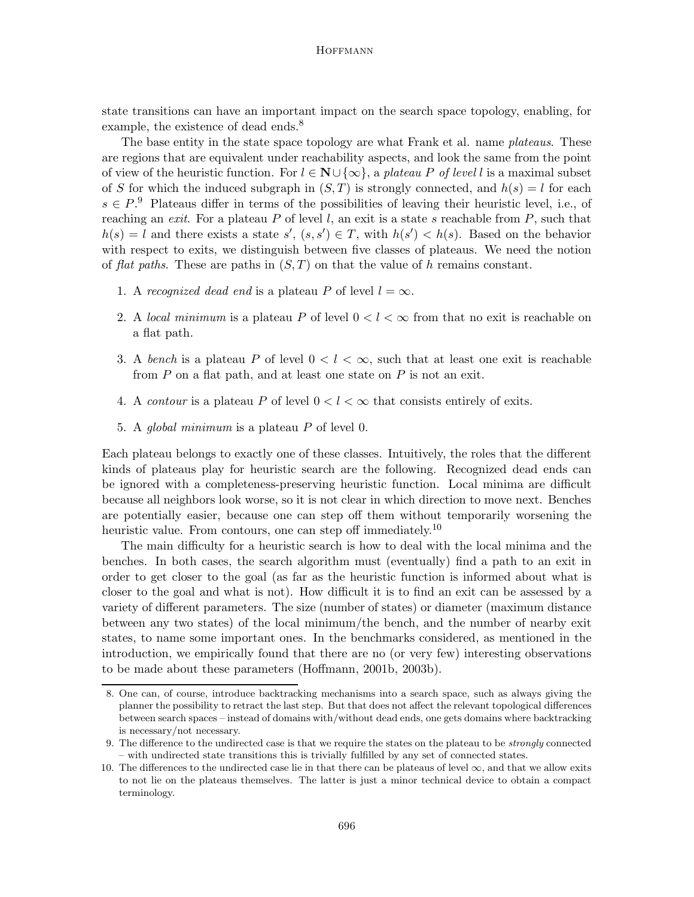state transitions can have an important impact on the search space topology, enabling, for example, the existence of dead ends.<sup>8</sup>

The base entity in the state space topology are what Frank et al. name *plateaus*. These are regions that are equivalent under reachability aspects, and look the same from the point of view of the heuristic function. For  $l \in \mathbb{N} \cup \{\infty\}$ , a plateau P of level l is a maximal subset of S for which the induced subgraph in  $(S, T)$  is strongly connected, and  $h(s) = l$  for each  $s \in P$ .<sup>9</sup> Plateaus differ in terms of the possibilities of leaving their heuristic level, i.e., of reaching an exit. For a plateau P of level l, an exit is a state s reachable from P, such that  $h(s) = l$  and there exists a state  $s'$ ,  $(s, s') \in T$ , with  $h(s') < h(s)$ . Based on the behavior with respect to exits, we distinguish between five classes of plateaus. We need the notion of flat paths. These are paths in  $(S, T)$  on that the value of h remains constant.

- 1. A recognized dead end is a plateau P of level  $l = \infty$ .
- 2. A local minimum is a plateau P of level  $0 < l < \infty$  from that no exit is reachable on a flat path.
- 3. A bench is a plateau P of level  $0 < l < \infty$ , such that at least one exit is reachable from  $P$  on a flat path, and at least one state on  $P$  is not an exit.
- 4. A *contour* is a plateau P of level  $0 < l < \infty$  that consists entirely of exits.
- 5. A global minimum is a plateau P of level 0.

Each plateau belongs to exactly one of these classes. Intuitively, the roles that the different kinds of plateaus play for heuristic search are the following. Recognized dead ends can be ignored with a completeness-preserving heuristic function. Local minima are difficult because all neighbors look worse, so it is not clear in which direction to move next. Benches are potentially easier, because one can step off them without temporarily worsening the heuristic value. From contours, one can step off immediately.<sup>10</sup>

The main difficulty for a heuristic search is how to deal with the local minima and the benches. In both cases, the search algorithm must (eventually) find a path to an exit in order to get closer to the goal (as far as the heuristic function is informed about what is closer to the goal and what is not). How difficult it is to find an exit can be assessed by a variety of different parameters. The size (number of states) or diameter (maximum distance between any two states) of the local minimum/the bench, and the number of nearby exit states, to name some important ones. In the benchmarks considered, as mentioned in the introduction, we empirically found that there are no (or very few) interesting observations to be made about these parameters (Hoffmann, 2001b, 2003b).

<sup>8.</sup> One can, of course, introduce backtracking mechanisms into a search space, such as always giving the planner the possibility to retract the last step. But that does not affect the relevant topological differences between search spaces – instead of domains with/without dead ends, one gets domains where backtracking is necessary/not necessary.

<sup>9.</sup> The difference to the undirected case is that we require the states on the plateau to be strongly connected – with undirected state transitions this is trivially fulfilled by any set of connected states.

<sup>10.</sup> The differences to the undirected case lie in that there can be plateaus of level  $\infty$ , and that we allow exits to not lie on the plateaus themselves. The latter is just a minor technical device to obtain a compact terminology.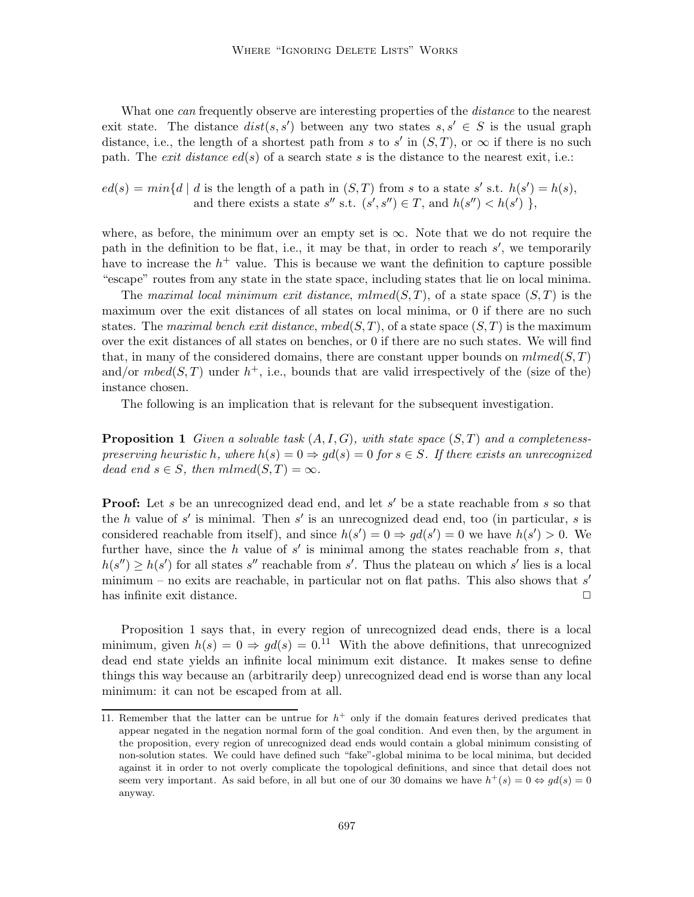What one can frequently observe are interesting properties of the *distance* to the nearest exit state. The distance  $dist(s, s')$  between any two states  $s, s' \in S$  is the usual graph distance, i.e., the length of a shortest path from s to s' in  $(S,T)$ , or  $\infty$  if there is no such path. The *exit distance*  $ed(s)$  of a search state s is the distance to the nearest exit, i.e.:

 $ed(s) = min{d | d$  is the length of a path in  $(S,T)$  from s to a state s' s.t.  $h(s') = h(s)$ , and there exists a state  $s''$  s.t.  $(s', s'') \in T$ , and  $h(s'') < h(s')$ ,

where, as before, the minimum over an empty set is  $\infty$ . Note that we do not require the path in the definition to be flat, i.e., it may be that, in order to reach  $s'$ , we temporarily have to increase the  $h<sup>+</sup>$  value. This is because we want the definition to capture possible "escape" routes from any state in the state space, including states that lie on local minima.

The maximal local minimum exit distance, mlmed(S,T), of a state space  $(S, T)$  is the maximum over the exit distances of all states on local minima, or 0 if there are no such states. The maximal bench exit distance, mbed $(S,T)$ , of a state space  $(S,T)$  is the maximum over the exit distances of all states on benches, or 0 if there are no such states. We will find that, in many of the considered domains, there are constant upper bounds on  $mlmed(S,T)$ and/or  $mbed(S,T)$  under  $h^+$ , i.e., bounds that are valid irrespectively of the (size of the) instance chosen.

The following is an implication that is relevant for the subsequent investigation.

**Proposition 1** Given a solvable task  $(A, I, G)$ , with state space  $(S, T)$  and a completenesspreserving heuristic h, where  $h(s) = 0 \Rightarrow gd(s) = 0$  for  $s \in S$ . If there exists an unrecognized dead end  $s \in S$ , then  $mlmed(S,T) = \infty$ .

**Proof:** Let s be an unrecognized dead end, and let s' be a state reachable from s so that the h value of  $s'$  is minimal. Then  $s'$  is an unrecognized dead end, too (in particular, s is considered reachable from itself), and since  $h(s') = 0 \Rightarrow gd(s') = 0$  we have  $h(s') > 0$ . We further have, since the h value of  $s'$  is minimal among the states reachable from s, that  $h(s'') \geq h(s')$  for all states s'' reachable from s'. Thus the plateau on which s' lies is a local minimum – no exits are reachable, in particular not on flat paths. This also shows that  $s'$ has infinite exit distance.  $\Box$ 

Proposition 1 says that, in every region of unrecognized dead ends, there is a local minimum, given  $h(s) = 0 \Rightarrow qd(s) = 0^{11}$  With the above definitions, that unrecognized dead end state yields an infinite local minimum exit distance. It makes sense to define things this way because an (arbitrarily deep) unrecognized dead end is worse than any local minimum: it can not be escaped from at all.

<sup>11.</sup> Remember that the latter can be untrue for  $h^+$  only if the domain features derived predicates that appear negated in the negation normal form of the goal condition. And even then, by the argument in the proposition, every region of unrecognized dead ends would contain a global minimum consisting of non-solution states. We could have defined such "fake"-global minima to be local minima, but decided against it in order to not overly complicate the topological definitions, and since that detail does not seem very important. As said before, in all but one of our 30 domains we have  $h^+(s) = 0 \Leftrightarrow gd(s) = 0$ anyway.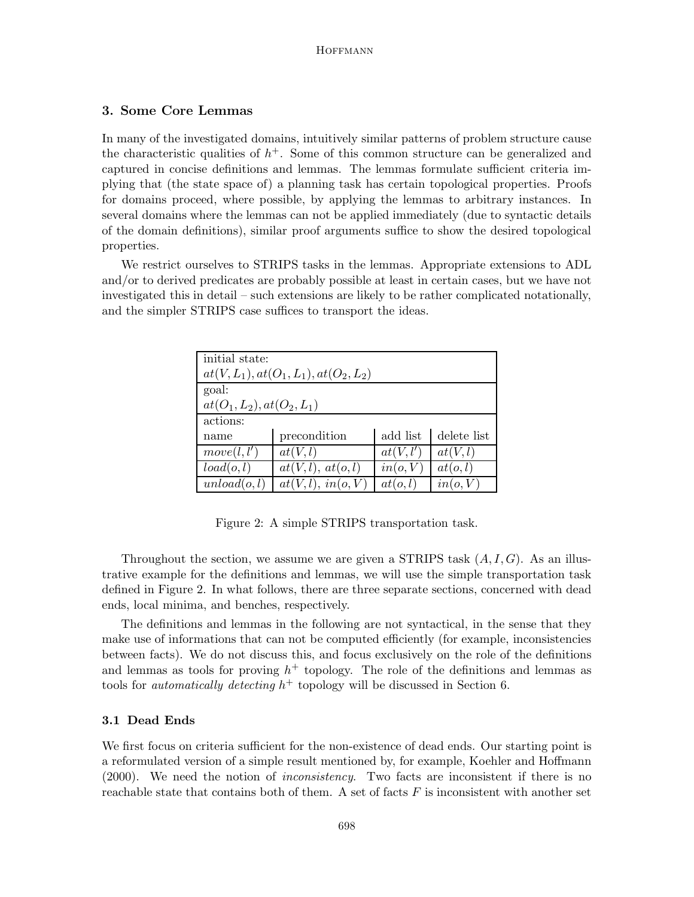# 3. Some Core Lemmas

In many of the investigated domains, intuitively similar patterns of problem structure cause the characteristic qualities of  $h<sup>+</sup>$ . Some of this common structure can be generalized and captured in concise definitions and lemmas. The lemmas formulate sufficient criteria implying that (the state space of) a planning task has certain topological properties. Proofs for domains proceed, where possible, by applying the lemmas to arbitrary instances. In several domains where the lemmas can not be applied immediately (due to syntactic details of the domain definitions), similar proof arguments suffice to show the desired topological properties.

We restrict ourselves to STRIPS tasks in the lemmas. Appropriate extensions to ADL and/or to derived predicates are probably possible at least in certain cases, but we have not investigated this in detail – such extensions are likely to be rather complicated notationally, and the simpler STRIPS case suffices to transport the ideas.

| initial state:                           |                    |           |             |  |  |  |
|------------------------------------------|--------------------|-----------|-------------|--|--|--|
| $at(V, L_1), at(O_1, L_1), at(O_2, L_2)$ |                    |           |             |  |  |  |
| goal:                                    |                    |           |             |  |  |  |
| $at(O_1, L_2), at(O_2, L_1)$             |                    |           |             |  |  |  |
| actions:                                 |                    |           |             |  |  |  |
| name                                     | precondition       | add list  | delete list |  |  |  |
| move(l, l')                              | at(V, l)           | at(V, l') | at(V, l)    |  |  |  |
| load(o, l)                               | at(V, l), at(o, l) | in(o, V)  | at(o, l)    |  |  |  |
| unload(o, l)                             | at(V, l), in(o, V) | at(o, l)  | in(o, V)    |  |  |  |

Figure 2: A simple STRIPS transportation task.

Throughout the section, we assume we are given a STRIPS task  $(A, I, G)$ . As an illustrative example for the definitions and lemmas, we will use the simple transportation task defined in Figure 2. In what follows, there are three separate sections, concerned with dead ends, local minima, and benches, respectively.

The definitions and lemmas in the following are not syntactical, in the sense that they make use of informations that can not be computed efficiently (for example, inconsistencies between facts). We do not discuss this, and focus exclusively on the role of the definitions and lemmas as tools for proving  $h^+$  topology. The role of the definitions and lemmas as tools for *automatically detecting*  $h^+$  topology will be discussed in Section 6.

#### 3.1 Dead Ends

We first focus on criteria sufficient for the non-existence of dead ends. Our starting point is a reformulated version of a simple result mentioned by, for example, Koehler and Hoffmann (2000). We need the notion of inconsistency. Two facts are inconsistent if there is no reachable state that contains both of them. A set of facts  $F$  is inconsistent with another set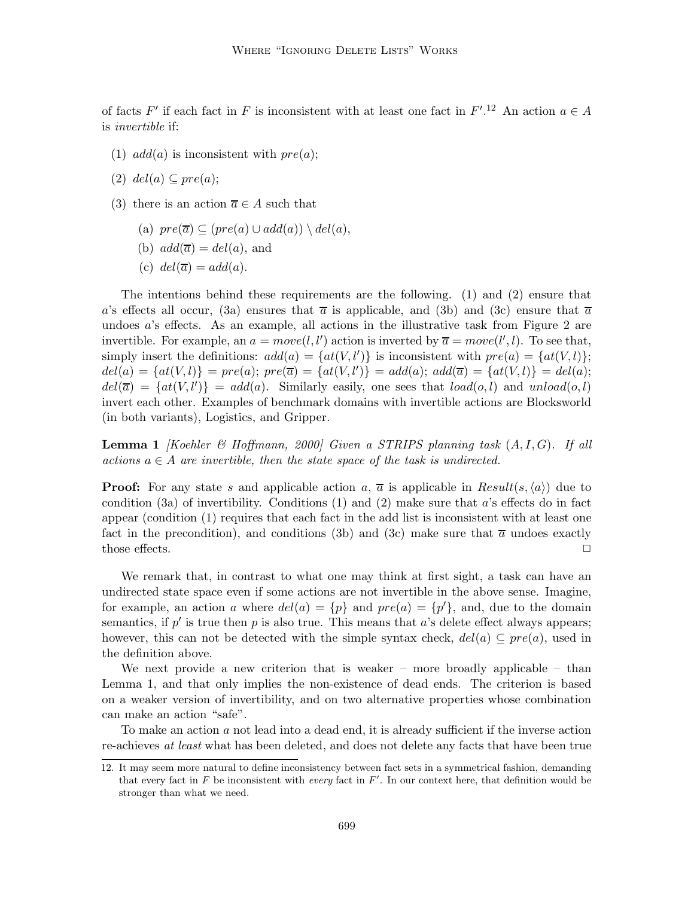of facts F' if each fact in F is inconsistent with at least one fact in  $F'.^{12}$  An action  $a \in A$ is invertible if:

(1)  $add(a)$  is inconsistent with  $pre(a);$ 

(2) 
$$
del(a) \subseteq pre(a);
$$

- (3) there is an action  $\overline{a} \in A$  such that
	- (a)  $pre(\overline{a}) \subseteq (pre(a) \cup add(a)) \setminus del(a),$
	- (b)  $add(\overline{a})=del(a)$ , and
	- (c)  $del(\overline{a}) = add(a)$ .

The intentions behind these requirements are the following. (1) and (2) ensure that a's effects all occur, (3a) ensures that  $\bar{a}$  is applicable, and (3b) and (3c) ensure that  $\bar{a}$ undoes a's effects. As an example, all actions in the illustrative task from Figure 2 are invertible. For example, an  $a = move(l, l')$  action is inverted by  $\overline{a} = move(l', l)$ . To see that, simply insert the definitions:  $add(a) = \{at(V, l')\}$  is inconsistent with  $pre(a) = \{at(V, l)\};$  $del(a) = {at(V, l)} = pre(a); pre(\overline{a}) = {at(V, l')} = add(a); add(\overline{a}) = {at(V, l)} = del(a);$  $del(\overline{a}) = \{at(V, l')\} = add(a)$ . Similarly easily, one sees that  $load(o, l)$  and  $unload(o, l)$ invert each other. Examples of benchmark domains with invertible actions are Blocksworld (in both variants), Logistics, and Gripper.

**Lemma 1** [Koehler & Hoffmann, 2000] Given a STRIPS planning task  $(A, I, G)$ . If all actions  $a \in A$  are invertible, then the state space of the task is undirected.

**Proof:** For any state s and applicable action a,  $\overline{a}$  is applicable in Result(s,  $\langle a \rangle$ ) due to condition (3a) of invertibility. Conditions  $(1)$  and  $(2)$  make sure that a's effects do in fact appear (condition (1) requires that each fact in the add list is inconsistent with at least one fact in the precondition), and conditions (3b) and (3c) make sure that  $\bar{a}$  undoes exactly those effects.  $\Box$ 

We remark that, in contrast to what one may think at first sight, a task can have an undirected state space even if some actions are not invertible in the above sense. Imagine, for example, an action a where  $del(a) = \{p\}$  and  $pre(a) = \{p'\}$ , and, due to the domain semantics, if  $p'$  is true then p is also true. This means that a's delete effect always appears; however, this can not be detected with the simple syntax check,  $del(a) \subseteq pre(a)$ , used in the definition above.

We next provide a new criterion that is weaker – more broadly applicable – than Lemma 1, and that only implies the non-existence of dead ends. The criterion is based on a weaker version of invertibility, and on two alternative properties whose combination can make an action "safe".

To make an action a not lead into a dead end, it is already sufficient if the inverse action re-achieves at least what has been deleted, and does not delete any facts that have been true

<sup>12.</sup> It may seem more natural to define inconsistency between fact sets in a symmetrical fashion, demanding that every fact in  $F$  be inconsistent with every fact in  $F'$ . In our context here, that definition would be stronger than what we need.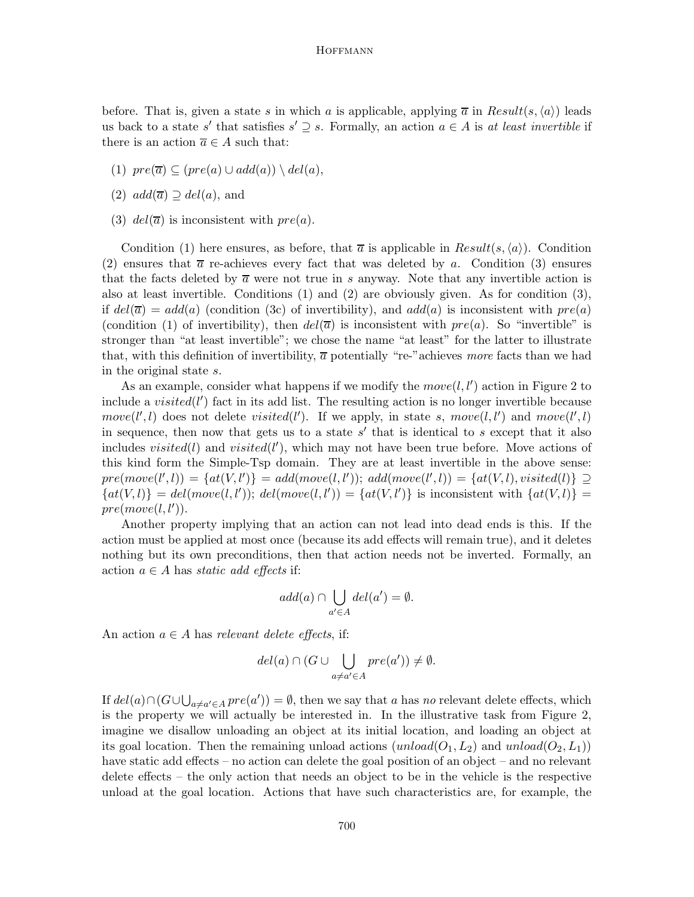before. That is, given a state s in which a is applicable, applying  $\bar{a}$  in  $Result(s, \langle a \rangle)$  leads us back to a state s' that satisfies  $s' \supseteq s$ . Formally, an action  $a \in A$  is at least invertible if there is an action  $\overline{a} \in A$  such that:

- (1)  $pre(\overline{a}) \subseteq (pre(a) \cup add(a)) \setminus del(a),$
- (2)  $add(\overline{a}) \supseteq del(a)$ , and
- (3)  $del(\overline{a})$  is inconsistent with  $pre(a)$ .

Condition (1) here ensures, as before, that  $\overline{a}$  is applicable in  $Result(s, \langle a \rangle)$ . Condition (2) ensures that  $\bar{a}$  re-achieves every fact that was deleted by a. Condition (3) ensures that the facts deleted by  $\overline{a}$  were not true in s anyway. Note that any invertible action is also at least invertible. Conditions (1) and (2) are obviously given. As for condition (3), if  $del(\bar{a}) = add(a)$  (condition (3c) of invertibility), and  $add(a)$  is inconsistent with  $pre(a)$ (condition (1) of invertibility), then  $del(\overline{a})$  is inconsistent with  $pre(a)$ . So "invertible" is stronger than "at least invertible"; we chose the name "at least" for the latter to illustrate that, with this definition of invertibility,  $\overline{a}$  potentially "re-"achieves more facts than we had in the original state s.

As an example, consider what happens if we modify the  $move(l, l')$  action in Figure 2 to include a  $visited(l')$  fact in its add list. The resulting action is no longer invertible because  $move(l', l)$  does not delete visited(l'). If we apply, in state s,  $move(l, l')$  and  $move(l', l)$ in sequence, then now that gets us to a state  $s'$  that is identical to  $s$  except that it also includes  $visited(l)$  and  $visited(l')$ , which may not have been true before. Move actions of this kind form the Simple-Tsp domain. They are at least invertible in the above sense:  $pre(move(l', l)) = \{at(V, l')\} = add(move(l, l'))$ ;  $add(move(l', l)) = \{at(V, l), visited(l)\} \supseteq$  ${at(V, l)} = del(move(l, l')); del(move(l, l')) = {at(V, l')}$  is inconsistent with  ${at(V, l)}$  $pre(move(l, l')).$ 

Another property implying that an action can not lead into dead ends is this. If the action must be applied at most once (because its add effects will remain true), and it deletes nothing but its own preconditions, then that action needs not be inverted. Formally, an action  $a \in A$  has static add effects if:

$$
add(a) \cap \bigcup_{a' \in A} del(a') = \emptyset.
$$

An action  $a \in A$  has relevant delete effects, if:

$$
del(a) \cap (G \cup \bigcup_{a \neq a' \in A} pre(a')) \neq \emptyset.
$$

If  $del(a) \cap (G \cup \bigcup_{a \neq a' \in A} pre(a')) = \emptyset$ , then we say that a has no relevant delete effects, which is the property we will actually be interested in. In the illustrative task from Figure 2, imagine we disallow unloading an object at its initial location, and loading an object at its goal location. Then the remaining unload actions (unload( $O_1, L_2$ ) and unload( $O_2, L_1$ )) have static add effects – no action can delete the goal position of an object – and no relevant delete effects – the only action that needs an object to be in the vehicle is the respective unload at the goal location. Actions that have such characteristics are, for example, the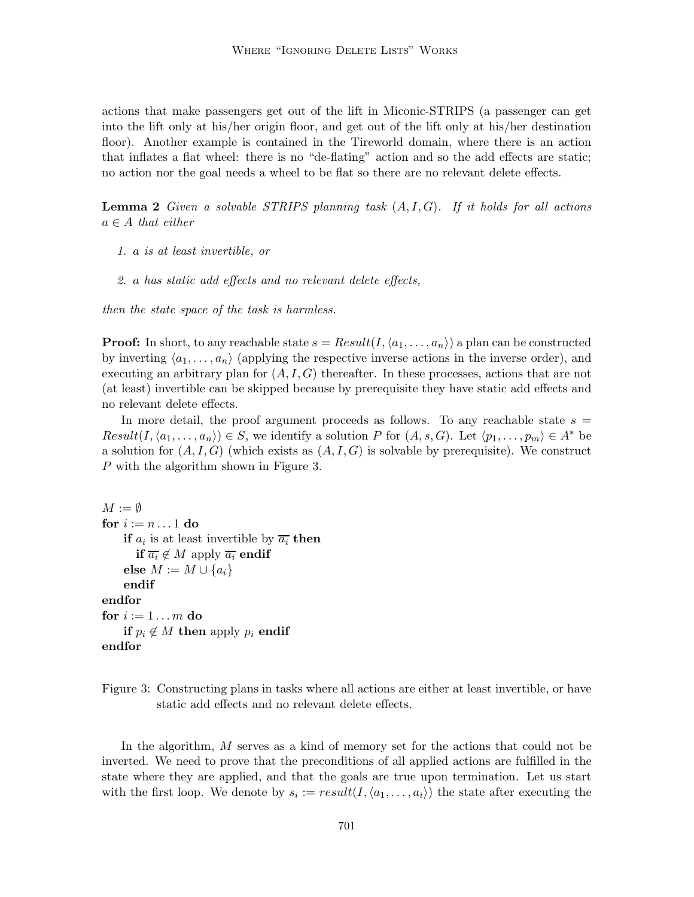actions that make passengers get out of the lift in Miconic-STRIPS (a passenger can get into the lift only at his/her origin floor, and get out of the lift only at his/her destination floor). Another example is contained in the Tireworld domain, where there is an action that inflates a flat wheel: there is no "de-flating" action and so the add effects are static; no action nor the goal needs a wheel to be flat so there are no relevant delete effects.

**Lemma 2** Given a solvable STRIPS planning task  $(A, I, G)$ . If it holds for all actions  $a \in A$  that either

- 1. a is at least invertible, or
- 2. a has static add effects and no relevant delete effects,

then the state space of the task is harmless.

**Proof:** In short, to any reachable state  $s = Result(I, \langle a_1, \ldots, a_n \rangle)$  a plan can be constructed by inverting  $\langle a_1, \ldots, a_n \rangle$  (applying the respective inverse actions in the inverse order), and executing an arbitrary plan for  $(A, I, G)$  thereafter. In these processes, actions that are not (at least) invertible can be skipped because by prerequisite they have static add effects and no relevant delete effects.

In more detail, the proof argument proceeds as follows. To any reachable state  $s =$  $Result(I, \langle a_1, \ldots, a_n \rangle) \in S$ , we identify a solution P for  $(A, s, G)$ . Let  $\langle p_1, \ldots, p_m \rangle \in A^*$  be a solution for  $(A, I, G)$  (which exists as  $(A, I, G)$  is solvable by prerequisite). We construct P with the algorithm shown in Figure 3.

```
M := \emptysetfor i := n \dots 1 do
     if a_i is at least invertible by \overline{a_i} then
        if \overline{a_i} \notin M apply \overline{a_i} endif
     else M := M \cup \{a_i\}endif
endfor
for i := 1 \ldots m do
     if p_i \notin M then apply p_i endif
endfor
```
Figure 3: Constructing plans in tasks where all actions are either at least invertible, or have static add effects and no relevant delete effects.

In the algorithm, M serves as a kind of memory set for the actions that could not be inverted. We need to prove that the preconditions of all applied actions are fulfilled in the state where they are applied, and that the goals are true upon termination. Let us start with the first loop. We denote by  $s_i := result(I, \langle a_1, \ldots, a_i \rangle)$  the state after executing the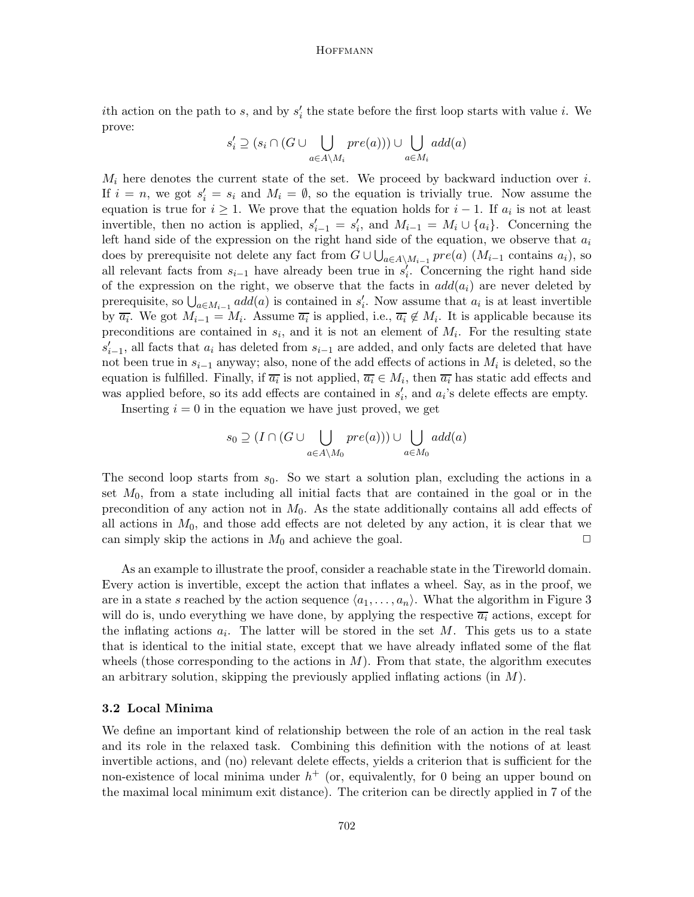ith action on the path to s, and by  $s_i'$  the state before the first loop starts with value i. We prove:

$$
s_i' \supseteq (s_i \cap (G \cup \bigcup_{a \in A \setminus M_i} pre(a))) \cup \bigcup_{a \in M_i} add(a)
$$

 $M_i$  here denotes the current state of the set. We proceed by backward induction over i. If  $i = n$ , we got  $s'_i = s_i$  and  $M_i = \emptyset$ , so the equation is trivially true. Now assume the equation is true for  $i \geq 1$ . We prove that the equation holds for  $i - 1$ . If  $a_i$  is not at least invertible, then no action is applied,  $s'_{i-1} = s'_{i}$ , and  $M_{i-1} = M_i \cup \{a_i\}$ . Concerning the left hand side of the expression on the right hand side of the equation, we observe that  $a_i$ does by prerequisite not delete any fact from  $G \cup \bigcup_{a \in A \setminus M_{i-1}} pre(a)$   $(M_{i-1}$  contains  $a_i$ ), so all relevant facts from  $s_{i-1}$  have already been true in  $s_i'$ . Concerning the right hand side of the expression on the right, we observe that the facts in  $add(a_i)$  are never deleted by prerequisite, so  $\bigcup_{a \in M_{i-1}} add(a)$  is contained in  $s'_i$ . Now assume that  $a_i$  is at least invertible by  $\overline{a_i}$ . We got  $M_{i-1} = M_i$ . Assume  $\overline{a_i}$  is applied, i.e.,  $\overline{a_i} \notin M_i$ . It is applicable because its preconditions are contained in  $s_i$ , and it is not an element of  $M_i$ . For the resulting state  $s'_{i-1}$ , all facts that  $a_i$  has deleted from  $s_{i-1}$  are added, and only facts are deleted that have not been true in  $s_{i-1}$  anyway; also, none of the add effects of actions in  $M_i$  is deleted, so the equation is fulfilled. Finally, if  $\overline{a_i}$  is not applied,  $\overline{a_i} \in M_i$ , then  $\overline{a_i}$  has static add effects and was applied before, so its add effects are contained in  $s_i'$ , and  $a_i$ 's delete effects are empty.

Inserting  $i = 0$  in the equation we have just proved, we get

$$
s_0 \supseteq (I \cap (G \cup \bigcup_{a \in A \setminus M_0} pre(a))) \cup \bigcup_{a \in M_0} add(a)
$$

The second loop starts from  $s_0$ . So we start a solution plan, excluding the actions in a set  $M_0$ , from a state including all initial facts that are contained in the goal or in the precondition of any action not in  $M_0$ . As the state additionally contains all add effects of all actions in  $M_0$ , and those add effects are not deleted by any action, it is clear that we can simply skip the actions in  $M_0$  and achieve the goal.  $\Box$ 

As an example to illustrate the proof, consider a reachable state in the Tireworld domain. Every action is invertible, except the action that inflates a wheel. Say, as in the proof, we are in a state s reached by the action sequence  $\langle a_1, \ldots, a_n \rangle$ . What the algorithm in Figure 3 will do is, undo everything we have done, by applying the respective  $\overline{a_i}$  actions, except for the inflating actions  $a_i$ . The latter will be stored in the set M. This gets us to a state that is identical to the initial state, except that we have already inflated some of the flat wheels (those corresponding to the actions in  $M$ ). From that state, the algorithm executes an arbitrary solution, skipping the previously applied inflating actions (in  $M$ ).

# 3.2 Local Minima

We define an important kind of relationship between the role of an action in the real task and its role in the relaxed task. Combining this definition with the notions of at least invertible actions, and (no) relevant delete effects, yields a criterion that is sufficient for the non-existence of local minima under  $h^+$  (or, equivalently, for 0 being an upper bound on the maximal local minimum exit distance). The criterion can be directly applied in 7 of the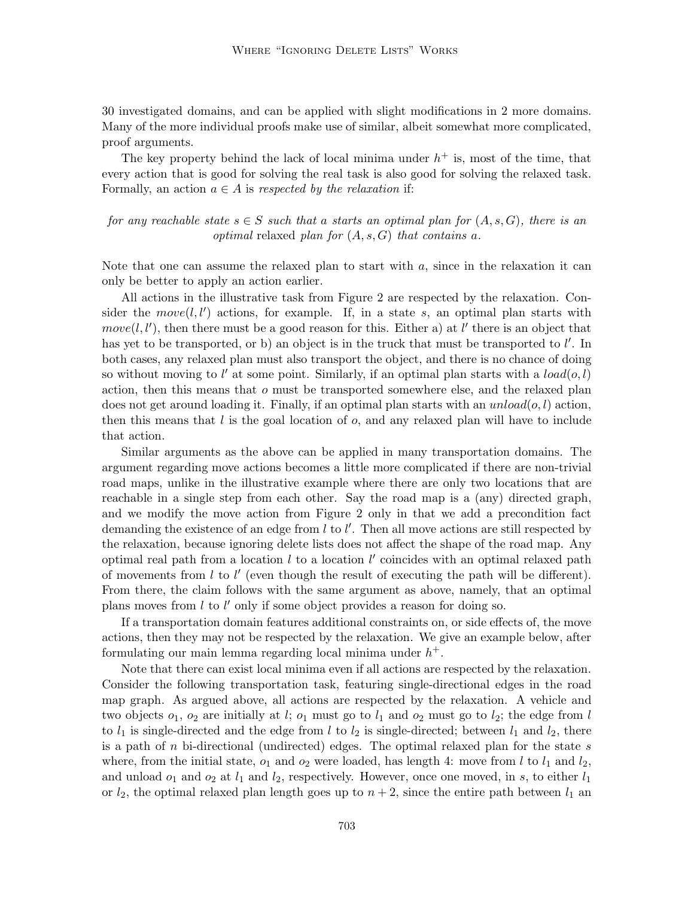30 investigated domains, and can be applied with slight modifications in 2 more domains. Many of the more individual proofs make use of similar, albeit somewhat more complicated, proof arguments.

The key property behind the lack of local minima under  $h^+$  is, most of the time, that every action that is good for solving the real task is also good for solving the relaxed task. Formally, an action  $a \in A$  is respected by the relaxation if:

for any reachable state  $s \in S$  such that a starts an optimal plan for  $(A, s, G)$ , there is an *optimal* relaxed plan for  $(A, s, G)$  that contains a.

Note that one can assume the relaxed plan to start with  $a$ , since in the relaxation it can only be better to apply an action earlier.

All actions in the illustrative task from Figure 2 are respected by the relaxation. Consider the  $move(l, l')$  actions, for example. If, in a state s, an optimal plan starts with  $move(l, l')$ , then there must be a good reason for this. Either a) at l' there is an object that has yet to be transported, or b) an object is in the truck that must be transported to  $l'$ . In both cases, any relaxed plan must also transport the object, and there is no chance of doing so without moving to  $l'$  at some point. Similarly, if an optimal plan starts with a  $load(o, l)$ action, then this means that o must be transported somewhere else, and the relaxed plan does not get around loading it. Finally, if an optimal plan starts with an  $unload(o, l)$  action, then this means that  $l$  is the goal location of  $o$ , and any relaxed plan will have to include that action.

Similar arguments as the above can be applied in many transportation domains. The argument regarding move actions becomes a little more complicated if there are non-trivial road maps, unlike in the illustrative example where there are only two locations that are reachable in a single step from each other. Say the road map is a (any) directed graph, and we modify the move action from Figure 2 only in that we add a precondition fact demanding the existence of an edge from  $l$  to  $l'$ . Then all move actions are still respected by the relaxation, because ignoring delete lists does not affect the shape of the road map. Any optimal real path from a location  $l$  to a location  $l'$  coincides with an optimal relaxed path of movements from  $l$  to  $l'$  (even though the result of executing the path will be different). From there, the claim follows with the same argument as above, namely, that an optimal plans moves from  $l$  to  $l'$  only if some object provides a reason for doing so.

If a transportation domain features additional constraints on, or side effects of, the move actions, then they may not be respected by the relaxation. We give an example below, after formulating our main lemma regarding local minima under  $h^+$ .

Note that there can exist local minima even if all actions are respected by the relaxation. Consider the following transportation task, featuring single-directional edges in the road map graph. As argued above, all actions are respected by the relaxation. A vehicle and two objects  $o_1$ ,  $o_2$  are initially at l;  $o_1$  must go to  $l_1$  and  $o_2$  must go to  $l_2$ ; the edge from l to  $l_1$  is single-directed and the edge from l to  $l_2$  is single-directed; between  $l_1$  and  $l_2$ , there is a path of  $n$  bi-directional (undirected) edges. The optimal relaxed plan for the state  $s$ where, from the initial state,  $o_1$  and  $o_2$  were loaded, has length 4: move from l to  $l_1$  and  $l_2$ , and unload  $o_1$  and  $o_2$  at  $l_1$  and  $l_2$ , respectively. However, once one moved, in s, to either  $l_1$ or  $l_2$ , the optimal relaxed plan length goes up to  $n + 2$ , since the entire path between  $l_1$  and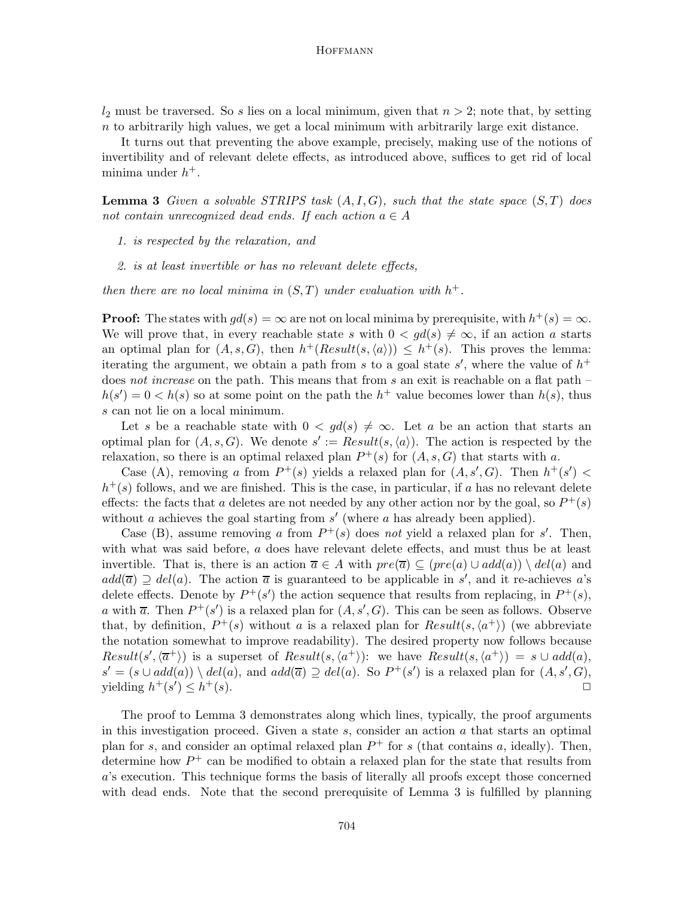$l_2$  must be traversed. So s lies on a local minimum, given that  $n > 2$ ; note that, by setting  $n$  to arbitrarily high values, we get a local minimum with arbitrarily large exit distance.

It turns out that preventing the above example, precisely, making use of the notions of invertibility and of relevant delete effects, as introduced above, suffices to get rid of local minima under  $h^+$ .

**Lemma 3** Given a solvable STRIPS task  $(A, I, G)$ , such that the state space  $(S, T)$  does not contain unrecognized dead ends. If each action  $a \in A$ 

- 1. is respected by the relaxation, and
- 2. is at least invertible or has no relevant delete effects,

then there are no local minima in  $(S,T)$  under evaluation with  $h^+$ .

**Proof:** The states with  $gd(s) = \infty$  are not on local minima by prerequisite, with  $h^+(s) = \infty$ . We will prove that, in every reachable state s with  $0 < gd(s) \neq \infty$ , if an action a starts an optimal plan for  $(A, s, G)$ , then  $h^+(Result(s, \langle a \rangle)) \leq h^+(s)$ . This proves the lemma: iterating the argument, we obtain a path from s to a goal state s', where the value of  $h^+$ does not increase on the path. This means that from s an exit is reachable on a flat path  $$  $h(s') = 0 < h(s)$  so at some point on the path the  $h^+$  value becomes lower than  $h(s)$ , thus s can not lie on a local minimum.

Let s be a reachable state with  $0 < qd(s) \neq \infty$ . Let a be an action that starts an optimal plan for  $(A, s, G)$ . We denote  $s' := Result(s, \langle a \rangle)$ . The action is respected by the relaxation, so there is an optimal relaxed plan  $P^+(s)$  for  $(A, s, G)$  that starts with a.

Case (A), removing a from  $P^+(s)$  yields a relaxed plan for  $(A, s', G)$ . Then  $h^+(s') <$  $h^+(s)$  follows, and we are finished. This is the case, in particular, if a has no relevant delete effects: the facts that a deletes are not needed by any other action nor by the goal, so  $P^+(s)$ without  $a$  achieves the goal starting from  $s'$  (where  $a$  has already been applied).

Case (B), assume removing a from  $P^+(s)$  does not yield a relaxed plan for s'. Then, with what was said before, a does have relevant delete effects, and must thus be at least invertible. That is, there is an action  $\overline{a} \in A$  with  $pre(\overline{a}) \subseteq (pre(a) \cup add(a)) \setminus del(a)$  and  $add(\overline{a}) \supseteq del(a)$ . The action  $\overline{a}$  is guaranteed to be applicable in s', and it re-achieves a's delete effects. Denote by  $P^+(s')$  the action sequence that results from replacing, in  $P^+(s)$ , a with  $\overline{a}$ . Then  $P^+(s')$  is a relaxed plan for  $(A, s', G)$ . This can be seen as follows. Observe that, by definition,  $P^+(s)$  without a is a relaxed plan for  $Result(s, \langle a^+ \rangle)$  (we abbreviate the notation somewhat to improve readability). The desired property now follows because Result(s', $\langle \overline{a}^+ \rangle$ ) is a superset of Result(s, $\langle a^+ \rangle$ ): we have Result(s, $\langle a^+ \rangle$ ) = s  $\cup$  add(a),  $s' = (s \cup add(a)) \setminus del(a),$  and  $add(\overline{a}) \supseteq del(a)$ . So  $P^+(s')$  is a relaxed plan for  $(A, s', G)$ , yielding  $h^+(s') \leq h$  $^{+}(s)$ .

The proof to Lemma 3 demonstrates along which lines, typically, the proof arguments in this investigation proceed. Given a state  $s$ , consider an action  $a$  that starts an optimal plan for s, and consider an optimal relaxed plan  $P^+$  for s (that contains a, ideally). Then, determine how  $P^+$  can be modified to obtain a relaxed plan for the state that results from a's execution. This technique forms the basis of literally all proofs except those concerned with dead ends. Note that the second prerequisite of Lemma 3 is fulfilled by planning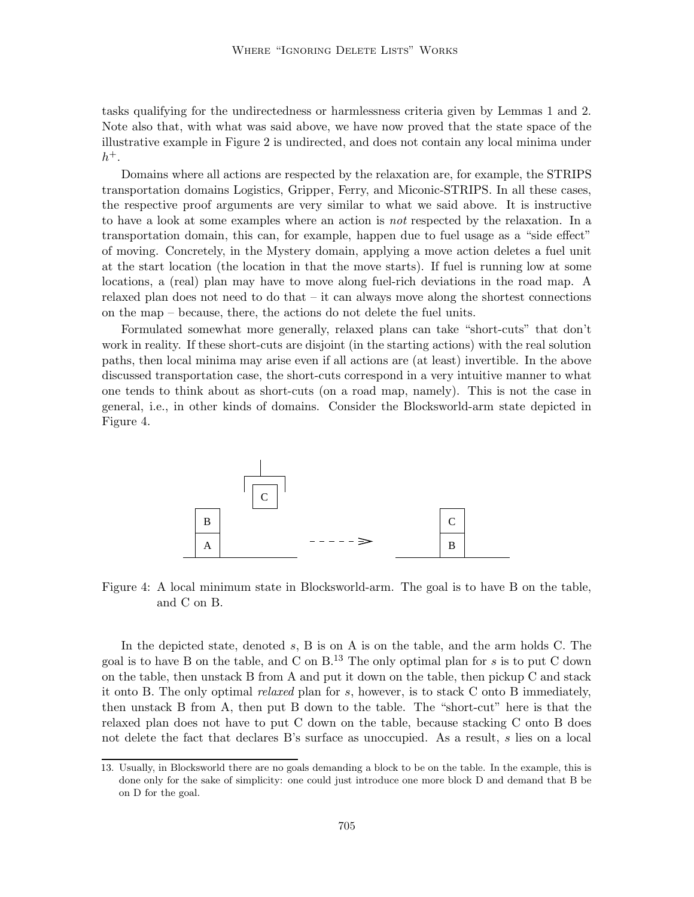tasks qualifying for the undirectedness or harmlessness criteria given by Lemmas 1 and 2. Note also that, with what was said above, we have now proved that the state space of the illustrative example in Figure 2 is undirected, and does not contain any local minima under  $h^+$ .

Domains where all actions are respected by the relaxation are, for example, the STRIPS transportation domains Logistics, Gripper, Ferry, and Miconic-STRIPS. In all these cases, the respective proof arguments are very similar to what we said above. It is instructive to have a look at some examples where an action is not respected by the relaxation. In a transportation domain, this can, for example, happen due to fuel usage as a "side effect" of moving. Concretely, in the Mystery domain, applying a move action deletes a fuel unit at the start location (the location in that the move starts). If fuel is running low at some locations, a (real) plan may have to move along fuel-rich deviations in the road map. A relaxed plan does not need to do that  $-$  it can always move along the shortest connections on the map – because, there, the actions do not delete the fuel units.

Formulated somewhat more generally, relaxed plans can take "short-cuts" that don't work in reality. If these short-cuts are disjoint (in the starting actions) with the real solution paths, then local minima may arise even if all actions are (at least) invertible. In the above discussed transportation case, the short-cuts correspond in a very intuitive manner to what one tends to think about as short-cuts (on a road map, namely). This is not the case in general, i.e., in other kinds of domains. Consider the Blocksworld-arm state depicted in Figure 4.



Figure 4: A local minimum state in Blocksworld-arm. The goal is to have B on the table, and C on B.

In the depicted state, denoted s, B is on A is on the table, and the arm holds C. The goal is to have B on the table, and C on  $B^{13}$ . The only optimal plan for s is to put C down on the table, then unstack B from A and put it down on the table, then pickup C and stack it onto B. The only optimal relaxed plan for s, however, is to stack C onto B immediately, then unstack B from A, then put B down to the table. The "short-cut" here is that the relaxed plan does not have to put C down on the table, because stacking C onto B does not delete the fact that declares B's surface as unoccupied. As a result, s lies on a local

<sup>13.</sup> Usually, in Blocksworld there are no goals demanding a block to be on the table. In the example, this is done only for the sake of simplicity: one could just introduce one more block D and demand that B be on D for the goal.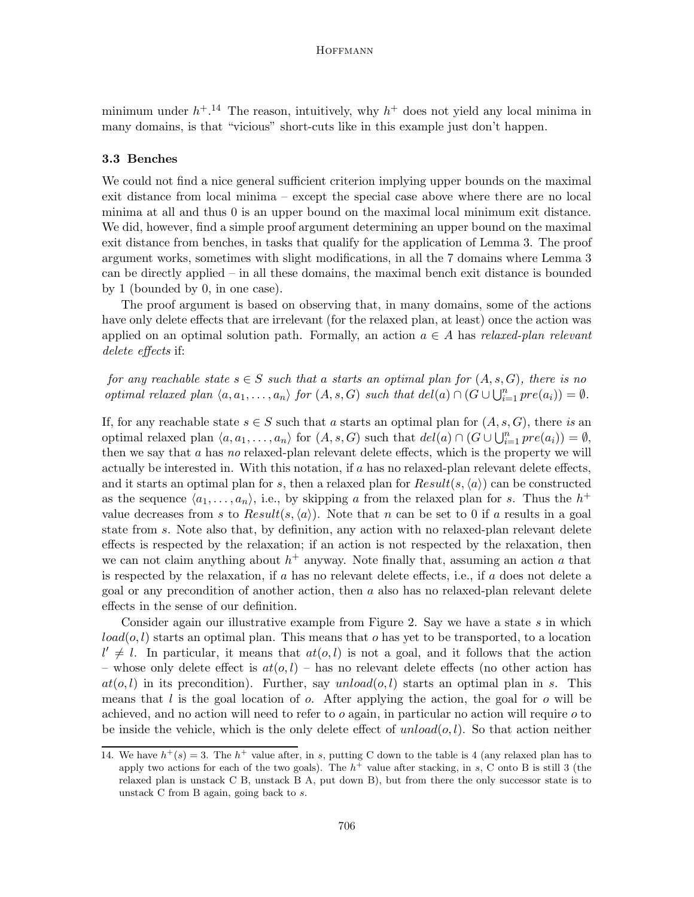minimum under  $h^{+14}$  The reason, intuitively, why  $h^{+}$  does not yield any local minima in many domains, is that "vicious" short-cuts like in this example just don't happen.

#### 3.3 Benches

We could not find a nice general sufficient criterion implying upper bounds on the maximal exit distance from local minima – except the special case above where there are no local minima at all and thus 0 is an upper bound on the maximal local minimum exit distance. We did, however, find a simple proof argument determining an upper bound on the maximal exit distance from benches, in tasks that qualify for the application of Lemma 3. The proof argument works, sometimes with slight modifications, in all the 7 domains where Lemma 3 can be directly applied – in all these domains, the maximal bench exit distance is bounded by 1 (bounded by 0, in one case).

The proof argument is based on observing that, in many domains, some of the actions have only delete effects that are irrelevant (for the relaxed plan, at least) once the action was applied on an optimal solution path. Formally, an action  $a \in A$  has relaxed-plan relevant delete effects if:

for any reachable state  $s \in S$  such that a starts an optimal plan for  $(A, s, G)$ , there is no optimal relaxed plan  $\langle a, a_1, \ldots, a_n \rangle$  for  $(A, s, G)$  such that  $del(a) \cap (G \cup \bigcup_{i=1}^n pre(a_i)) = \emptyset$ .

If, for any reachable state  $s \in S$  such that a starts an optimal plan for  $(A, s, G)$ , there is an optimal relaxed plan  $\langle a, a_1, \ldots, a_n \rangle$  for  $(A, s, G)$  such that  $del(a) \cap (G \cup \bigcup_{i=1}^n pre(a_i)) = \emptyset$ , then we say that a has no relaxed-plan relevant delete effects, which is the property we will actually be interested in. With this notation, if  $a$  has no relaxed-plan relevant delete effects, and it starts an optimal plan for s, then a relaxed plan for  $Result(s, \langle a \rangle)$  can be constructed as the sequence  $\langle a_1, \ldots, a_n \rangle$ , i.e., by skipping a from the relaxed plan for s. Thus the  $h^+$ value decreases from s to  $Result(s, \langle a \rangle)$ . Note that n can be set to 0 if a results in a goal state from s. Note also that, by definition, any action with no relaxed-plan relevant delete effects is respected by the relaxation; if an action is not respected by the relaxation, then we can not claim anything about  $h^+$  anyway. Note finally that, assuming an action a that is respected by the relaxation, if  $a$  has no relevant delete effects, i.e., if  $a$  does not delete a goal or any precondition of another action, then a also has no relaxed-plan relevant delete effects in the sense of our definition.

Consider again our illustrative example from Figure 2. Say we have a state  $s$  in which  $load(o, l)$  starts an optimal plan. This means that o has yet to be transported, to a location  $l' \neq l$ . In particular, it means that  $at(o, l)$  is not a goal, and it follows that the action – whose only delete effect is  $at(o, l)$  – has no relevant delete effects (no other action has  $at(o, l)$  in its precondition). Further, say unload $(o, l)$  starts an optimal plan in s. This means that  $l$  is the goal location of  $o$ . After applying the action, the goal for  $o$  will be achieved, and no action will need to refer to  $o$  again, in particular no action will require  $o$  to be inside the vehicle, which is the only delete effect of  $unload(o, l)$ . So that action neither

<sup>14.</sup> We have  $h^+(s) = 3$ . The  $h^+$  value after, in s, putting C down to the table is 4 (any relaxed plan has to apply two actions for each of the two goals). The  $h^+$  value after stacking, in s, C onto B is still 3 (the relaxed plan is unstack C B, unstack B A, put down B), but from there the only successor state is to unstack C from B again, going back to s.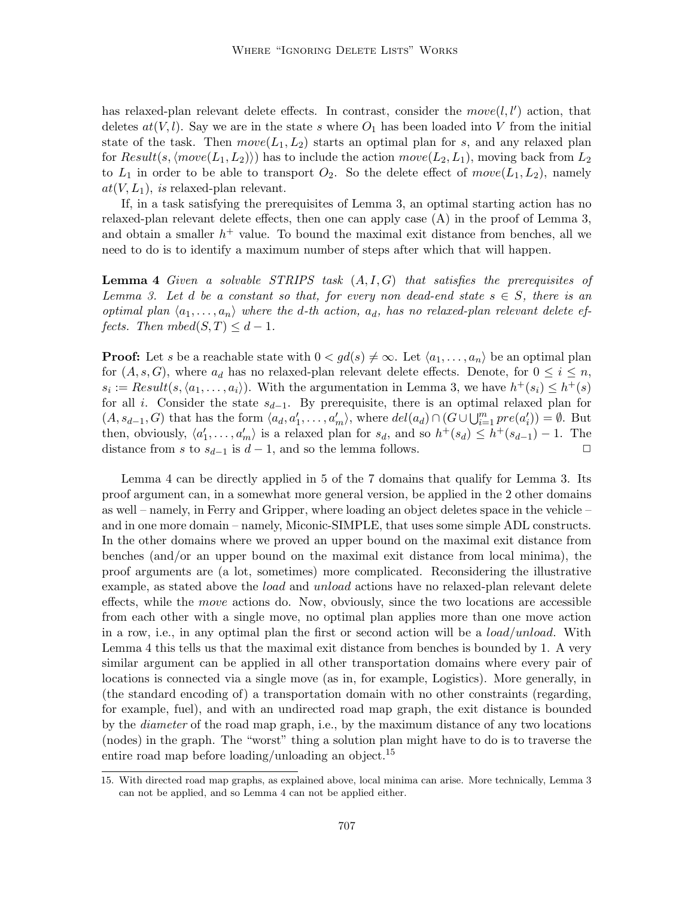has relaxed-plan relevant delete effects. In contrast, consider the  $move(l, l')$  action, that deletes  $at(V, l)$ . Say we are in the state s where  $O_1$  has been loaded into V from the initial state of the task. Then  $move(L_1, L_2)$  starts an optimal plan for s, and any relaxed plan for  $Result(s, \langle move(L_1, L_2)\rangle)$  has to include the action  $move(L_2, L_1)$ , moving back from  $L_2$ to  $L_1$  in order to be able to transport  $O_2$ . So the delete effect of  $move(L_1, L_2)$ , namely  $at(V, L_1)$ , is relaxed-plan relevant.

If, in a task satisfying the prerequisites of Lemma 3, an optimal starting action has no relaxed-plan relevant delete effects, then one can apply case (A) in the proof of Lemma 3, and obtain a smaller  $h<sup>+</sup>$  value. To bound the maximal exit distance from benches, all we need to do is to identify a maximum number of steps after which that will happen.

**Lemma 4** Given a solvable STRIPS task  $(A, I, G)$  that satisfies the prerequisites of Lemma 3. Let d be a constant so that, for every non dead-end state  $s \in S$ , there is an optimal plan  $\langle a_1, \ldots, a_n \rangle$  where the d-th action,  $a_d$ , has no relaxed-plan relevant delete effects. Then  $mbed(S,T) \leq d-1$ .

**Proof:** Let s be a reachable state with  $0 < gd(s) \neq \infty$ . Let  $\langle a_1, \ldots, a_n \rangle$  be an optimal plan for  $(A, s, G)$ , where  $a_d$  has no relaxed-plan relevant delete effects. Denote, for  $0 \leq i \leq n$ ,  $s_i := Result(s, \langle a_1, \ldots, a_i \rangle)$ . With the argumentation in Lemma 3, we have  $h^+(s_i) \leq h^+(s)$ for all i. Consider the state  $s_{d-1}$ . By prerequisite, there is an optimal relaxed plan for  $(A, s_{d-1}, G)$  that has the form  $\langle a_d, a'_1, \ldots, a'_m \rangle$ , where  $del(a_d) \cap (G \cup \bigcup_{i=1}^m pre(a'_i)) = \emptyset$ . But then, obviously,  $\langle a'_1, \ldots, a'_m \rangle$  is a relaxed plan for  $s_d$ , and so  $h^+(s_d) \leq h^+(s_{d-1}) - 1$ . The distance from s to  $s_{d-1}$  is  $d-1$ , and so the lemma follows.  $\Box$ 

Lemma 4 can be directly applied in 5 of the 7 domains that qualify for Lemma 3. Its proof argument can, in a somewhat more general version, be applied in the 2 other domains as well – namely, in Ferry and Gripper, where loading an object deletes space in the vehicle – and in one more domain – namely, Miconic-SIMPLE, that uses some simple ADL constructs. In the other domains where we proved an upper bound on the maximal exit distance from benches (and/or an upper bound on the maximal exit distance from local minima), the proof arguments are (a lot, sometimes) more complicated. Reconsidering the illustrative example, as stated above the *load* and *unload* actions have no relaxed-plan relevant delete effects, while the move actions do. Now, obviously, since the two locations are accessible from each other with a single move, no optimal plan applies more than one move action in a row, i.e., in any optimal plan the first or second action will be a  $load/unload$ . With Lemma 4 this tells us that the maximal exit distance from benches is bounded by 1. A very similar argument can be applied in all other transportation domains where every pair of locations is connected via a single move (as in, for example, Logistics). More generally, in (the standard encoding of) a transportation domain with no other constraints (regarding, for example, fuel), and with an undirected road map graph, the exit distance is bounded by the diameter of the road map graph, i.e., by the maximum distance of any two locations (nodes) in the graph. The "worst" thing a solution plan might have to do is to traverse the entire road map before loading/unloading an object.<sup>15</sup>

<sup>15.</sup> With directed road map graphs, as explained above, local minima can arise. More technically, Lemma 3 can not be applied, and so Lemma 4 can not be applied either.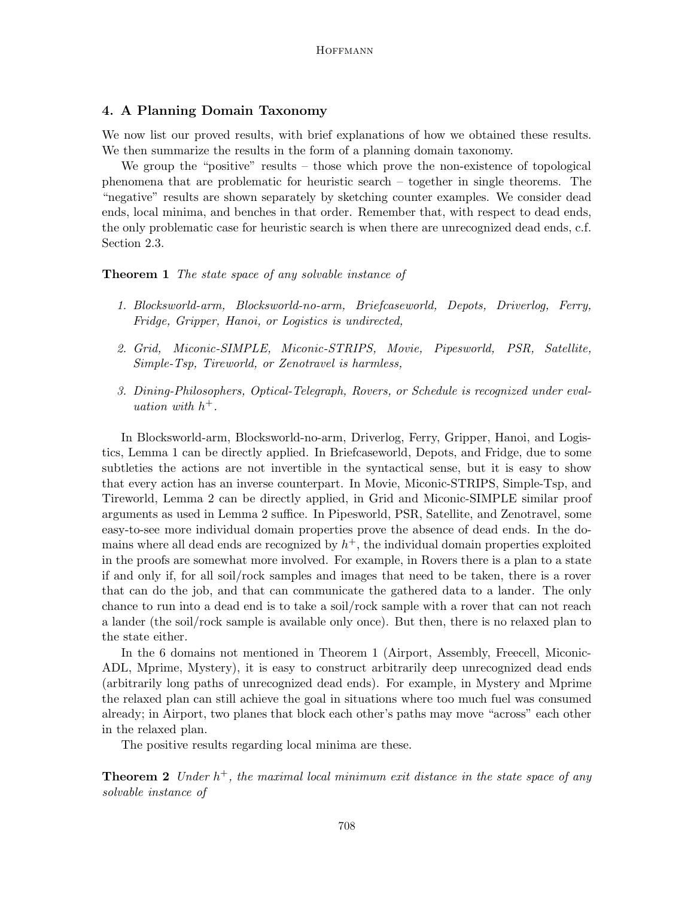# 4. A Planning Domain Taxonomy

We now list our proved results, with brief explanations of how we obtained these results. We then summarize the results in the form of a planning domain taxonomy.

We group the "positive" results – those which prove the non-existence of topological phenomena that are problematic for heuristic search – together in single theorems. The "negative" results are shown separately by sketching counter examples. We consider dead ends, local minima, and benches in that order. Remember that, with respect to dead ends, the only problematic case for heuristic search is when there are unrecognized dead ends, c.f. Section 2.3.

### **Theorem 1** The state space of any solvable instance of

- 1. Blocksworld-arm, Blocksworld-no-arm, Briefcaseworld, Depots, Driverlog, Ferry, Fridge, Gripper, Hanoi, or Logistics is undirected,
- 2. Grid, Miconic-SIMPLE, Miconic-STRIPS, Movie, Pipesworld, PSR, Satellite, Simple-Tsp, Tireworld, or Zenotravel is harmless,
- 3. Dining-Philosophers, Optical-Telegraph, Rovers, or Schedule is recognized under evaluation with  $h^+$ .

In Blocksworld-arm, Blocksworld-no-arm, Driverlog, Ferry, Gripper, Hanoi, and Logistics, Lemma 1 can be directly applied. In Briefcaseworld, Depots, and Fridge, due to some subtleties the actions are not invertible in the syntactical sense, but it is easy to show that every action has an inverse counterpart. In Movie, Miconic-STRIPS, Simple-Tsp, and Tireworld, Lemma 2 can be directly applied, in Grid and Miconic-SIMPLE similar proof arguments as used in Lemma 2 suffice. In Pipesworld, PSR, Satellite, and Zenotravel, some easy-to-see more individual domain properties prove the absence of dead ends. In the domains where all dead ends are recognized by  $h^+$ , the individual domain properties exploited in the proofs are somewhat more involved. For example, in Rovers there is a plan to a state if and only if, for all soil/rock samples and images that need to be taken, there is a rover that can do the job, and that can communicate the gathered data to a lander. The only chance to run into a dead end is to take a soil/rock sample with a rover that can not reach a lander (the soil/rock sample is available only once). But then, there is no relaxed plan to the state either.

In the 6 domains not mentioned in Theorem 1 (Airport, Assembly, Freecell, Miconic-ADL, Mprime, Mystery), it is easy to construct arbitrarily deep unrecognized dead ends (arbitrarily long paths of unrecognized dead ends). For example, in Mystery and Mprime the relaxed plan can still achieve the goal in situations where too much fuel was consumed already; in Airport, two planes that block each other's paths may move "across" each other in the relaxed plan.

The positive results regarding local minima are these.

**Theorem 2** Under  $h^+$ , the maximal local minimum exit distance in the state space of any solvable instance of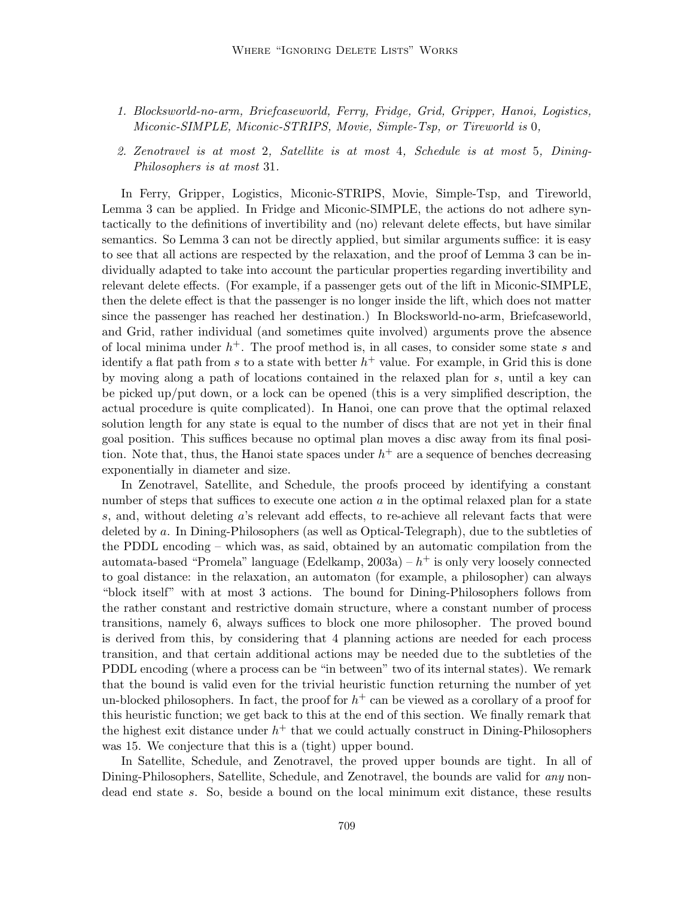- 1. Blocksworld-no-arm, Briefcaseworld, Ferry, Fridge, Grid, Gripper, Hanoi, Logistics, Miconic-SIMPLE, Miconic-STRIPS, Movie, Simple-Tsp, or Tireworld is 0,
- 2. Zenotravel is at most 2, Satellite is at most 4, Schedule is at most 5, Dining-Philosophers is at most 31.

In Ferry, Gripper, Logistics, Miconic-STRIPS, Movie, Simple-Tsp, and Tireworld, Lemma 3 can be applied. In Fridge and Miconic-SIMPLE, the actions do not adhere syntactically to the definitions of invertibility and (no) relevant delete effects, but have similar semantics. So Lemma 3 can not be directly applied, but similar arguments suffice: it is easy to see that all actions are respected by the relaxation, and the proof of Lemma 3 can be individually adapted to take into account the particular properties regarding invertibility and relevant delete effects. (For example, if a passenger gets out of the lift in Miconic-SIMPLE, then the delete effect is that the passenger is no longer inside the lift, which does not matter since the passenger has reached her destination.) In Blocksworld-no-arm, Briefcaseworld, and Grid, rather individual (and sometimes quite involved) arguments prove the absence of local minima under  $h^+$ . The proof method is, in all cases, to consider some state s and identify a flat path from s to a state with better  $h^+$  value. For example, in Grid this is done by moving along a path of locations contained in the relaxed plan for s, until a key can be picked up/put down, or a lock can be opened (this is a very simplified description, the actual procedure is quite complicated). In Hanoi, one can prove that the optimal relaxed solution length for any state is equal to the number of discs that are not yet in their final goal position. This suffices because no optimal plan moves a disc away from its final position. Note that, thus, the Hanoi state spaces under  $h^+$  are a sequence of benches decreasing exponentially in diameter and size.

In Zenotravel, Satellite, and Schedule, the proofs proceed by identifying a constant number of steps that suffices to execute one action  $a$  in the optimal relaxed plan for a state s, and, without deleting a's relevant add effects, to re-achieve all relevant facts that were deleted by a. In Dining-Philosophers (as well as Optical-Telegraph), due to the subtleties of the PDDL encoding – which was, as said, obtained by an automatic compilation from the automata-based "Promela" language (Edelkamp,  $2003a$ ) –  $h^+$  is only very loosely connected to goal distance: in the relaxation, an automaton (for example, a philosopher) can always "block itself" with at most 3 actions. The bound for Dining-Philosophers follows from the rather constant and restrictive domain structure, where a constant number of process transitions, namely 6, always suffices to block one more philosopher. The proved bound is derived from this, by considering that 4 planning actions are needed for each process transition, and that certain additional actions may be needed due to the subtleties of the PDDL encoding (where a process can be "in between" two of its internal states). We remark that the bound is valid even for the trivial heuristic function returning the number of yet un-blocked philosophers. In fact, the proof for  $h^+$  can be viewed as a corollary of a proof for this heuristic function; we get back to this at the end of this section. We finally remark that the highest exit distance under  $h^+$  that we could actually construct in Dining-Philosophers was 15. We conjecture that this is a (tight) upper bound.

In Satellite, Schedule, and Zenotravel, the proved upper bounds are tight. In all of Dining-Philosophers, Satellite, Schedule, and Zenotravel, the bounds are valid for any nondead end state s. So, beside a bound on the local minimum exit distance, these results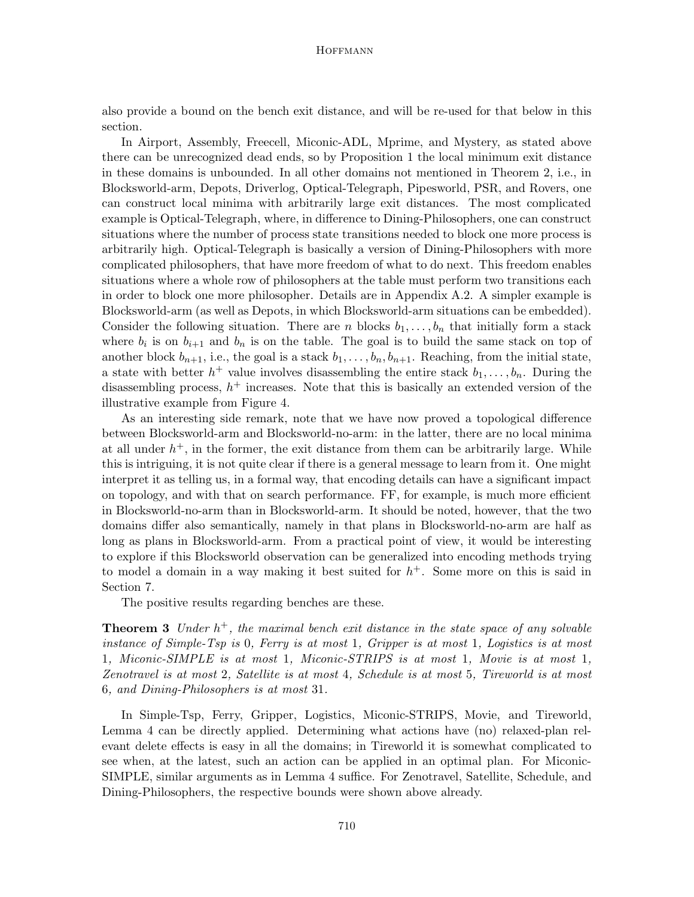also provide a bound on the bench exit distance, and will be re-used for that below in this section.

In Airport, Assembly, Freecell, Miconic-ADL, Mprime, and Mystery, as stated above there can be unrecognized dead ends, so by Proposition 1 the local minimum exit distance in these domains is unbounded. In all other domains not mentioned in Theorem 2, i.e., in Blocksworld-arm, Depots, Driverlog, Optical-Telegraph, Pipesworld, PSR, and Rovers, one can construct local minima with arbitrarily large exit distances. The most complicated example is Optical-Telegraph, where, in difference to Dining-Philosophers, one can construct situations where the number of process state transitions needed to block one more process is arbitrarily high. Optical-Telegraph is basically a version of Dining-Philosophers with more complicated philosophers, that have more freedom of what to do next. This freedom enables situations where a whole row of philosophers at the table must perform two transitions each in order to block one more philosopher. Details are in Appendix A.2. A simpler example is Blocksworld-arm (as well as Depots, in which Blocksworld-arm situations can be embedded). Consider the following situation. There are n blocks  $b_1, \ldots, b_n$  that initially form a stack where  $b_i$  is on  $b_{i+1}$  and  $b_n$  is on the table. The goal is to build the same stack on top of another block  $b_{n+1}$ , i.e., the goal is a stack  $b_1, \ldots, b_n, b_{n+1}$ . Reaching, from the initial state, a state with better  $h^+$  value involves disassembling the entire stack  $b_1, \ldots, b_n$ . During the disassembling process,  $h^+$  increases. Note that this is basically an extended version of the illustrative example from Figure 4.

As an interesting side remark, note that we have now proved a topological difference between Blocksworld-arm and Blocksworld-no-arm: in the latter, there are no local minima at all under  $h^+$ , in the former, the exit distance from them can be arbitrarily large. While this is intriguing, it is not quite clear if there is a general message to learn from it. One might interpret it as telling us, in a formal way, that encoding details can have a significant impact on topology, and with that on search performance. FF, for example, is much more efficient in Blocksworld-no-arm than in Blocksworld-arm. It should be noted, however, that the two domains differ also semantically, namely in that plans in Blocksworld-no-arm are half as long as plans in Blocksworld-arm. From a practical point of view, it would be interesting to explore if this Blocksworld observation can be generalized into encoding methods trying to model a domain in a way making it best suited for  $h<sup>+</sup>$ . Some more on this is said in Section 7.

The positive results regarding benches are these.

**Theorem 3** Under  $h^+$ , the maximal bench exit distance in the state space of any solvable instance of Simple-Tsp is 0, Ferry is at most 1, Gripper is at most 1, Logistics is at most 1, Miconic-SIMPLE is at most 1, Miconic-STRIPS is at most 1, Movie is at most 1, Zenotravel is at most 2, Satellite is at most 4, Schedule is at most 5, Tireworld is at most 6, and Dining-Philosophers is at most 31.

In Simple-Tsp, Ferry, Gripper, Logistics, Miconic-STRIPS, Movie, and Tireworld, Lemma 4 can be directly applied. Determining what actions have (no) relaxed-plan relevant delete effects is easy in all the domains; in Tireworld it is somewhat complicated to see when, at the latest, such an action can be applied in an optimal plan. For Miconic-SIMPLE, similar arguments as in Lemma 4 suffice. For Zenotravel, Satellite, Schedule, and Dining-Philosophers, the respective bounds were shown above already.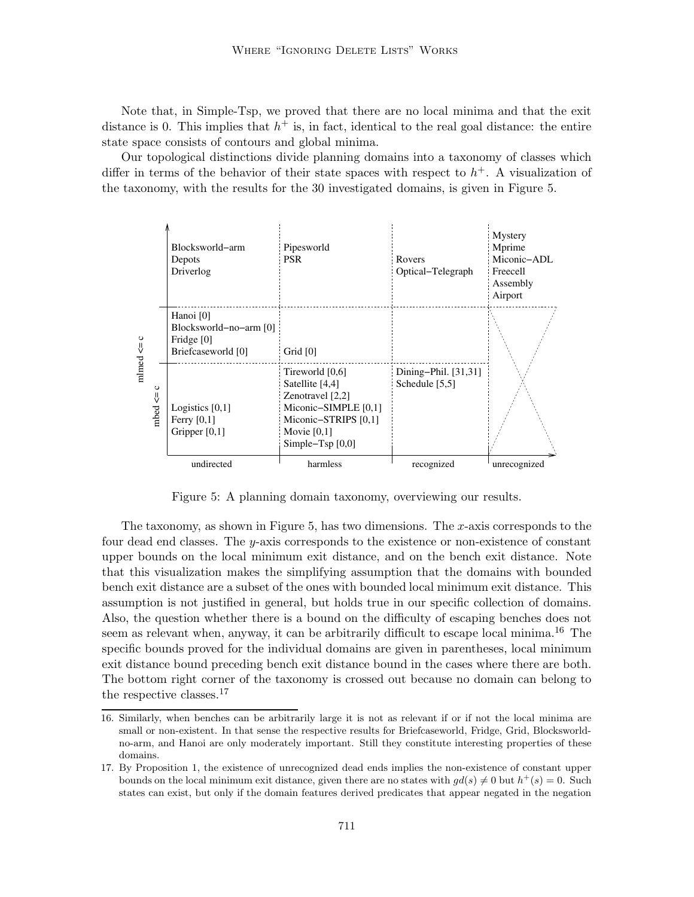Note that, in Simple-Tsp, we proved that there are no local minima and that the exit distance is 0. This implies that  $h^+$  is, in fact, identical to the real goal distance: the entire state space consists of contours and global minima.

Our topological distinctions divide planning domains into a taxonomy of classes which differ in terms of the behavior of their state spaces with respect to  $h<sup>+</sup>$ . A visualization of the taxonomy, with the results for the 30 investigated domains, is given in Figure 5.



Figure 5: A planning domain taxonomy, overviewing our results.

The taxonomy, as shown in Figure 5, has two dimensions. The x-axis corresponds to the four dead end classes. The y-axis corresponds to the existence or non-existence of constant upper bounds on the local minimum exit distance, and on the bench exit distance. Note that this visualization makes the simplifying assumption that the domains with bounded bench exit distance are a subset of the ones with bounded local minimum exit distance. This assumption is not justified in general, but holds true in our specific collection of domains. Also, the question whether there is a bound on the difficulty of escaping benches does not seem as relevant when, anyway, it can be arbitrarily difficult to escape local minima.<sup>16</sup> The specific bounds proved for the individual domains are given in parentheses, local minimum exit distance bound preceding bench exit distance bound in the cases where there are both. The bottom right corner of the taxonomy is crossed out because no domain can belong to the respective classes.<sup>17</sup>

<sup>16.</sup> Similarly, when benches can be arbitrarily large it is not as relevant if or if not the local minima are small or non-existent. In that sense the respective results for Briefcaseworld, Fridge, Grid, Blocksworldno-arm, and Hanoi are only moderately important. Still they constitute interesting properties of these domains.

<sup>17.</sup> By Proposition 1, the existence of unrecognized dead ends implies the non-existence of constant upper bounds on the local minimum exit distance, given there are no states with  $gd(s) \neq 0$  but  $h^+(s) = 0$ . Such states can exist, but only if the domain features derived predicates that appear negated in the negation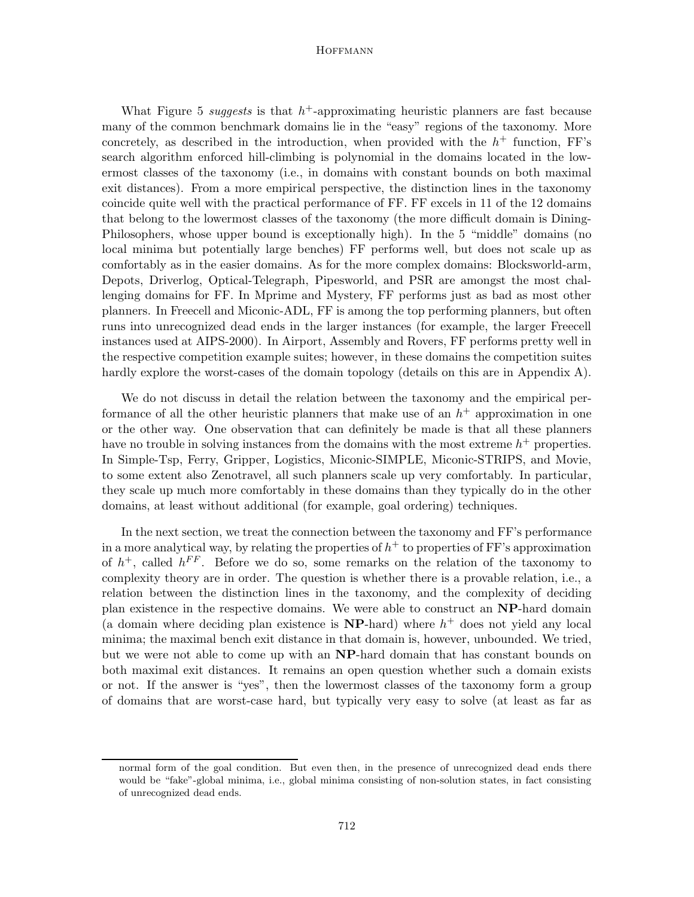What Figure 5 suggests is that  $h^+$ -approximating heuristic planners are fast because many of the common benchmark domains lie in the "easy" regions of the taxonomy. More concretely, as described in the introduction, when provided with the  $h^+$  function, FF's search algorithm enforced hill-climbing is polynomial in the domains located in the lowermost classes of the taxonomy (i.e., in domains with constant bounds on both maximal exit distances). From a more empirical perspective, the distinction lines in the taxonomy coincide quite well with the practical performance of FF. FF excels in 11 of the 12 domains that belong to the lowermost classes of the taxonomy (the more difficult domain is Dining-Philosophers, whose upper bound is exceptionally high). In the 5 "middle" domains (no local minima but potentially large benches) FF performs well, but does not scale up as comfortably as in the easier domains. As for the more complex domains: Blocksworld-arm, Depots, Driverlog, Optical-Telegraph, Pipesworld, and PSR are amongst the most challenging domains for FF. In Mprime and Mystery, FF performs just as bad as most other planners. In Freecell and Miconic-ADL, FF is among the top performing planners, but often runs into unrecognized dead ends in the larger instances (for example, the larger Freecell instances used at AIPS-2000). In Airport, Assembly and Rovers, FF performs pretty well in the respective competition example suites; however, in these domains the competition suites hardly explore the worst-cases of the domain topology (details on this are in Appendix A).

We do not discuss in detail the relation between the taxonomy and the empirical performance of all the other heuristic planners that make use of an  $h^+$  approximation in one or the other way. One observation that can definitely be made is that all these planners have no trouble in solving instances from the domains with the most extreme  $h^+$  properties. In Simple-Tsp, Ferry, Gripper, Logistics, Miconic-SIMPLE, Miconic-STRIPS, and Movie, to some extent also Zenotravel, all such planners scale up very comfortably. In particular, they scale up much more comfortably in these domains than they typically do in the other domains, at least without additional (for example, goal ordering) techniques.

In the next section, we treat the connection between the taxonomy and FF's performance in a more analytical way, by relating the properties of  $h^+$  to properties of FF's approximation of  $h^+$ , called  $h^{FF}$ . Before we do so, some remarks on the relation of the taxonomy to complexity theory are in order. The question is whether there is a provable relation, i.e., a relation between the distinction lines in the taxonomy, and the complexity of deciding plan existence in the respective domains. We were able to construct an NP-hard domain (a domain where deciding plan existence is  $NP$ -hard) where  $h^+$  does not yield any local minima; the maximal bench exit distance in that domain is, however, unbounded. We tried, but we were not able to come up with an NP-hard domain that has constant bounds on both maximal exit distances. It remains an open question whether such a domain exists or not. If the answer is "yes", then the lowermost classes of the taxonomy form a group of domains that are worst-case hard, but typically very easy to solve (at least as far as

normal form of the goal condition. But even then, in the presence of unrecognized dead ends there would be "fake"-global minima, i.e., global minima consisting of non-solution states, in fact consisting of unrecognized dead ends.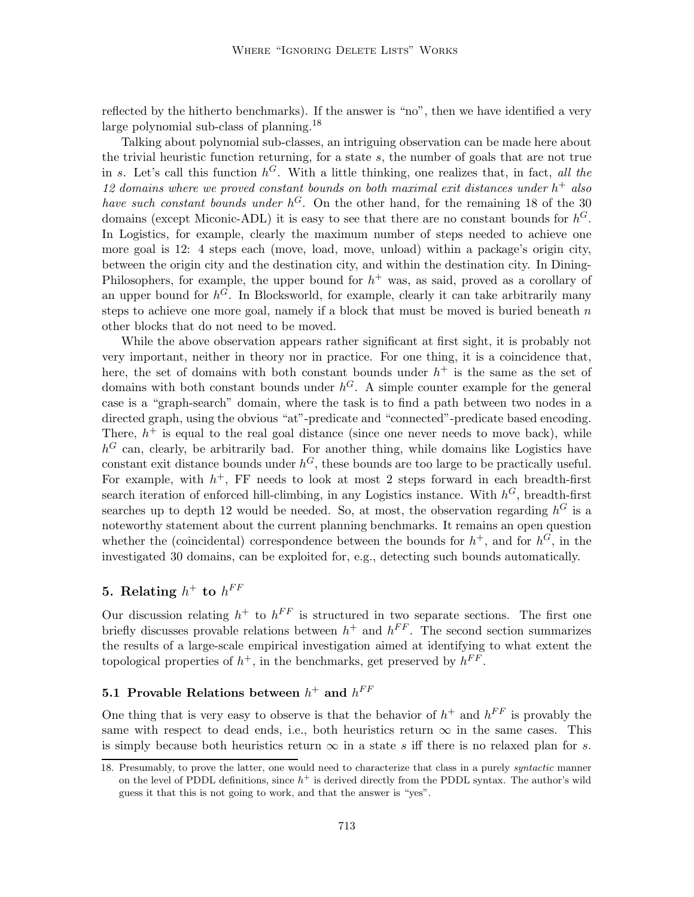reflected by the hitherto benchmarks). If the answer is "no", then we have identified a very large polynomial sub-class of planning.<sup>18</sup>

Talking about polynomial sub-classes, an intriguing observation can be made here about the trivial heuristic function returning, for a state  $s$ , the number of goals that are not true in s. Let's call this function  $h^G$ . With a little thinking, one realizes that, in fact, all the 12 domains where we proved constant bounds on both maximal exit distances under  $h^+$  also have such constant bounds under  $h^G$ . On the other hand, for the remaining 18 of the 30 domains (except Miconic-ADL) it is easy to see that there are no constant bounds for  $h^G$ . In Logistics, for example, clearly the maximum number of steps needed to achieve one more goal is 12: 4 steps each (move, load, move, unload) within a package's origin city, between the origin city and the destination city, and within the destination city. In Dining-Philosophers, for example, the upper bound for  $h<sup>+</sup>$  was, as said, proved as a corollary of an upper bound for  $h^{\tilde{G}}$ . In Blocksworld, for example, clearly it can take arbitrarily many steps to achieve one more goal, namely if a block that must be moved is buried beneath  $n$ other blocks that do not need to be moved.

While the above observation appears rather significant at first sight, it is probably not very important, neither in theory nor in practice. For one thing, it is a coincidence that, here, the set of domains with both constant bounds under  $h^+$  is the same as the set of domains with both constant bounds under  $h^G$ . A simple counter example for the general case is a "graph-search" domain, where the task is to find a path between two nodes in a directed graph, using the obvious "at"-predicate and "connected"-predicate based encoding. There,  $h^+$  is equal to the real goal distance (since one never needs to move back), while  $h^G$  can, clearly, be arbitrarily bad. For another thing, while domains like Logistics have constant exit distance bounds under  $h^G$ , these bounds are too large to be practically useful. For example, with  $h^+$ , FF needs to look at most 2 steps forward in each breadth-first search iteration of enforced hill-climbing, in any Logistics instance. With  $h^G$ , breadth-first searches up to depth 12 would be needed. So, at most, the observation regarding  $h^G$  is a noteworthy statement about the current planning benchmarks. It remains an open question whether the (coincidental) correspondence between the bounds for  $h^+$ , and for  $h^G$ , in the investigated 30 domains, can be exploited for, e.g., detecting such bounds automatically.

# 5. Relating  $h^+$  to  $h^{FF}$

Our discussion relating  $h^+$  to  $h^{FF}$  is structured in two separate sections. The first one briefly discusses provable relations between  $h^+$  and  $h^{FF}$ . The second section summarizes the results of a large-scale empirical investigation aimed at identifying to what extent the topological properties of  $h^+$ , in the benchmarks, get preserved by  $h^{FF}$ .

# 5.1 Provable Relations between  $h^+$  and  $h^{FF}$

One thing that is very easy to observe is that the behavior of  $h^+$  and  $h^{FF}$  is provably the same with respect to dead ends, i.e., both heuristics return  $\infty$  in the same cases. This is simply because both heuristics return  $\infty$  in a state s iff there is no relaxed plan for s.

<sup>18.</sup> Presumably, to prove the latter, one would need to characterize that class in a purely *syntactic* manner on the level of PDDL definitions, since  $h^+$  is derived directly from the PDDL syntax. The author's wild guess it that this is not going to work, and that the answer is "yes".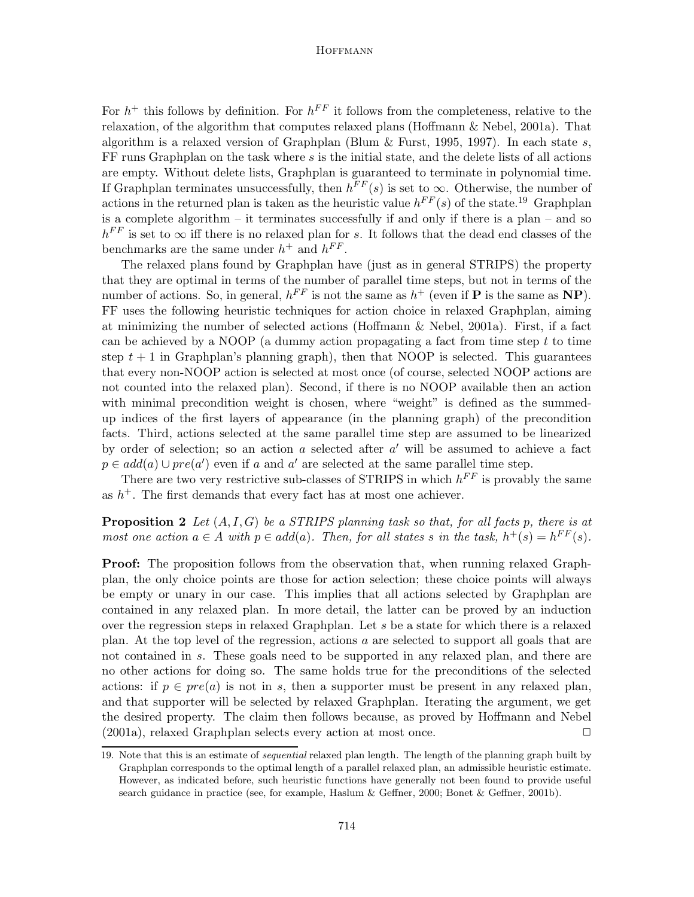For  $h^+$  this follows by definition. For  $h^{FF}$  it follows from the completeness, relative to the relaxation, of the algorithm that computes relaxed plans (Hoffmann & Nebel, 2001a). That algorithm is a relaxed version of Graphplan (Blum  $\&$  Furst, 1995, 1997). In each state s,  $FF$  runs Graphplan on the task where  $s$  is the initial state, and the delete lists of all actions are empty. Without delete lists, Graphplan is guaranteed to terminate in polynomial time. If Graphplan terminates unsuccessfully, then  $h^{FF}(s)$  is set to  $\infty$ . Otherwise, the number of actions in the returned plan is taken as the heuristic value  $h^{FF}(s)$  of the state.<sup>19</sup> Graphplan is a complete algorithm – it terminates successfully if and only if there is a plan – and so  $h^{FF}$  is set to  $\infty$  iff there is no relaxed plan for s. It follows that the dead end classes of the benchmarks are the same under  $h^+$  and  $h^{FF}$ .

The relaxed plans found by Graphplan have (just as in general STRIPS) the property that they are optimal in terms of the number of parallel time steps, but not in terms of the number of actions. So, in general,  $h^{FF}$  is not the same as  $h^+$  (even if **P** is the same as **NP**). FF uses the following heuristic techniques for action choice in relaxed Graphplan, aiming at minimizing the number of selected actions (Hoffmann & Nebel, 2001a). First, if a fact can be achieved by a NOOP (a dummy action propagating a fact from time step  $t$  to time step  $t + 1$  in Graphplan's planning graph), then that NOOP is selected. This guarantees that every non-NOOP action is selected at most once (of course, selected NOOP actions are not counted into the relaxed plan). Second, if there is no NOOP available then an action with minimal precondition weight is chosen, where "weight" is defined as the summedup indices of the first layers of appearance (in the planning graph) of the precondition facts. Third, actions selected at the same parallel time step are assumed to be linearized by order of selection; so an action  $a$  selected after  $a'$  will be assumed to achieve a fact  $p \in add(a) \cup pre(a')$  even if a and a' are selected at the same parallel time step.

There are two very restrictive sub-classes of STRIPS in which  $h^{FF}$  is provably the same as  $h^+$ . The first demands that every fact has at most one achiever.

**Proposition 2** Let  $(A, I, G)$  be a STRIPS planning task so that, for all facts p, there is at most one action  $a \in A$  with  $p \in add(a)$ . Then, for all states s in the task,  $h^+(s) = h^{FF}(s)$ .

**Proof:** The proposition follows from the observation that, when running relaxed Graphplan, the only choice points are those for action selection; these choice points will always be empty or unary in our case. This implies that all actions selected by Graphplan are contained in any relaxed plan. In more detail, the latter can be proved by an induction over the regression steps in relaxed Graphplan. Let s be a state for which there is a relaxed plan. At the top level of the regression, actions  $a$  are selected to support all goals that are not contained in s. These goals need to be supported in any relaxed plan, and there are no other actions for doing so. The same holds true for the preconditions of the selected actions: if  $p \in pre(a)$  is not in s, then a supporter must be present in any relaxed plan, and that supporter will be selected by relaxed Graphplan. Iterating the argument, we get the desired property. The claim then follows because, as proved by Hoffmann and Nebel  $(2001a)$ , relaxed Graphplan selects every action at most once.  $\Box$ 

<sup>19.</sup> Note that this is an estimate of *sequential* relaxed plan length. The length of the planning graph built by Graphplan corresponds to the optimal length of a parallel relaxed plan, an admissible heuristic estimate. However, as indicated before, such heuristic functions have generally not been found to provide useful search guidance in practice (see, for example, Haslum & Geffner, 2000; Bonet & Geffner, 2001b).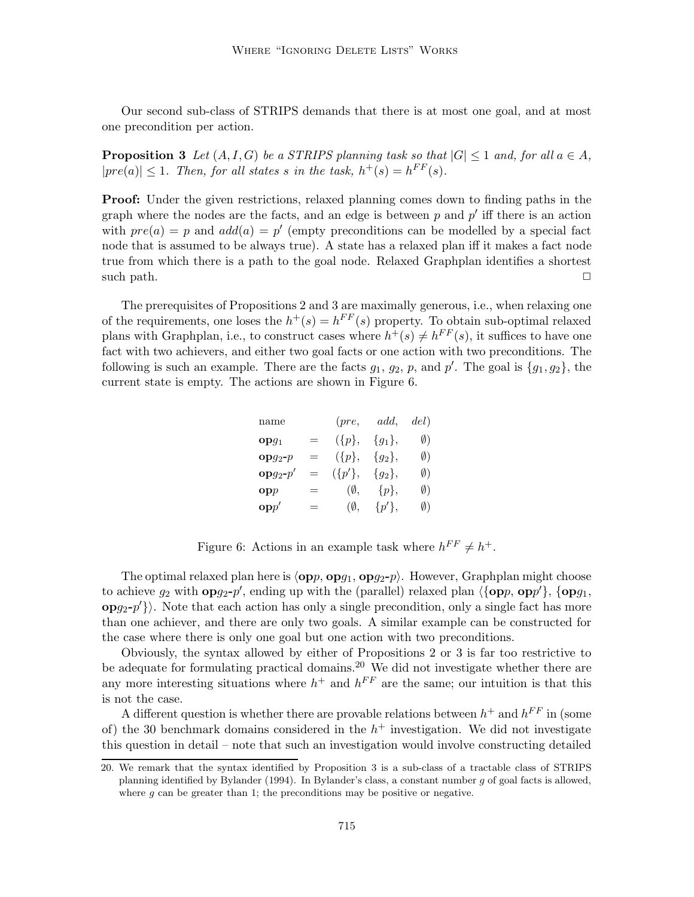Our second sub-class of STRIPS demands that there is at most one goal, and at most one precondition per action.

**Proposition 3** Let  $(A, I, G)$  be a STRIPS planning task so that  $|G| \leq 1$  and, for all  $a \in A$ ,  $|pre(a)| \leq 1$ . Then, for all states s in the task,  $h^+(s) = h^{FF}(s)$ .

**Proof:** Under the given restrictions, relaxed planning comes down to finding paths in the graph where the nodes are the facts, and an edge is between  $p$  and  $p'$  iff there is an action with  $pre(a) = p$  and  $add(a) = p'$  (empty preconditions can be modelled by a special fact node that is assumed to be always true). A state has a relaxed plan iff it makes a fact node true from which there is a path to the goal node. Relaxed Graphplan identifies a shortest such path.  $\Box$ 

The prerequisites of Propositions 2 and 3 are maximally generous, i.e., when relaxing one of the requirements, one loses the  $h^+(s) = h^{FF}(s)$  property. To obtain sub-optimal relaxed plans with Graphplan, i.e., to construct cases where  $h^+(s) \neq h^{FF}(s)$ , it suffices to have one fact with two achievers, and either two goal facts or one action with two preconditions. The following is such an example. There are the facts  $g_1, g_2, p$ , and  $p'$ . The goal is  $\{g_1, g_2\}$ , the current state is empty. The actions are shown in Figure 6.

| name                         |     | (pre,         | add,       | del) |
|------------------------------|-----|---------------|------------|------|
| $opg_1$                      | =   | $({p},$       | ${g_1},$   | Ø)   |
| $_{\mathbf{op}g_2-p}$        | $=$ | $({p},$       | ${g_2},$   | Ø)   |
| $\mathbf{op}{g_2\text{-}p'}$ | $=$ | $({p'}$ ,     | ${g_2},$   | Ø)   |
| $\mathbf{op}p$               | $=$ | $(\emptyset,$ | $\{p\},\$  | Ø)   |
| $\mathbf{op} p'$             | =   | $(\emptyset,$ | $\{p'\},\$ | Ø)   |

Figure 6: Actions in an example task where  $h^{FF} \neq h^{+}$ .

The optimal relaxed plan here is  $\langle opp, opg_1, opg_2-p \rangle$ . However, Graphplan might choose to achieve  $g_2$  with  $opg_2-p'$ , ending up with the (parallel) relaxed plan  $\langle \{opp, opp'\}, \{opg_1,$  $opg_2-p'\}\rangle.$  Note that each action has only a single precondition, only a single fact has more than one achiever, and there are only two goals. A similar example can be constructed for the case where there is only one goal but one action with two preconditions.

Obviously, the syntax allowed by either of Propositions 2 or 3 is far too restrictive to be adequate for formulating practical domains.<sup>20</sup> We did not investigate whether there are any more interesting situations where  $h^+$  and  $h^{FF}$  are the same; our intuition is that this is not the case.

A different question is whether there are provable relations between  $h^+$  and  $h^{FF}$  in (some of) the 30 benchmark domains considered in the  $h^+$  investigation. We did not investigate this question in detail – note that such an investigation would involve constructing detailed

<sup>20.</sup> We remark that the syntax identified by Proposition 3 is a sub-class of a tractable class of STRIPS planning identified by Bylander (1994). In Bylander's class, a constant number g of goal facts is allowed, where  $q$  can be greater than 1; the preconditions may be positive or negative.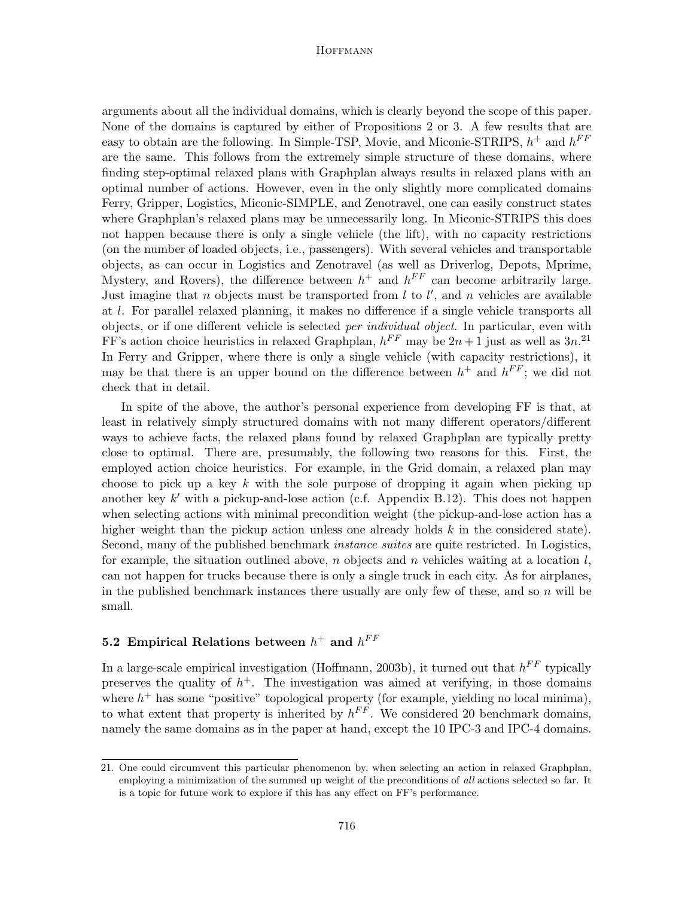arguments about all the individual domains, which is clearly beyond the scope of this paper. None of the domains is captured by either of Propositions 2 or 3. A few results that are easy to obtain are the following. In Simple-TSP, Movie, and Miconic-STRIPS,  $h^+$  and  $h^{FF}$ are the same. This follows from the extremely simple structure of these domains, where finding step-optimal relaxed plans with Graphplan always results in relaxed plans with an optimal number of actions. However, even in the only slightly more complicated domains Ferry, Gripper, Logistics, Miconic-SIMPLE, and Zenotravel, one can easily construct states where Graphplan's relaxed plans may be unnecessarily long. In Miconic-STRIPS this does not happen because there is only a single vehicle (the lift), with no capacity restrictions (on the number of loaded objects, i.e., passengers). With several vehicles and transportable objects, as can occur in Logistics and Zenotravel (as well as Driverlog, Depots, Mprime, Mystery, and Rovers), the difference between  $h^+$  and  $h^{FF}$  can become arbitrarily large. Just imagine that n objects must be transported from  $l$  to  $l'$ , and n vehicles are available at l. For parallel relaxed planning, it makes no difference if a single vehicle transports all objects, or if one different vehicle is selected per individual object. In particular, even with FF's action choice heuristics in relaxed Graphplan,  $h^{FF}$  may be  $2n+1$  just as well as  $3n^{21}$ In Ferry and Gripper, where there is only a single vehicle (with capacity restrictions), it may be that there is an upper bound on the difference between  $h^+$  and  $h^{FF}$ ; we did not check that in detail.

In spite of the above, the author's personal experience from developing FF is that, at least in relatively simply structured domains with not many different operators/different ways to achieve facts, the relaxed plans found by relaxed Graphplan are typically pretty close to optimal. There are, presumably, the following two reasons for this. First, the employed action choice heuristics. For example, in the Grid domain, a relaxed plan may choose to pick up a key k with the sole purpose of dropping it again when picking up another key  $k'$  with a pickup-and-lose action (c.f. Appendix B.12). This does not happen when selecting actions with minimal precondition weight (the pickup-and-lose action has a higher weight than the pickup action unless one already holds k in the considered state). Second, many of the published benchmark *instance suites* are quite restricted. In Logistics, for example, the situation outlined above, n objects and n vehicles waiting at a location  $l$ , can not happen for trucks because there is only a single truck in each city. As for airplanes, in the published benchmark instances there usually are only few of these, and so  $n$  will be small.

# 5.2 Empirical Relations between  $h^+$  and  $h^{FF}$

In a large-scale empirical investigation (Hoffmann, 2003b), it turned out that  $h^{FF}$  typically preserves the quality of  $h^+$ . The investigation was aimed at verifying, in those domains where  $h^+$  has some "positive" topological property (for example, yielding no local minima), to what extent that property is inherited by  $h^{FF}$ . We considered 20 benchmark domains, namely the same domains as in the paper at hand, except the 10 IPC-3 and IPC-4 domains.

<sup>21.</sup> One could circumvent this particular phenomenon by, when selecting an action in relaxed Graphplan, employing a minimization of the summed up weight of the preconditions of all actions selected so far. It is a topic for future work to explore if this has any effect on FF's performance.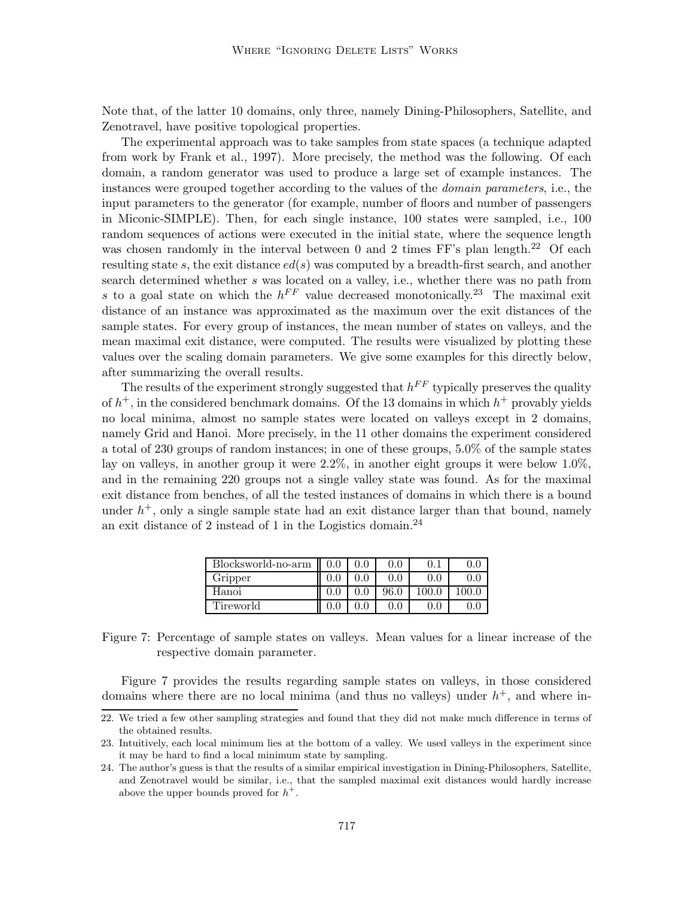Note that, of the latter 10 domains, only three, namely Dining-Philosophers, Satellite, and Zenotravel, have positive topological properties.

The experimental approach was to take samples from state spaces (a technique adapted from work by Frank et al., 1997). More precisely, the method was the following. Of each domain, a random generator was used to produce a large set of example instances. The instances were grouped together according to the values of the domain parameters, i.e., the input parameters to the generator (for example, number of floors and number of passengers in Miconic-SIMPLE). Then, for each single instance, 100 states were sampled, i.e., 100 random sequences of actions were executed in the initial state, where the sequence length was chosen randomly in the interval between 0 and 2 times  $FF$ 's plan length.<sup>22</sup> Of each resulting state s, the exit distance  $ed(s)$  was computed by a breadth-first search, and another search determined whether s was located on a valley, i.e., whether there was no path from s to a goal state on which the  $h^{FF}$  value decreased monotonically.<sup>23</sup> The maximal exit distance of an instance was approximated as the maximum over the exit distances of the sample states. For every group of instances, the mean number of states on valleys, and the mean maximal exit distance, were computed. The results were visualized by plotting these values over the scaling domain parameters. We give some examples for this directly below, after summarizing the overall results.

The results of the experiment strongly suggested that  $h^{FF}$  typically preserves the quality of  $h^+$ , in the considered benchmark domains. Of the 13 domains in which  $h^+$  provably yields no local minima, almost no sample states were located on valleys except in 2 domains, namely Grid and Hanoi. More precisely, in the 11 other domains the experiment considered a total of 230 groups of random instances; in one of these groups, 5.0% of the sample states lay on valleys, in another group it were 2.2%, in another eight groups it were below 1.0%, and in the remaining 220 groups not a single valley state was found. As for the maximal exit distance from benches, of all the tested instances of domains in which there is a bound under  $h^+$ , only a single sample state had an exit distance larger than that bound, namely an exit distance of 2 instead of 1 in the Logistics domain.<sup>24</sup>

| Blocksworld-no-arm | 0.0 | $0.0\,$ | $0.0\,$ | 0.1     | 0.0   |
|--------------------|-----|---------|---------|---------|-------|
| Gripper            |     | 0.0     | $0.0\,$ | $0.0\,$ | 0.0   |
| Hanoi              |     | $0.0\,$ | 96.0    | 100.0   | 100.0 |
| Tireworld          |     |         |         |         |       |

Figure 7: Percentage of sample states on valleys. Mean values for a linear increase of the respective domain parameter.

Figure 7 provides the results regarding sample states on valleys, in those considered domains where there are no local minima (and thus no valleys) under  $h^+$ , and where in-

<sup>22.</sup> We tried a few other sampling strategies and found that they did not make much difference in terms of the obtained results.

<sup>23.</sup> Intuitively, each local minimum lies at the bottom of a valley. We used valleys in the experiment since it may be hard to find a local minimum state by sampling.

<sup>24.</sup> The author's guess is that the results of a similar empirical investigation in Dining-Philosophers, Satellite, and Zenotravel would be similar, i.e., that the sampled maximal exit distances would hardly increase above the upper bounds proved for  $h^+$ .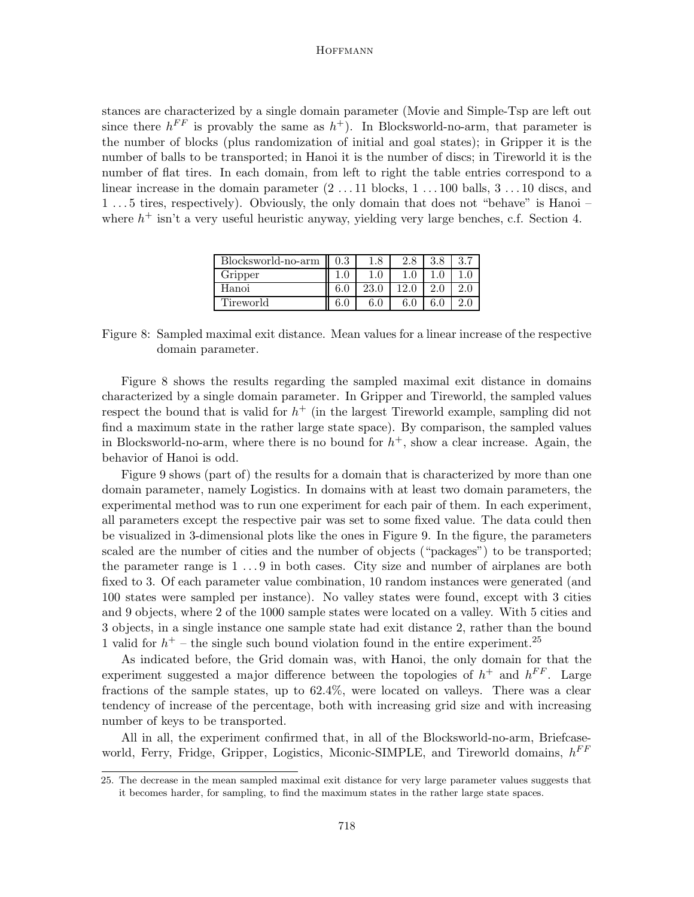stances are characterized by a single domain parameter (Movie and Simple-Tsp are left out since there  $h^{FF}$  is provably the same as  $h^+$ ). In Blocksworld-no-arm, that parameter is the number of blocks (plus randomization of initial and goal states); in Gripper it is the number of balls to be transported; in Hanoi it is the number of discs; in Tireworld it is the number of flat tires. In each domain, from left to right the table entries correspond to a linear increase in the domain parameter  $(2 \dots 11)$  blocks,  $1 \dots 100$  balls,  $3 \dots 10$  discs, and 1 . . . 5 tires, respectively). Obviously, the only domain that does not "behave" is Hanoi – where  $h^+$  isn't a very useful heuristic anyway, yielding very large benches, c.f. Section 4.

| Blocksworld-no-arm | $\rm 0.3$ | 1.8  | 2.8 | 3.8 |  |
|--------------------|-----------|------|-----|-----|--|
| Gripper            |           |      |     |     |  |
| Hanoi              |           | 23.0 |     |     |  |
| Tireworld          |           |      |     |     |  |

Figure 8: Sampled maximal exit distance. Mean values for a linear increase of the respective domain parameter.

Figure 8 shows the results regarding the sampled maximal exit distance in domains characterized by a single domain parameter. In Gripper and Tireworld, the sampled values respect the bound that is valid for  $h^+$  (in the largest Tireworld example, sampling did not find a maximum state in the rather large state space). By comparison, the sampled values in Blocksworld-no-arm, where there is no bound for  $h^+$ , show a clear increase. Again, the behavior of Hanoi is odd.

Figure 9 shows (part of) the results for a domain that is characterized by more than one domain parameter, namely Logistics. In domains with at least two domain parameters, the experimental method was to run one experiment for each pair of them. In each experiment, all parameters except the respective pair was set to some fixed value. The data could then be visualized in 3-dimensional plots like the ones in Figure 9. In the figure, the parameters scaled are the number of cities and the number of objects ("packages") to be transported; the parameter range is 1 . . . 9 in both cases. City size and number of airplanes are both fixed to 3. Of each parameter value combination, 10 random instances were generated (and 100 states were sampled per instance). No valley states were found, except with 3 cities and 9 objects, where 2 of the 1000 sample states were located on a valley. With 5 cities and 3 objects, in a single instance one sample state had exit distance 2, rather than the bound 1 valid for  $h^+$  – the single such bound violation found in the entire experiment.<sup>25</sup>

As indicated before, the Grid domain was, with Hanoi, the only domain for that the experiment suggested a major difference between the topologies of  $h^+$  and  $h^{FF}$ . Large fractions of the sample states, up to 62.4%, were located on valleys. There was a clear tendency of increase of the percentage, both with increasing grid size and with increasing number of keys to be transported.

All in all, the experiment confirmed that, in all of the Blocksworld-no-arm, Briefcaseworld, Ferry, Fridge, Gripper, Logistics, Miconic-SIMPLE, and Tireworld domains,  $h^{FF}$ 

<sup>25.</sup> The decrease in the mean sampled maximal exit distance for very large parameter values suggests that it becomes harder, for sampling, to find the maximum states in the rather large state spaces.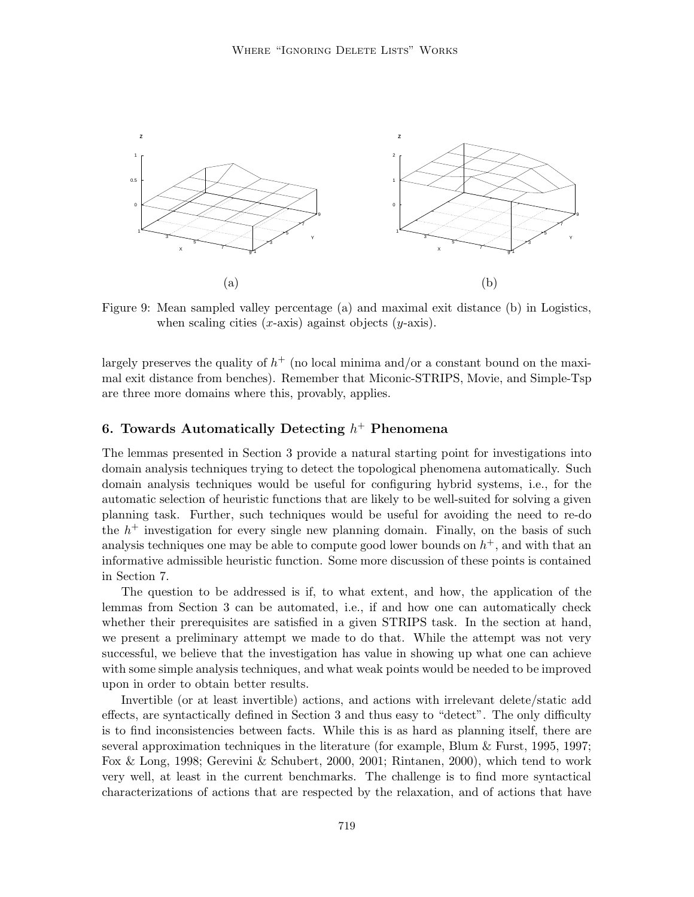

Figure 9: Mean sampled valley percentage (a) and maximal exit distance (b) in Logistics, when scaling cities  $(x\text{-axis})$  against objects  $(y\text{-axis})$ .

largely preserves the quality of  $h^+$  (no local minima and/or a constant bound on the maximal exit distance from benches). Remember that Miconic-STRIPS, Movie, and Simple-Tsp are three more domains where this, provably, applies.

# 6. Towards Automatically Detecting  $h^+$  Phenomena

The lemmas presented in Section 3 provide a natural starting point for investigations into domain analysis techniques trying to detect the topological phenomena automatically. Such domain analysis techniques would be useful for configuring hybrid systems, i.e., for the automatic selection of heuristic functions that are likely to be well-suited for solving a given planning task. Further, such techniques would be useful for avoiding the need to re-do the  $h^+$  investigation for every single new planning domain. Finally, on the basis of such analysis techniques one may be able to compute good lower bounds on  $h^+$ , and with that an informative admissible heuristic function. Some more discussion of these points is contained in Section 7.

The question to be addressed is if, to what extent, and how, the application of the lemmas from Section 3 can be automated, i.e., if and how one can automatically check whether their prerequisites are satisfied in a given STRIPS task. In the section at hand, we present a preliminary attempt we made to do that. While the attempt was not very successful, we believe that the investigation has value in showing up what one can achieve with some simple analysis techniques, and what weak points would be needed to be improved upon in order to obtain better results.

Invertible (or at least invertible) actions, and actions with irrelevant delete/static add effects, are syntactically defined in Section 3 and thus easy to "detect". The only difficulty is to find inconsistencies between facts. While this is as hard as planning itself, there are several approximation techniques in the literature (for example, Blum & Furst, 1995, 1997; Fox & Long, 1998; Gerevini & Schubert, 2000, 2001; Rintanen, 2000), which tend to work very well, at least in the current benchmarks. The challenge is to find more syntactical characterizations of actions that are respected by the relaxation, and of actions that have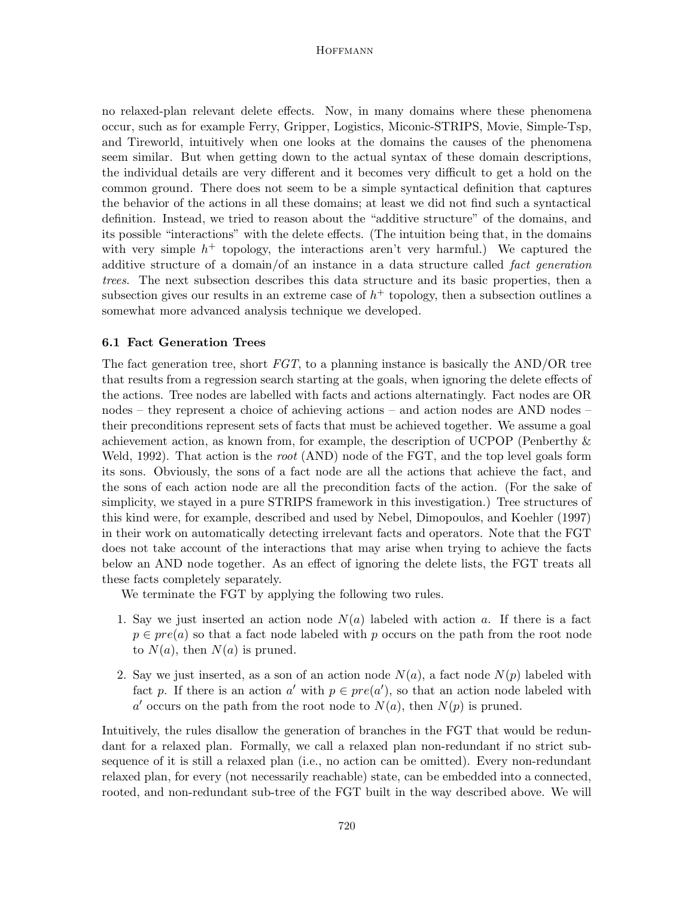no relaxed-plan relevant delete effects. Now, in many domains where these phenomena occur, such as for example Ferry, Gripper, Logistics, Miconic-STRIPS, Movie, Simple-Tsp, and Tireworld, intuitively when one looks at the domains the causes of the phenomena seem similar. But when getting down to the actual syntax of these domain descriptions, the individual details are very different and it becomes very difficult to get a hold on the common ground. There does not seem to be a simple syntactical definition that captures the behavior of the actions in all these domains; at least we did not find such a syntactical definition. Instead, we tried to reason about the "additive structure" of the domains, and its possible "interactions" with the delete effects. (The intuition being that, in the domains with very simple  $h^+$  topology, the interactions aren't very harmful.) We captured the additive structure of a domain/of an instance in a data structure called fact generation trees. The next subsection describes this data structure and its basic properties, then a subsection gives our results in an extreme case of  $h<sup>+</sup>$  topology, then a subsection outlines a somewhat more advanced analysis technique we developed.

# 6.1 Fact Generation Trees

The fact generation tree, short  $FGT$ , to a planning instance is basically the AND/OR tree that results from a regression search starting at the goals, when ignoring the delete effects of the actions. Tree nodes are labelled with facts and actions alternatingly. Fact nodes are OR nodes – they represent a choice of achieving actions – and action nodes are AND nodes – their preconditions represent sets of facts that must be achieved together. We assume a goal achievement action, as known from, for example, the description of UCPOP (Penberthy & Weld, 1992). That action is the root (AND) node of the FGT, and the top level goals form its sons. Obviously, the sons of a fact node are all the actions that achieve the fact, and the sons of each action node are all the precondition facts of the action. (For the sake of simplicity, we stayed in a pure STRIPS framework in this investigation.) Tree structures of this kind were, for example, described and used by Nebel, Dimopoulos, and Koehler (1997) in their work on automatically detecting irrelevant facts and operators. Note that the FGT does not take account of the interactions that may arise when trying to achieve the facts below an AND node together. As an effect of ignoring the delete lists, the FGT treats all these facts completely separately.

We terminate the FGT by applying the following two rules.

- 1. Say we just inserted an action node  $N(a)$  labeled with action a. If there is a fact  $p \in pre(a)$  so that a fact node labeled with p occurs on the path from the root node to  $N(a)$ , then  $N(a)$  is pruned.
- 2. Say we just inserted, as a son of an action node  $N(a)$ , a fact node  $N(p)$  labeled with fact p. If there is an action  $a'$  with  $p \in pre(a')$ , so that an action node labeled with a' occurs on the path from the root node to  $N(a)$ , then  $N(p)$  is pruned.

Intuitively, the rules disallow the generation of branches in the FGT that would be redundant for a relaxed plan. Formally, we call a relaxed plan non-redundant if no strict subsequence of it is still a relaxed plan (i.e., no action can be omitted). Every non-redundant relaxed plan, for every (not necessarily reachable) state, can be embedded into a connected, rooted, and non-redundant sub-tree of the FGT built in the way described above. We will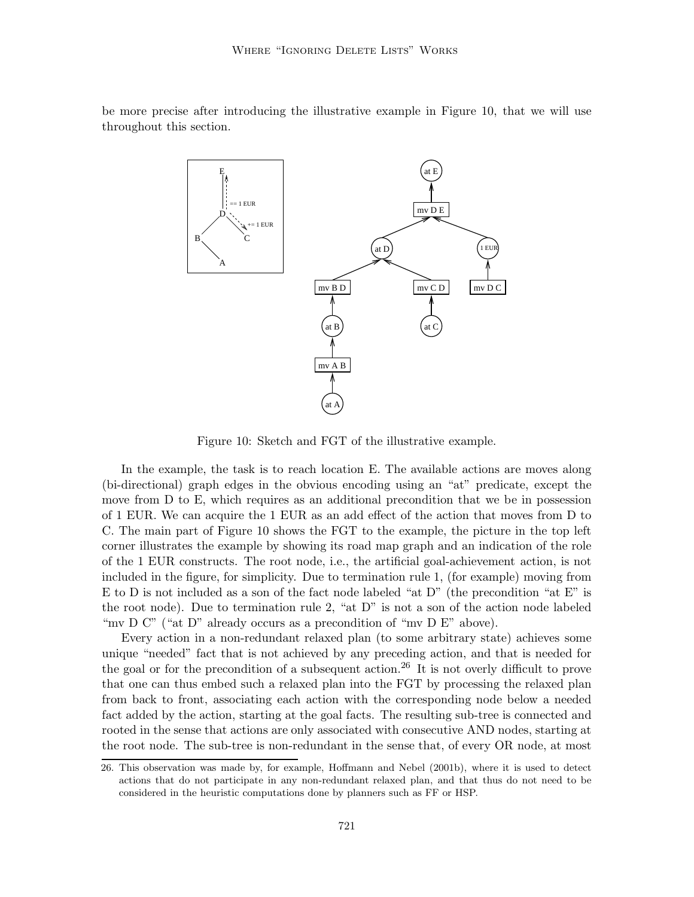be more precise after introducing the illustrative example in Figure 10, that we will use throughout this section.



Figure 10: Sketch and FGT of the illustrative example.

In the example, the task is to reach location E. The available actions are moves along (bi-directional) graph edges in the obvious encoding using an "at" predicate, except the move from D to E, which requires as an additional precondition that we be in possession of 1 EUR. We can acquire the 1 EUR as an add effect of the action that moves from D to C. The main part of Figure 10 shows the FGT to the example, the picture in the top left corner illustrates the example by showing its road map graph and an indication of the role of the 1 EUR constructs. The root node, i.e., the artificial goal-achievement action, is not included in the figure, for simplicity. Due to termination rule 1, (for example) moving from E to D is not included as a son of the fact node labeled "at D" (the precondition "at E" is the root node). Due to termination rule 2, "at D" is not a son of the action node labeled "mv D C" ("at D" already occurs as a precondition of "mv D E" above).

Every action in a non-redundant relaxed plan (to some arbitrary state) achieves some unique "needed" fact that is not achieved by any preceding action, and that is needed for the goal or for the precondition of a subsequent action.<sup>26</sup> It is not overly difficult to prove that one can thus embed such a relaxed plan into the FGT by processing the relaxed plan from back to front, associating each action with the corresponding node below a needed fact added by the action, starting at the goal facts. The resulting sub-tree is connected and rooted in the sense that actions are only associated with consecutive AND nodes, starting at the root node. The sub-tree is non-redundant in the sense that, of every OR node, at most

<sup>26.</sup> This observation was made by, for example, Hoffmann and Nebel (2001b), where it is used to detect actions that do not participate in any non-redundant relaxed plan, and that thus do not need to be considered in the heuristic computations done by planners such as FF or HSP.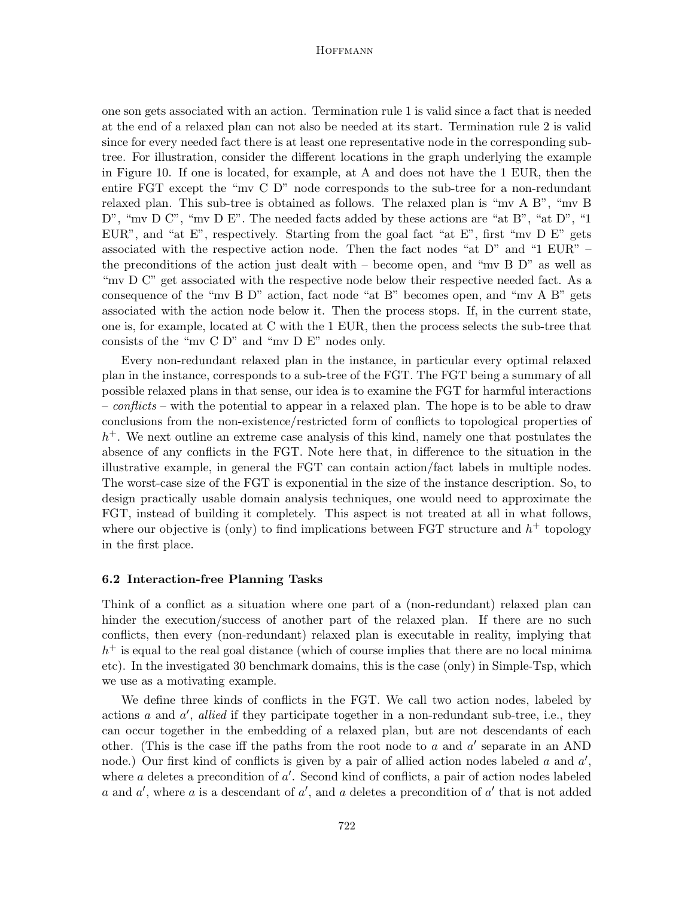one son gets associated with an action. Termination rule 1 is valid since a fact that is needed at the end of a relaxed plan can not also be needed at its start. Termination rule 2 is valid since for every needed fact there is at least one representative node in the corresponding subtree. For illustration, consider the different locations in the graph underlying the example in Figure 10. If one is located, for example, at A and does not have the 1 EUR, then the entire FGT except the "mv C D" node corresponds to the sub-tree for a non-redundant relaxed plan. This sub-tree is obtained as follows. The relaxed plan is "mv A B", "mv B  $D^{\prime\prime}$ , "mv  $D C^{\prime\prime}$ , "mv  $D E^{\prime\prime}$ . The needed facts added by these actions are "at B", "at  $D^{\prime\prime}$ , "1 EUR", and "at E", respectively. Starting from the goal fact "at E", first "mv  $D E$ " gets associated with the respective action node. Then the fact nodes "at D" and "1 EUR" – the preconditions of the action just dealt with – become open, and "mv  $B$  D" as well as "mv D C" get associated with the respective node below their respective needed fact. As a consequence of the "mv B D" action, fact node "at B" becomes open, and "mv A B" gets associated with the action node below it. Then the process stops. If, in the current state, one is, for example, located at C with the 1 EUR, then the process selects the sub-tree that consists of the "mv C D" and "mv D E" nodes only.

Every non-redundant relaxed plan in the instance, in particular every optimal relaxed plan in the instance, corresponds to a sub-tree of the FGT. The FGT being a summary of all possible relaxed plans in that sense, our idea is to examine the FGT for harmful interactions – conflicts – with the potential to appear in a relaxed plan. The hope is to be able to draw conclusions from the non-existence/restricted form of conflicts to topological properties of h <sup>+</sup>. We next outline an extreme case analysis of this kind, namely one that postulates the absence of any conflicts in the FGT. Note here that, in difference to the situation in the illustrative example, in general the FGT can contain action/fact labels in multiple nodes. The worst-case size of the FGT is exponential in the size of the instance description. So, to design practically usable domain analysis techniques, one would need to approximate the FGT, instead of building it completely. This aspect is not treated at all in what follows, where our objective is (only) to find implications between FGT structure and  $h^+$  topology in the first place.

#### 6.2 Interaction-free Planning Tasks

Think of a conflict as a situation where one part of a (non-redundant) relaxed plan can hinder the execution/success of another part of the relaxed plan. If there are no such conflicts, then every (non-redundant) relaxed plan is executable in reality, implying that  $h<sup>+</sup>$  is equal to the real goal distance (which of course implies that there are no local minima etc). In the investigated 30 benchmark domains, this is the case (only) in Simple-Tsp, which we use as a motivating example.

We define three kinds of conflicts in the FGT. We call two action nodes, labeled by actions  $a$  and  $a'$ , allied if they participate together in a non-redundant sub-tree, i.e., they can occur together in the embedding of a relaxed plan, but are not descendants of each other. (This is the case iff the paths from the root node to  $a$  and  $a'$  separate in an AND node.) Our first kind of conflicts is given by a pair of allied action nodes labeled  $a$  and  $a'$ , where  $a$  deletes a precondition of  $a'$ . Second kind of conflicts, a pair of action nodes labeled a and  $a'$ , where a is a descendant of  $a'$ , and a deletes a precondition of  $a'$  that is not added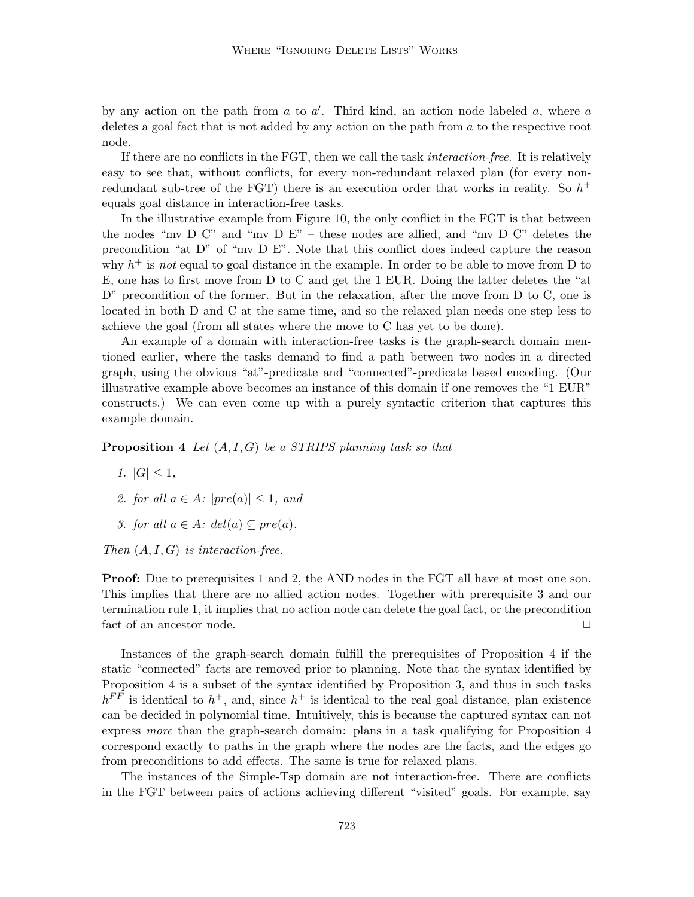by any action on the path from  $a$  to  $a'$ . Third kind, an action node labeled  $a$ , where  $a$ deletes a goal fact that is not added by any action on the path from  $a$  to the respective root node.

If there are no conflicts in the FGT, then we call the task interaction-free. It is relatively easy to see that, without conflicts, for every non-redundant relaxed plan (for every nonredundant sub-tree of the FGT) there is an execution order that works in reality. So  $h^+$ equals goal distance in interaction-free tasks.

In the illustrative example from Figure 10, the only conflict in the FGT is that between the nodes "mv D C" and "mv D E" – these nodes are allied, and "mv D C" deletes the precondition "at D" of "mv D E". Note that this conflict does indeed capture the reason why  $h^+$  is not equal to goal distance in the example. In order to be able to move from D to E, one has to first move from D to C and get the 1 EUR. Doing the latter deletes the "at D" precondition of the former. But in the relaxation, after the move from D to C, one is located in both D and C at the same time, and so the relaxed plan needs one step less to achieve the goal (from all states where the move to C has yet to be done).

An example of a domain with interaction-free tasks is the graph-search domain mentioned earlier, where the tasks demand to find a path between two nodes in a directed graph, using the obvious "at"-predicate and "connected"-predicate based encoding. (Our illustrative example above becomes an instance of this domain if one removes the "1 EUR" constructs.) We can even come up with a purely syntactic criterion that captures this example domain.

**Proposition 4** Let  $(A, I, G)$  be a STRIPS planning task so that

- 1.  $|G| \leq 1$ ,
- 2. for all  $a \in A$ :  $|pre(a)| \leq 1$ , and
- 3. for all  $a \in A$ :  $del(a) \subseteq pre(a)$ .

Then  $(A, I, G)$  is interaction-free.

**Proof:** Due to prerequisites 1 and 2, the AND nodes in the FGT all have at most one son. This implies that there are no allied action nodes. Together with prerequisite 3 and our termination rule 1, it implies that no action node can delete the goal fact, or the precondition fact of an ancestor node.  $\Box$ 

Instances of the graph-search domain fulfill the prerequisites of Proposition 4 if the static "connected" facts are removed prior to planning. Note that the syntax identified by Proposition 4 is a subset of the syntax identified by Proposition 3, and thus in such tasks  $h^{FF}$  is identical to  $h^+$ , and, since  $h^+$  is identical to the real goal distance, plan existence can be decided in polynomial time. Intuitively, this is because the captured syntax can not express more than the graph-search domain: plans in a task qualifying for Proposition 4 correspond exactly to paths in the graph where the nodes are the facts, and the edges go from preconditions to add effects. The same is true for relaxed plans.

The instances of the Simple-Tsp domain are not interaction-free. There are conflicts in the FGT between pairs of actions achieving different "visited" goals. For example, say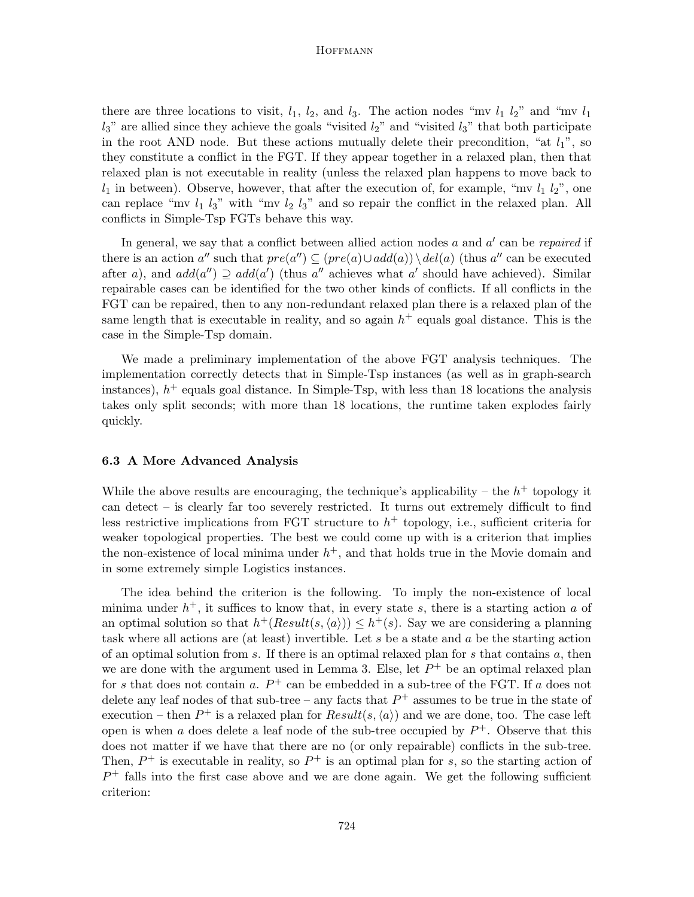there are three locations to visit,  $l_1$ ,  $l_2$ , and  $l_3$ . The action nodes "mv  $l_1$   $l_2$ " and "mv  $l_1$  $l_3$ " are allied since they achieve the goals "visited  $l_2$ " and "visited  $l_3$ " that both participate in the root AND node. But these actions mutually delete their precondition, "at  $l_1$ ", so they constitute a conflict in the FGT. If they appear together in a relaxed plan, then that relaxed plan is not executable in reality (unless the relaxed plan happens to move back to  $l_1$  in between). Observe, however, that after the execution of, for example, "mv  $l_1$   $l_2$ ", one can replace "mv  $l_1$   $l_3$ " with "mv  $l_2$   $l_3$ " and so repair the conflict in the relaxed plan. All conflicts in Simple-Tsp FGTs behave this way.

In general, we say that a conflict between allied action nodes  $a$  and  $a'$  can be *repaired* if there is an action a'' such that  $pre(a'') \subseteq (pre(a) \cup add(a)) \setminus del(a)$  (thus a'' can be executed after a), and  $add(a'') \supseteq add(a')$  (thus a'' achieves what a' should have achieved). Similar repairable cases can be identified for the two other kinds of conflicts. If all conflicts in the FGT can be repaired, then to any non-redundant relaxed plan there is a relaxed plan of the same length that is executable in reality, and so again  $h^+$  equals goal distance. This is the case in the Simple-Tsp domain.

We made a preliminary implementation of the above FGT analysis techniques. The implementation correctly detects that in Simple-Tsp instances (as well as in graph-search instances),  $h^{+}$  equals goal distance. In Simple-Tsp, with less than 18 locations the analysis takes only split seconds; with more than 18 locations, the runtime taken explodes fairly quickly.

# 6.3 A More Advanced Analysis

While the above results are encouraging, the technique's applicability – the  $h^+$  topology it can detect – is clearly far too severely restricted. It turns out extremely difficult to find less restrictive implications from FGT structure to  $h^+$  topology, i.e., sufficient criteria for weaker topological properties. The best we could come up with is a criterion that implies the non-existence of local minima under  $h^+$ , and that holds true in the Movie domain and in some extremely simple Logistics instances.

The idea behind the criterion is the following. To imply the non-existence of local minima under  $h^+$ , it suffices to know that, in every state s, there is a starting action a of an optimal solution so that  $h^+(Result(s, \langle a \rangle)) \leq h^+(s)$ . Say we are considering a planning task where all actions are (at least) invertible. Let s be a state and a be the starting action of an optimal solution from  $s$ . If there is an optimal relaxed plan for  $s$  that contains  $a$ , then we are done with the argument used in Lemma 3. Else, let  $P^+$  be an optimal relaxed plan for s that does not contain a.  $P^+$  can be embedded in a sub-tree of the FGT. If a does not delete any leaf nodes of that sub-tree – any facts that  $P^+$  assumes to be true in the state of execution – then  $P^+$  is a relaxed plan for  $Result(s, \langle a \rangle)$  and we are done, too. The case left open is when a does delete a leaf node of the sub-tree occupied by  $P^+$ . Observe that this does not matter if we have that there are no (or only repairable) conflicts in the sub-tree. Then,  $P^+$  is executable in reality, so  $P^+$  is an optimal plan for s, so the starting action of  $P^+$  falls into the first case above and we are done again. We get the following sufficient criterion: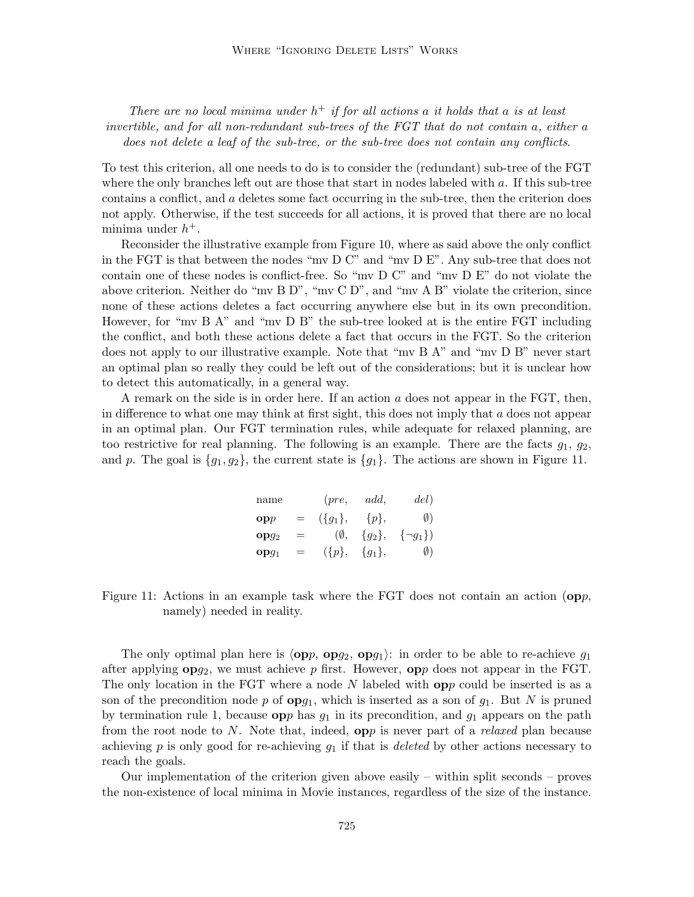There are no local minima under  $h^+$  if for all actions a it holds that a is at least invertible, and for all non-redundant sub-trees of the FGT that do not contain a, either a does not delete a leaf of the sub-tree, or the sub-tree does not contain any conflicts.

To test this criterion, all one needs to do is to consider the (redundant) sub-tree of the FGT where the only branches left out are those that start in nodes labeled with a. If this sub-tree contains a conflict, and a deletes some fact occurring in the sub-tree, then the criterion does not apply. Otherwise, if the test succeeds for all actions, it is proved that there are no local minima under  $h^+$ .

Reconsider the illustrative example from Figure 10, where as said above the only conflict in the FGT is that between the nodes "mv D C" and "mv D E". Any sub-tree that does not contain one of these nodes is conflict-free. So "mv D C" and "mv D E" do not violate the above criterion. Neither do "mv B D", "mv C D", and "mv A B" violate the criterion, since none of these actions deletes a fact occurring anywhere else but in its own precondition. However, for "my B A" and "my D B" the sub-tree looked at is the entire FGT including the conflict, and both these actions delete a fact that occurs in the FGT. So the criterion does not apply to our illustrative example. Note that "mv B A" and "mv D B" never start an optimal plan so really they could be left out of the considerations; but it is unclear how to detect this automatically, in a general way.

A remark on the side is in order here. If an action  $a$  does not appear in the FGT, then, in difference to what one may think at first sight, this does not imply that  $a$  does not appear in an optimal plan. Our FGT termination rules, while adequate for relaxed planning, are too restrictive for real planning. The following is an example. There are the facts  $g_1, g_2$ , and p. The goal is  $\{g_1, g_2\}$ , the current state is  $\{g_1\}$ . The actions are shown in Figure 11.

| name             |     | (pre,                   | add.        | del)            |
|------------------|-----|-------------------------|-------------|-----------------|
| $\mathbf{opp}$   | $=$ | $({g_1}, {g_2}, {g_3},$ |             | $\emptyset$     |
| opq <sub>2</sub> | $=$ | $(\emptyset,$           | $\{g_2\},\$ | $\{\neg g_1\})$ |
| $opg_1$          | $=$ | $(\{p\},\)$             | $\{g_1\},\$ | $\emptyset$     |

Figure 11: Actions in an example task where the FGT does not contain an action  $(pp,$ namely) needed in reality.

The only optimal plan here is  $\langle opp, opg_2, opg_1 \rangle$ : in order to be able to re-achieve  $g_1$ after applying  $opg_2$ , we must achieve p first. However,  $opp$  does not appear in the FGT. The only location in the FGT where a node  $N$  labeled with  $opp$  could be inserted is as a son of the precondition node p of  $opg_1$ , which is inserted as a son of  $g_1$ . But N is pruned by termination rule 1, because  $opp$  has  $g_1$  in its precondition, and  $g_1$  appears on the path from the root node to N. Note that, indeed,  $opp$  is never part of a *relaxed* plan because achieving p is only good for re-achieving  $g_1$  if that is *deleted* by other actions necessary to reach the goals.

Our implementation of the criterion given above easily – within split seconds – proves the non-existence of local minima in Movie instances, regardless of the size of the instance.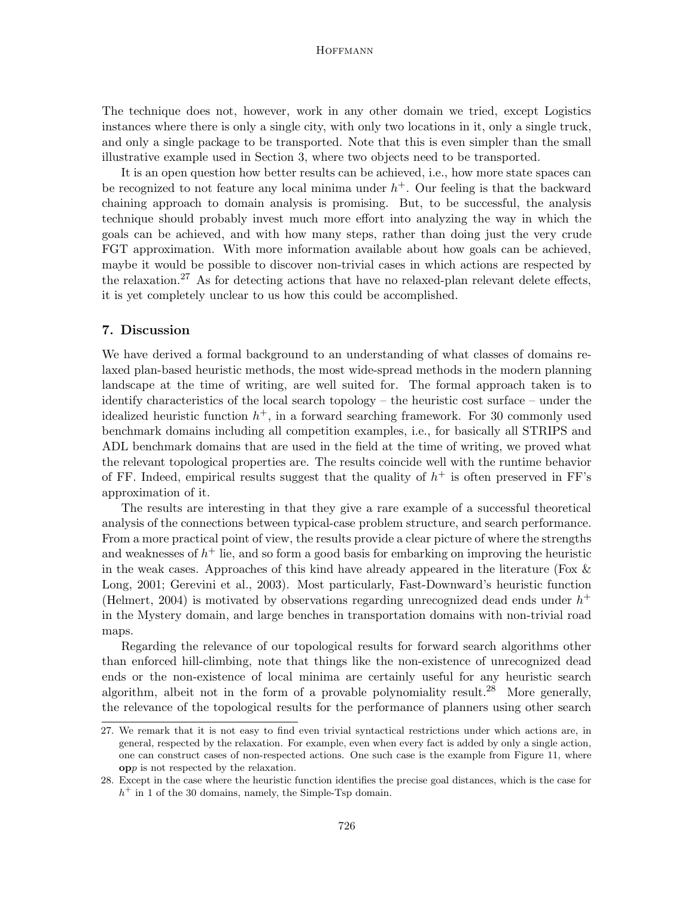The technique does not, however, work in any other domain we tried, except Logistics instances where there is only a single city, with only two locations in it, only a single truck, and only a single package to be transported. Note that this is even simpler than the small illustrative example used in Section 3, where two objects need to be transported.

It is an open question how better results can be achieved, i.e., how more state spaces can be recognized to not feature any local minima under  $h<sup>+</sup>$ . Our feeling is that the backward chaining approach to domain analysis is promising. But, to be successful, the analysis technique should probably invest much more effort into analyzing the way in which the goals can be achieved, and with how many steps, rather than doing just the very crude FGT approximation. With more information available about how goals can be achieved, maybe it would be possible to discover non-trivial cases in which actions are respected by the relaxation.<sup>27</sup> As for detecting actions that have no relaxed-plan relevant delete effects, it is yet completely unclear to us how this could be accomplished.

# 7. Discussion

We have derived a formal background to an understanding of what classes of domains relaxed plan-based heuristic methods, the most wide-spread methods in the modern planning landscape at the time of writing, are well suited for. The formal approach taken is to identify characteristics of the local search topology – the heuristic cost surface – under the idealized heuristic function  $h^+$ , in a forward searching framework. For 30 commonly used benchmark domains including all competition examples, i.e., for basically all STRIPS and ADL benchmark domains that are used in the field at the time of writing, we proved what the relevant topological properties are. The results coincide well with the runtime behavior of FF. Indeed, empirical results suggest that the quality of  $h^+$  is often preserved in FF's approximation of it.

The results are interesting in that they give a rare example of a successful theoretical analysis of the connections between typical-case problem structure, and search performance. From a more practical point of view, the results provide a clear picture of where the strengths and weaknesses of  $h^+$  lie, and so form a good basis for embarking on improving the heuristic in the weak cases. Approaches of this kind have already appeared in the literature (Fox & Long, 2001; Gerevini et al., 2003). Most particularly, Fast-Downward's heuristic function (Helmert, 2004) is motivated by observations regarding unrecognized dead ends under  $h^+$ in the Mystery domain, and large benches in transportation domains with non-trivial road maps.

Regarding the relevance of our topological results for forward search algorithms other than enforced hill-climbing, note that things like the non-existence of unrecognized dead ends or the non-existence of local minima are certainly useful for any heuristic search algorithm, albeit not in the form of a provable polynomiality result.<sup>28</sup> More generally, the relevance of the topological results for the performance of planners using other search

<sup>27.</sup> We remark that it is not easy to find even trivial syntactical restrictions under which actions are, in general, respected by the relaxation. For example, even when every fact is added by only a single action, one can construct cases of non-respected actions. One such case is the example from Figure 11, where opp is not respected by the relaxation.

<sup>28.</sup> Except in the case where the heuristic function identifies the precise goal distances, which is the case for  $h<sup>+</sup>$  in 1 of the 30 domains, namely, the Simple-Tsp domain.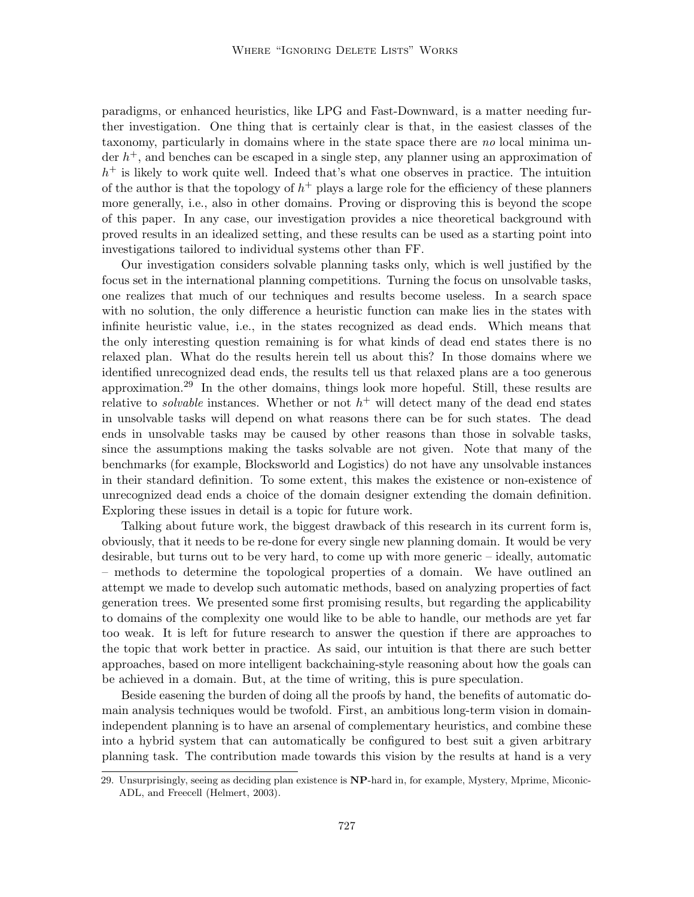paradigms, or enhanced heuristics, like LPG and Fast-Downward, is a matter needing further investigation. One thing that is certainly clear is that, in the easiest classes of the taxonomy, particularly in domains where in the state space there are no local minima under  $h^+$ , and benches can be escaped in a single step, any planner using an approximation of  $h<sup>+</sup>$  is likely to work quite well. Indeed that's what one observes in practice. The intuition of the author is that the topology of  $h^+$  plays a large role for the efficiency of these planners more generally, i.e., also in other domains. Proving or disproving this is beyond the scope of this paper. In any case, our investigation provides a nice theoretical background with proved results in an idealized setting, and these results can be used as a starting point into investigations tailored to individual systems other than FF.

Our investigation considers solvable planning tasks only, which is well justified by the focus set in the international planning competitions. Turning the focus on unsolvable tasks, one realizes that much of our techniques and results become useless. In a search space with no solution, the only difference a heuristic function can make lies in the states with infinite heuristic value, i.e., in the states recognized as dead ends. Which means that the only interesting question remaining is for what kinds of dead end states there is no relaxed plan. What do the results herein tell us about this? In those domains where we identified unrecognized dead ends, the results tell us that relaxed plans are a too generous approximation.<sup>29</sup> In the other domains, things look more hopeful. Still, these results are relative to *solvable* instances. Whether or not  $h^+$  will detect many of the dead end states in unsolvable tasks will depend on what reasons there can be for such states. The dead ends in unsolvable tasks may be caused by other reasons than those in solvable tasks, since the assumptions making the tasks solvable are not given. Note that many of the benchmarks (for example, Blocksworld and Logistics) do not have any unsolvable instances in their standard definition. To some extent, this makes the existence or non-existence of unrecognized dead ends a choice of the domain designer extending the domain definition. Exploring these issues in detail is a topic for future work.

Talking about future work, the biggest drawback of this research in its current form is, obviously, that it needs to be re-done for every single new planning domain. It would be very desirable, but turns out to be very hard, to come up with more generic – ideally, automatic – methods to determine the topological properties of a domain. We have outlined an attempt we made to develop such automatic methods, based on analyzing properties of fact generation trees. We presented some first promising results, but regarding the applicability to domains of the complexity one would like to be able to handle, our methods are yet far too weak. It is left for future research to answer the question if there are approaches to the topic that work better in practice. As said, our intuition is that there are such better approaches, based on more intelligent backchaining-style reasoning about how the goals can be achieved in a domain. But, at the time of writing, this is pure speculation.

Beside easening the burden of doing all the proofs by hand, the benefits of automatic domain analysis techniques would be twofold. First, an ambitious long-term vision in domainindependent planning is to have an arsenal of complementary heuristics, and combine these into a hybrid system that can automatically be configured to best suit a given arbitrary planning task. The contribution made towards this vision by the results at hand is a very

<sup>29.</sup> Unsurprisingly, seeing as deciding plan existence is NP-hard in, for example, Mystery, Mprime, Miconic-ADL, and Freecell (Helmert, 2003).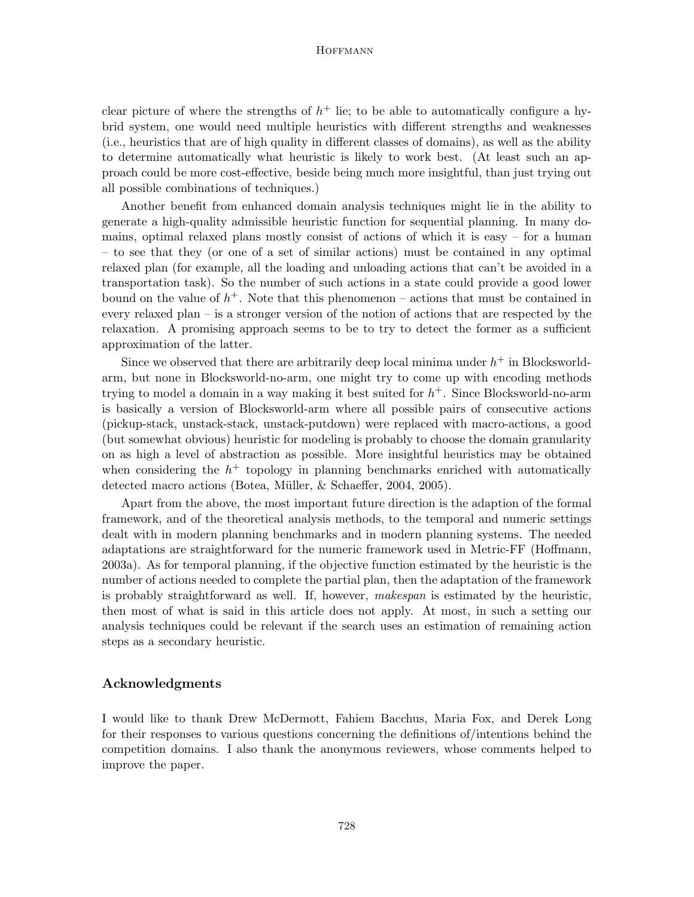clear picture of where the strengths of  $h^+$  lie; to be able to automatically configure a hybrid system, one would need multiple heuristics with different strengths and weaknesses (i.e., heuristics that are of high quality in different classes of domains), as well as the ability to determine automatically what heuristic is likely to work best. (At least such an approach could be more cost-effective, beside being much more insightful, than just trying out all possible combinations of techniques.)

Another benefit from enhanced domain analysis techniques might lie in the ability to generate a high-quality admissible heuristic function for sequential planning. In many domains, optimal relaxed plans mostly consist of actions of which it is easy – for a human – to see that they (or one of a set of similar actions) must be contained in any optimal relaxed plan (for example, all the loading and unloading actions that can't be avoided in a transportation task). So the number of such actions in a state could provide a good lower bound on the value of  $h^+$ . Note that this phenomenon – actions that must be contained in every relaxed plan – is a stronger version of the notion of actions that are respected by the relaxation. A promising approach seems to be to try to detect the former as a sufficient approximation of the latter.

Since we observed that there are arbitrarily deep local minima under  $h^+$  in Blocksworldarm, but none in Blocksworld-no-arm, one might try to come up with encoding methods trying to model a domain in a way making it best suited for  $h<sup>+</sup>$ . Since Blocksworld-no-arm is basically a version of Blocksworld-arm where all possible pairs of consecutive actions (pickup-stack, unstack-stack, unstack-putdown) were replaced with macro-actions, a good (but somewhat obvious) heuristic for modeling is probably to choose the domain granularity on as high a level of abstraction as possible. More insightful heuristics may be obtained when considering the  $h^+$  topology in planning benchmarks enriched with automatically detected macro actions (Botea, Müller, & Schaeffer, 2004, 2005).

Apart from the above, the most important future direction is the adaption of the formal framework, and of the theoretical analysis methods, to the temporal and numeric settings dealt with in modern planning benchmarks and in modern planning systems. The needed adaptations are straightforward for the numeric framework used in Metric-FF (Hoffmann, 2003a). As for temporal planning, if the objective function estimated by the heuristic is the number of actions needed to complete the partial plan, then the adaptation of the framework is probably straightforward as well. If, however, makespan is estimated by the heuristic, then most of what is said in this article does not apply. At most, in such a setting our analysis techniques could be relevant if the search uses an estimation of remaining action steps as a secondary heuristic.

# Acknowledgments

I would like to thank Drew McDermott, Fahiem Bacchus, Maria Fox, and Derek Long for their responses to various questions concerning the definitions of/intentions behind the competition domains. I also thank the anonymous reviewers, whose comments helped to improve the paper.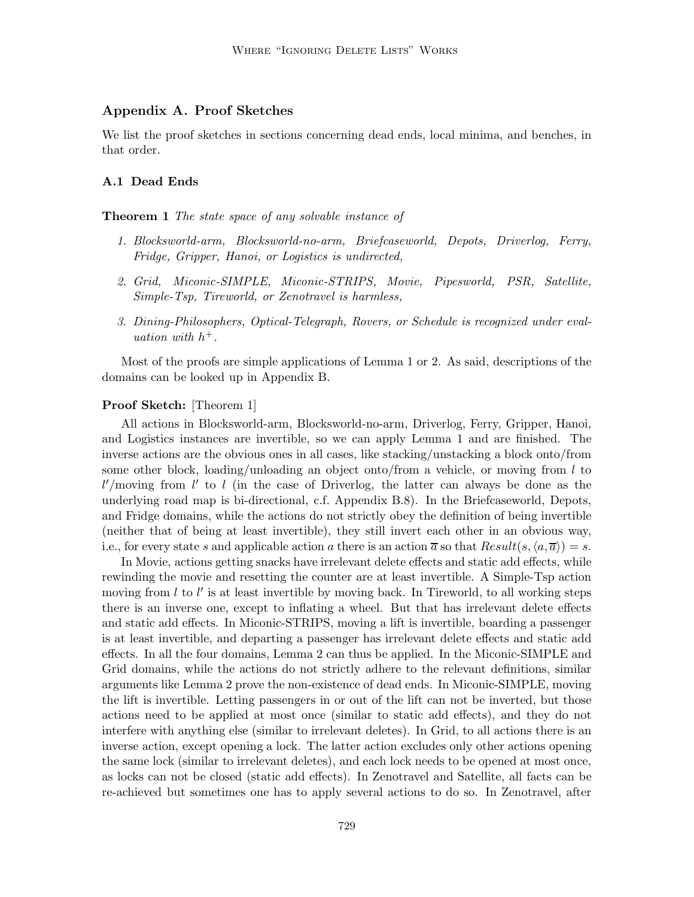# Appendix A. Proof Sketches

We list the proof sketches in sections concerning dead ends, local minima, and benches, in that order.

### A.1 Dead Ends

#### **Theorem 1** The state space of any solvable instance of

- 1. Blocksworld-arm, Blocksworld-no-arm, Briefcaseworld, Depots, Driverlog, Ferry, Fridge, Gripper, Hanoi, or Logistics is undirected,
- 2. Grid, Miconic-SIMPLE, Miconic-STRIPS, Movie, Pipesworld, PSR, Satellite, Simple-Tsp, Tireworld, or Zenotravel is harmless,
- 3. Dining-Philosophers, Optical-Telegraph, Rovers, or Schedule is recognized under evaluation with  $h^+$ .

Most of the proofs are simple applications of Lemma 1 or 2. As said, descriptions of the domains can be looked up in Appendix B.

# Proof Sketch: [Theorem 1]

All actions in Blocksworld-arm, Blocksworld-no-arm, Driverlog, Ferry, Gripper, Hanoi, and Logistics instances are invertible, so we can apply Lemma 1 and are finished. The inverse actions are the obvious ones in all cases, like stacking/unstacking a block onto/from some other block, loading/unloading an object onto/from a vehicle, or moving from  $l$  to  $l'$ /moving from  $l'$  to  $l$  (in the case of Driverlog, the latter can always be done as the underlying road map is bi-directional, c.f. Appendix B.8). In the Briefcaseworld, Depots, and Fridge domains, while the actions do not strictly obey the definition of being invertible (neither that of being at least invertible), they still invert each other in an obvious way, i.e., for every state s and applicable action a there is an action  $\overline{a}$  so that  $Result(s, \langle a, \overline{a} \rangle) = s$ .

In Movie, actions getting snacks have irrelevant delete effects and static add effects, while rewinding the movie and resetting the counter are at least invertible. A Simple-Tsp action moving from  $l$  to  $l'$  is at least invertible by moving back. In Tireworld, to all working steps there is an inverse one, except to inflating a wheel. But that has irrelevant delete effects and static add effects. In Miconic-STRIPS, moving a lift is invertible, boarding a passenger is at least invertible, and departing a passenger has irrelevant delete effects and static add effects. In all the four domains, Lemma 2 can thus be applied. In the Miconic-SIMPLE and Grid domains, while the actions do not strictly adhere to the relevant definitions, similar arguments like Lemma 2 prove the non-existence of dead ends. In Miconic-SIMPLE, moving the lift is invertible. Letting passengers in or out of the lift can not be inverted, but those actions need to be applied at most once (similar to static add effects), and they do not interfere with anything else (similar to irrelevant deletes). In Grid, to all actions there is an inverse action, except opening a lock. The latter action excludes only other actions opening the same lock (similar to irrelevant deletes), and each lock needs to be opened at most once, as locks can not be closed (static add effects). In Zenotravel and Satellite, all facts can be re-achieved but sometimes one has to apply several actions to do so. In Zenotravel, after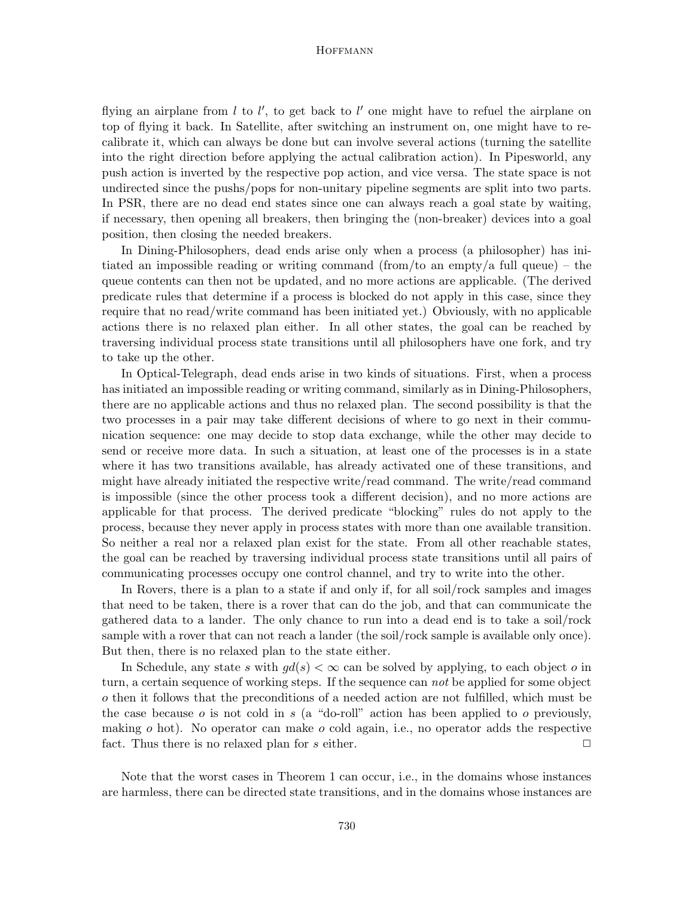flying an airplane from  $l$  to  $l'$ , to get back to  $l'$  one might have to refuel the airplane on top of flying it back. In Satellite, after switching an instrument on, one might have to recalibrate it, which can always be done but can involve several actions (turning the satellite into the right direction before applying the actual calibration action). In Pipesworld, any push action is inverted by the respective pop action, and vice versa. The state space is not undirected since the pushs/pops for non-unitary pipeline segments are split into two parts. In PSR, there are no dead end states since one can always reach a goal state by waiting, if necessary, then opening all breakers, then bringing the (non-breaker) devices into a goal position, then closing the needed breakers.

In Dining-Philosophers, dead ends arise only when a process (a philosopher) has initiated an impossible reading or writing command (from/to an empty/a full queue) – the queue contents can then not be updated, and no more actions are applicable. (The derived predicate rules that determine if a process is blocked do not apply in this case, since they require that no read/write command has been initiated yet.) Obviously, with no applicable actions there is no relaxed plan either. In all other states, the goal can be reached by traversing individual process state transitions until all philosophers have one fork, and try to take up the other.

In Optical-Telegraph, dead ends arise in two kinds of situations. First, when a process has initiated an impossible reading or writing command, similarly as in Dining-Philosophers, there are no applicable actions and thus no relaxed plan. The second possibility is that the two processes in a pair may take different decisions of where to go next in their communication sequence: one may decide to stop data exchange, while the other may decide to send or receive more data. In such a situation, at least one of the processes is in a state where it has two transitions available, has already activated one of these transitions, and might have already initiated the respective write/read command. The write/read command is impossible (since the other process took a different decision), and no more actions are applicable for that process. The derived predicate "blocking" rules do not apply to the process, because they never apply in process states with more than one available transition. So neither a real nor a relaxed plan exist for the state. From all other reachable states, the goal can be reached by traversing individual process state transitions until all pairs of communicating processes occupy one control channel, and try to write into the other.

In Rovers, there is a plan to a state if and only if, for all soil/rock samples and images that need to be taken, there is a rover that can do the job, and that can communicate the gathered data to a lander. The only chance to run into a dead end is to take a soil/rock sample with a rover that can not reach a lander (the soil/rock sample is available only once). But then, there is no relaxed plan to the state either.

In Schedule, any state s with  $gd(s) < \infty$  can be solved by applying, to each object o in turn, a certain sequence of working steps. If the sequence can not be applied for some object o then it follows that the preconditions of a needed action are not fulfilled, which must be the case because o is not cold in s (a "do-roll" action has been applied to o previously, making  $\sigma$  hot). No operator can make  $\sigma$  cold again, i.e., no operator adds the respective fact. Thus there is no relaxed plan for s either.  $\Box$ 

Note that the worst cases in Theorem 1 can occur, i.e., in the domains whose instances are harmless, there can be directed state transitions, and in the domains whose instances are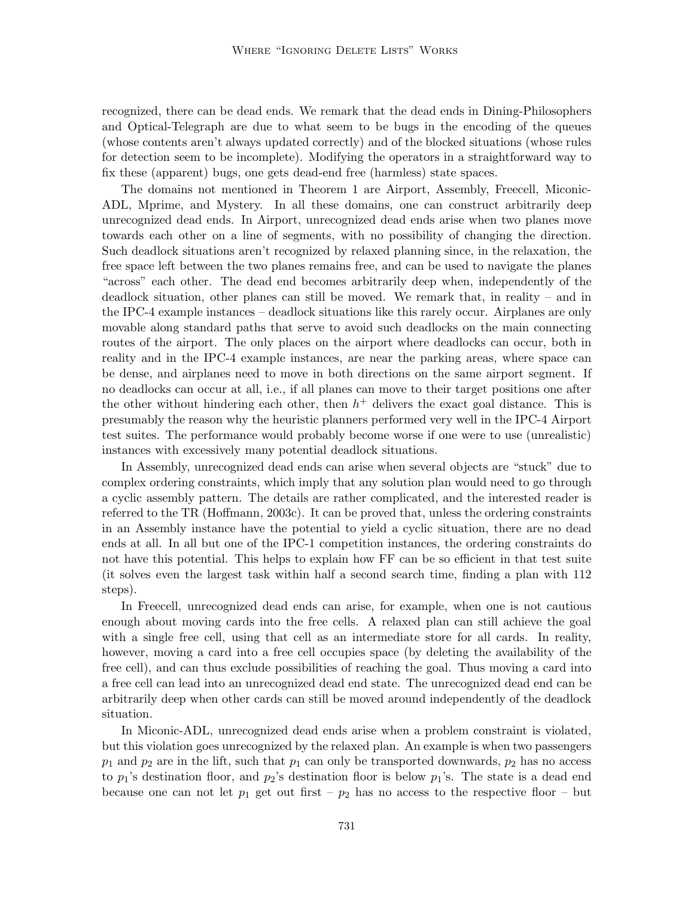recognized, there can be dead ends. We remark that the dead ends in Dining-Philosophers and Optical-Telegraph are due to what seem to be bugs in the encoding of the queues (whose contents aren't always updated correctly) and of the blocked situations (whose rules for detection seem to be incomplete). Modifying the operators in a straightforward way to fix these (apparent) bugs, one gets dead-end free (harmless) state spaces.

The domains not mentioned in Theorem 1 are Airport, Assembly, Freecell, Miconic-ADL, Mprime, and Mystery. In all these domains, one can construct arbitrarily deep unrecognized dead ends. In Airport, unrecognized dead ends arise when two planes move towards each other on a line of segments, with no possibility of changing the direction. Such deadlock situations aren't recognized by relaxed planning since, in the relaxation, the free space left between the two planes remains free, and can be used to navigate the planes "across" each other. The dead end becomes arbitrarily deep when, independently of the deadlock situation, other planes can still be moved. We remark that, in reality – and in the IPC-4 example instances – deadlock situations like this rarely occur. Airplanes are only movable along standard paths that serve to avoid such deadlocks on the main connecting routes of the airport. The only places on the airport where deadlocks can occur, both in reality and in the IPC-4 example instances, are near the parking areas, where space can be dense, and airplanes need to move in both directions on the same airport segment. If no deadlocks can occur at all, i.e., if all planes can move to their target positions one after the other without hindering each other, then  $h<sup>+</sup>$  delivers the exact goal distance. This is presumably the reason why the heuristic planners performed very well in the IPC-4 Airport test suites. The performance would probably become worse if one were to use (unrealistic) instances with excessively many potential deadlock situations.

In Assembly, unrecognized dead ends can arise when several objects are "stuck" due to complex ordering constraints, which imply that any solution plan would need to go through a cyclic assembly pattern. The details are rather complicated, and the interested reader is referred to the TR (Hoffmann, 2003c). It can be proved that, unless the ordering constraints in an Assembly instance have the potential to yield a cyclic situation, there are no dead ends at all. In all but one of the IPC-1 competition instances, the ordering constraints do not have this potential. This helps to explain how FF can be so efficient in that test suite (it solves even the largest task within half a second search time, finding a plan with 112 steps).

In Freecell, unrecognized dead ends can arise, for example, when one is not cautious enough about moving cards into the free cells. A relaxed plan can still achieve the goal with a single free cell, using that cell as an intermediate store for all cards. In reality, however, moving a card into a free cell occupies space (by deleting the availability of the free cell), and can thus exclude possibilities of reaching the goal. Thus moving a card into a free cell can lead into an unrecognized dead end state. The unrecognized dead end can be arbitrarily deep when other cards can still be moved around independently of the deadlock situation.

In Miconic-ADL, unrecognized dead ends arise when a problem constraint is violated, but this violation goes unrecognized by the relaxed plan. An example is when two passengers  $p_1$  and  $p_2$  are in the lift, such that  $p_1$  can only be transported downwards,  $p_2$  has no access to  $p_1$ 's destination floor, and  $p_2$ 's destination floor is below  $p_1$ 's. The state is a dead end because one can not let  $p_1$  get out first –  $p_2$  has no access to the respective floor – but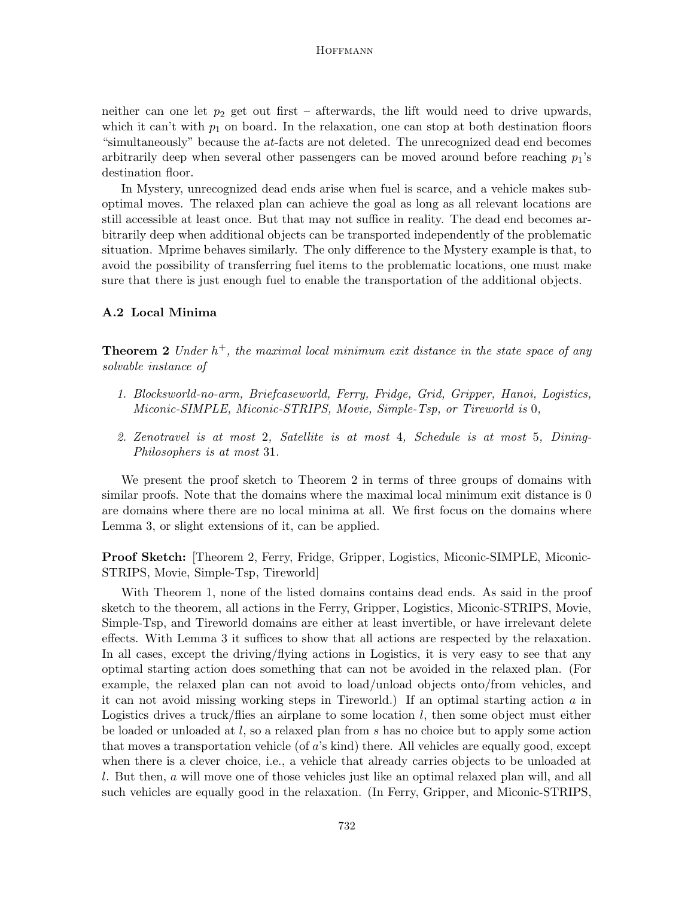neither can one let  $p_2$  get out first – afterwards, the lift would need to drive upwards, which it can't with  $p_1$  on board. In the relaxation, one can stop at both destination floors "simultaneously" because the at-facts are not deleted. The unrecognized dead end becomes arbitrarily deep when several other passengers can be moved around before reaching  $p_1$ 's destination floor.

In Mystery, unrecognized dead ends arise when fuel is scarce, and a vehicle makes suboptimal moves. The relaxed plan can achieve the goal as long as all relevant locations are still accessible at least once. But that may not suffice in reality. The dead end becomes arbitrarily deep when additional objects can be transported independently of the problematic situation. Mprime behaves similarly. The only difference to the Mystery example is that, to avoid the possibility of transferring fuel items to the problematic locations, one must make sure that there is just enough fuel to enable the transportation of the additional objects.

#### A.2 Local Minima

**Theorem 2** Under  $h^+$ , the maximal local minimum exit distance in the state space of any solvable instance of

- 1. Blocksworld-no-arm, Briefcaseworld, Ferry, Fridge, Grid, Gripper, Hanoi, Logistics, Miconic-SIMPLE, Miconic-STRIPS, Movie, Simple-Tsp, or Tireworld is 0,
- 2. Zenotravel is at most 2, Satellite is at most 4, Schedule is at most 5, Dining-Philosophers is at most 31.

We present the proof sketch to Theorem 2 in terms of three groups of domains with similar proofs. Note that the domains where the maximal local minimum exit distance is 0 are domains where there are no local minima at all. We first focus on the domains where Lemma 3, or slight extensions of it, can be applied.

Proof Sketch: [Theorem 2, Ferry, Fridge, Gripper, Logistics, Miconic-SIMPLE, Miconic-STRIPS, Movie, Simple-Tsp, Tireworld]

With Theorem 1, none of the listed domains contains dead ends. As said in the proof sketch to the theorem, all actions in the Ferry, Gripper, Logistics, Miconic-STRIPS, Movie, Simple-Tsp, and Tireworld domains are either at least invertible, or have irrelevant delete effects. With Lemma 3 it suffices to show that all actions are respected by the relaxation. In all cases, except the driving/flying actions in Logistics, it is very easy to see that any optimal starting action does something that can not be avoided in the relaxed plan. (For example, the relaxed plan can not avoid to load/unload objects onto/from vehicles, and it can not avoid missing working steps in Tireworld.) If an optimal starting action a in Logistics drives a truck/flies an airplane to some location  $l$ , then some object must either be loaded or unloaded at l, so a relaxed plan from s has no choice but to apply some action that moves a transportation vehicle (of a's kind) there. All vehicles are equally good, except when there is a clever choice, i.e., a vehicle that already carries objects to be unloaded at l. But then, a will move one of those vehicles just like an optimal relaxed plan will, and all such vehicles are equally good in the relaxation. (In Ferry, Gripper, and Miconic-STRIPS,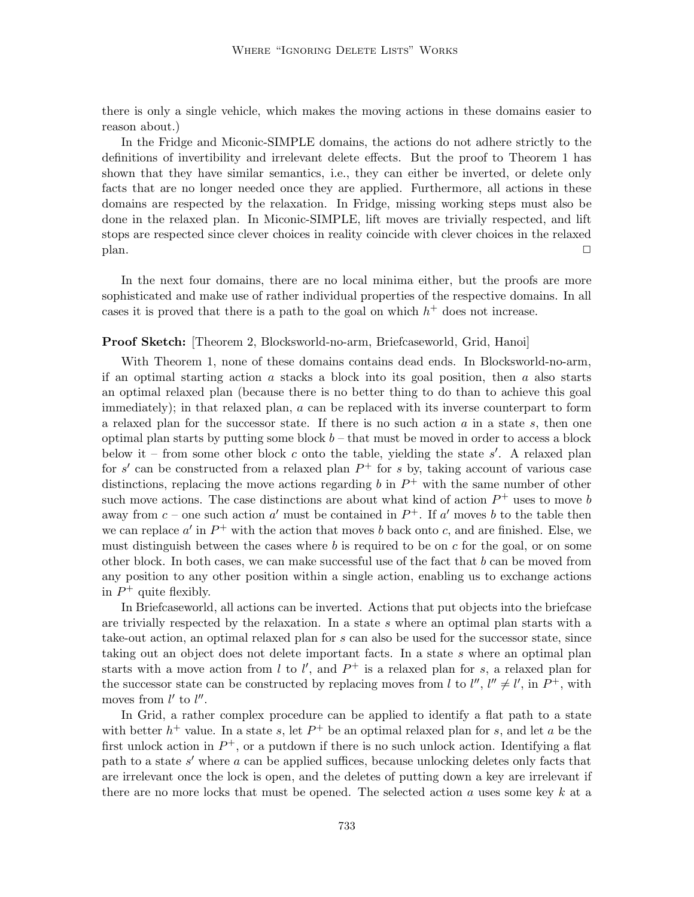there is only a single vehicle, which makes the moving actions in these domains easier to reason about.)

In the Fridge and Miconic-SIMPLE domains, the actions do not adhere strictly to the definitions of invertibility and irrelevant delete effects. But the proof to Theorem 1 has shown that they have similar semantics, i.e., they can either be inverted, or delete only facts that are no longer needed once they are applied. Furthermore, all actions in these domains are respected by the relaxation. In Fridge, missing working steps must also be done in the relaxed plan. In Miconic-SIMPLE, lift moves are trivially respected, and lift stops are respected since clever choices in reality coincide with clever choices in the relaxed  $\Box$  plan.

In the next four domains, there are no local minima either, but the proofs are more sophisticated and make use of rather individual properties of the respective domains. In all cases it is proved that there is a path to the goal on which  $h<sup>+</sup>$  does not increase.

## Proof Sketch: [Theorem 2, Blocksworld-no-arm, Briefcaseworld, Grid, Hanoi]

With Theorem 1, none of these domains contains dead ends. In Blocksworld-no-arm, if an optimal starting action  $\alpha$  stacks a block into its goal position, then  $\alpha$  also starts an optimal relaxed plan (because there is no better thing to do than to achieve this goal immediately); in that relaxed plan, a can be replaced with its inverse counterpart to form a relaxed plan for the successor state. If there is no such action  $a$  in a state  $s$ , then one optimal plan starts by putting some block  $b$  – that must be moved in order to access a block below it – from some other block  $c$  onto the table, yielding the state  $s'$ . A relaxed plan for s' can be constructed from a relaxed plan  $P^+$  for s by, taking account of various case distinctions, replacing the move actions regarding  $b$  in  $P^+$  with the same number of other such move actions. The case distinctions are about what kind of action  $P^+$  uses to move b away from  $c$  – one such action  $a'$  must be contained in  $P^+$ . If  $a'$  moves b to the table then we can replace  $a'$  in  $P^+$  with the action that moves b back onto c, and are finished. Else, we must distinguish between the cases where  $b$  is required to be on  $c$  for the goal, or on some other block. In both cases, we can make successful use of the fact that  $b$  can be moved from any position to any other position within a single action, enabling us to exchange actions in  $P^+$  quite flexibly.

In Briefcaseworld, all actions can be inverted. Actions that put objects into the briefcase are trivially respected by the relaxation. In a state s where an optimal plan starts with a take-out action, an optimal relaxed plan for s can also be used for the successor state, since taking out an object does not delete important facts. In a state s where an optimal plan starts with a move action from l to l', and  $P^+$  is a relaxed plan for s, a relaxed plan for the successor state can be constructed by replacing moves from l to  $l''$ ,  $l'' \neq l'$ , in  $P^+$ , with moves from  $l'$  to  $l''$ .

In Grid, a rather complex procedure can be applied to identify a flat path to a state with better  $h^+$  value. In a state s, let  $P^+$  be an optimal relaxed plan for s, and let a be the first unlock action in  $P^+$ , or a putdown if there is no such unlock action. Identifying a flat path to a state  $s'$  where  $a$  can be applied suffices, because unlocking deletes only facts that are irrelevant once the lock is open, and the deletes of putting down a key are irrelevant if there are no more locks that must be opened. The selected action  $a$  uses some key  $k$  at a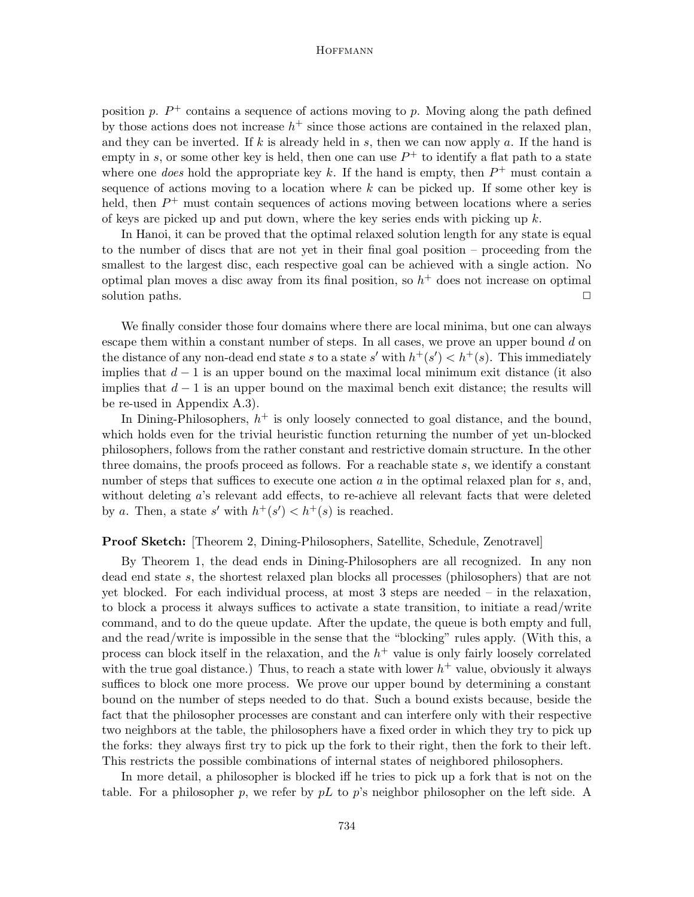position p.  $P^+$  contains a sequence of actions moving to p. Moving along the path defined by those actions does not increase  $h^+$  since those actions are contained in the relaxed plan, and they can be inverted. If k is already held in s, then we can now apply a. If the hand is empty in s, or some other key is held, then one can use  $P^+$  to identify a flat path to a state where one *does* hold the appropriate key k. If the hand is empty, then  $P^+$  must contain a sequence of actions moving to a location where  $k$  can be picked up. If some other key is held, then  $P^+$  must contain sequences of actions moving between locations where a series of keys are picked up and put down, where the key series ends with picking up  $k$ .

In Hanoi, it can be proved that the optimal relaxed solution length for any state is equal to the number of discs that are not yet in their final goal position – proceeding from the smallest to the largest disc, each respective goal can be achieved with a single action. No optimal plan moves a disc away from its final position, so  $h<sup>+</sup>$  does not increase on optimal solution paths.

We finally consider those four domains where there are local minima, but one can always escape them within a constant number of steps. In all cases, we prove an upper bound  $d$  on the distance of any non-dead end state s to a state s' with  $h^+(s') < h^+(s)$ . This immediately implies that  $d-1$  is an upper bound on the maximal local minimum exit distance (it also implies that  $d-1$  is an upper bound on the maximal bench exit distance; the results will be re-used in Appendix A.3).

In Dining-Philosophers,  $h^+$  is only loosely connected to goal distance, and the bound, which holds even for the trivial heuristic function returning the number of yet un-blocked philosophers, follows from the rather constant and restrictive domain structure. In the other three domains, the proofs proceed as follows. For a reachable state s, we identify a constant number of steps that suffices to execute one action  $a$  in the optimal relaxed plan for  $s$ , and, without deleting a's relevant add effects, to re-achieve all relevant facts that were deleted by a. Then, a state s' with  $h^+(s') < h^+(s)$  is reached.

## Proof Sketch: [Theorem 2, Dining-Philosophers, Satellite, Schedule, Zenotravel]

By Theorem 1, the dead ends in Dining-Philosophers are all recognized. In any non dead end state s, the shortest relaxed plan blocks all processes (philosophers) that are not yet blocked. For each individual process, at most 3 steps are needed – in the relaxation, to block a process it always suffices to activate a state transition, to initiate a read/write command, and to do the queue update. After the update, the queue is both empty and full, and the read/write is impossible in the sense that the "blocking" rules apply. (With this, a process can block itself in the relaxation, and the  $h<sup>+</sup>$  value is only fairly loosely correlated with the true goal distance.) Thus, to reach a state with lower  $h^+$  value, obviously it always suffices to block one more process. We prove our upper bound by determining a constant bound on the number of steps needed to do that. Such a bound exists because, beside the fact that the philosopher processes are constant and can interfere only with their respective two neighbors at the table, the philosophers have a fixed order in which they try to pick up the forks: they always first try to pick up the fork to their right, then the fork to their left. This restricts the possible combinations of internal states of neighbored philosophers.

In more detail, a philosopher is blocked iff he tries to pick up a fork that is not on the table. For a philosopher p, we refer by  $pL$  to p's neighbor philosopher on the left side. A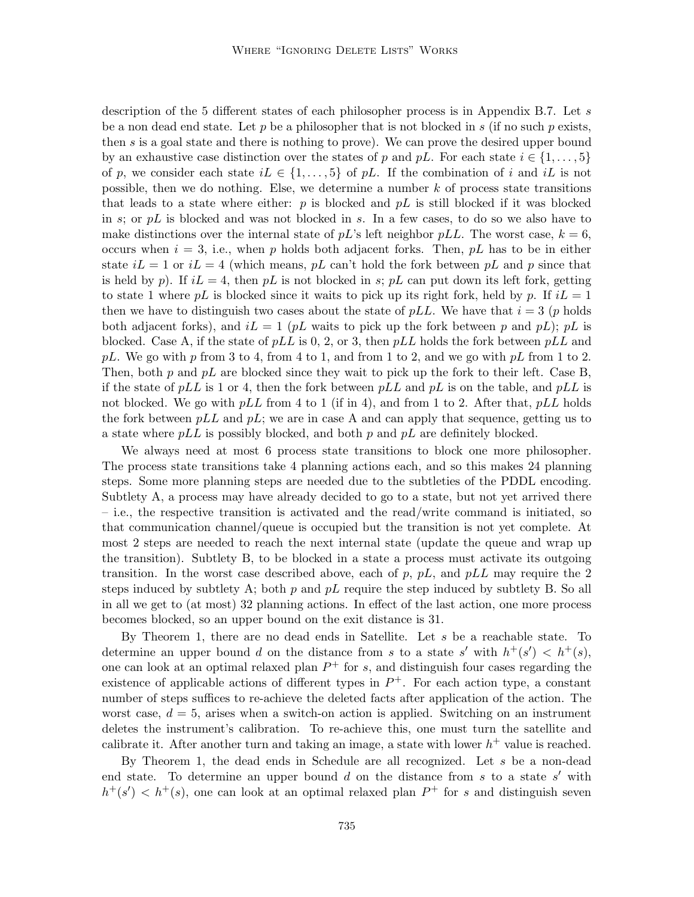description of the 5 different states of each philosopher process is in Appendix B.7. Let s be a non dead end state. Let  $p$  be a philosopher that is not blocked in  $s$  (if no such  $p$  exists, then s is a goal state and there is nothing to prove). We can prove the desired upper bound by an exhaustive case distinction over the states of p and pL. For each state  $i \in \{1, \ldots, 5\}$ of p, we consider each state  $iL \in \{1, \ldots, 5\}$  of pL. If the combination of i and iL is not possible, then we do nothing. Else, we determine a number  $k$  of process state transitions that leads to a state where either:  $p$  is blocked and  $pL$  is still blocked if it was blocked in s; or  $pL$  is blocked and was not blocked in s. In a few cases, to do so we also have to make distinctions over the internal state of  $pL$ 's left neighbor  $pLL$ . The worst case,  $k = 6$ , occurs when  $i = 3$ , i.e., when p holds both adjacent forks. Then, pL has to be in either state  $iL = 1$  or  $iL = 4$  (which means, pL can't hold the fork between pL and p since that is held by p). If  $iL = 4$ , then pL is not blocked in s; pL can put down its left fork, getting to state 1 where pL is blocked since it waits to pick up its right fork, held by p. If  $iL = 1$ then we have to distinguish two cases about the state of  $pLL$ . We have that  $i = 3$  (p holds both adjacent forks), and  $iL = 1$  (pL waits to pick up the fork between p and pL); pL is blocked. Case A, if the state of  $pLL$  is 0, 2, or 3, then  $pLL$  holds the fork between  $pLL$  and pL. We go with p from 3 to 4, from 4 to 1, and from 1 to 2, and we go with pL from 1 to 2. Then, both p and  $pL$  are blocked since they wait to pick up the fork to their left. Case B, if the state of  $pLL$  is 1 or 4, then the fork between  $pLL$  and  $pL$  is on the table, and  $pLL$  is not blocked. We go with  $pLL$  from 4 to 1 (if in 4), and from 1 to 2. After that,  $pLL$  holds the fork between  $pLL$  and  $pL$ ; we are in case A and can apply that sequence, getting us to a state where  $pLL$  is possibly blocked, and both p and  $pL$  are definitely blocked.

We always need at most 6 process state transitions to block one more philosopher. The process state transitions take 4 planning actions each, and so this makes 24 planning steps. Some more planning steps are needed due to the subtleties of the PDDL encoding. Subtlety A, a process may have already decided to go to a state, but not yet arrived there – i.e., the respective transition is activated and the read/write command is initiated, so that communication channel/queue is occupied but the transition is not yet complete. At most 2 steps are needed to reach the next internal state (update the queue and wrap up the transition). Subtlety B, to be blocked in a state a process must activate its outgoing transition. In the worst case described above, each of p, pL, and pLL may require the 2 steps induced by subtlety A; both p and  $pL$  require the step induced by subtlety B. So all in all we get to (at most) 32 planning actions. In effect of the last action, one more process becomes blocked, so an upper bound on the exit distance is 31.

By Theorem 1, there are no dead ends in Satellite. Let s be a reachable state. To determine an upper bound d on the distance from s to a state s' with  $h^+(s') < h^+(s)$ , one can look at an optimal relaxed plan  $P^+$  for s, and distinguish four cases regarding the existence of applicable actions of different types in  $P^+$ . For each action type, a constant number of steps suffices to re-achieve the deleted facts after application of the action. The worst case,  $d = 5$ , arises when a switch-on action is applied. Switching on an instrument deletes the instrument's calibration. To re-achieve this, one must turn the satellite and calibrate it. After another turn and taking an image, a state with lower  $h^+$  value is reached.

By Theorem 1, the dead ends in Schedule are all recognized. Let s be a non-dead end state. To determine an upper bound  $d$  on the distance from  $s$  to a state  $s'$  with  $h^+(s') < h^+(s)$ , one can look at an optimal relaxed plan  $P^+$  for s and distinguish seven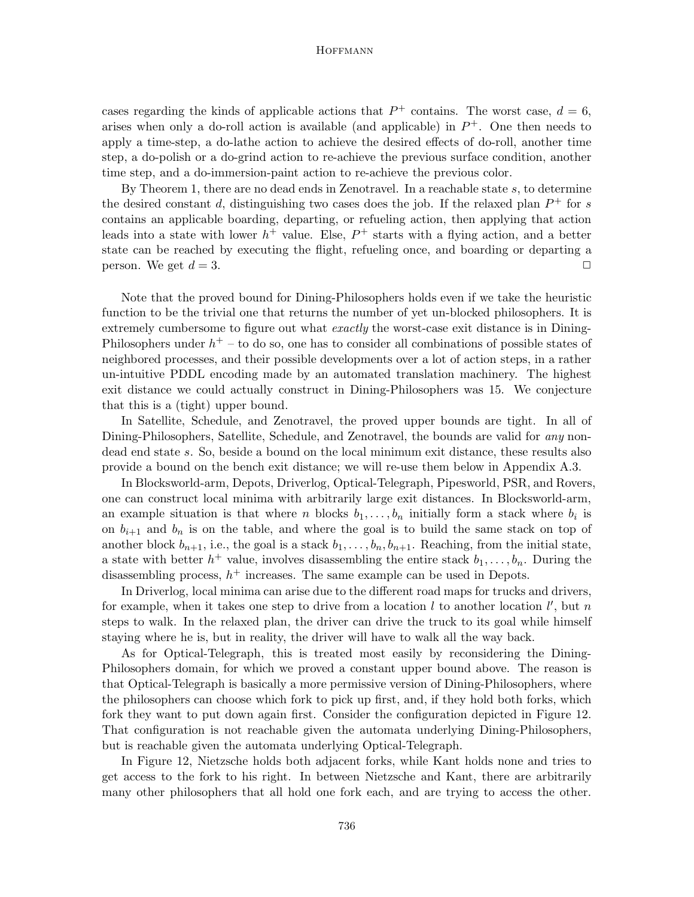cases regarding the kinds of applicable actions that  $P^+$  contains. The worst case,  $d = 6$ , arises when only a do-roll action is available (and applicable) in  $P^+$ . One then needs to apply a time-step, a do-lathe action to achieve the desired effects of do-roll, another time step, a do-polish or a do-grind action to re-achieve the previous surface condition, another time step, and a do-immersion-paint action to re-achieve the previous color.

By Theorem 1, there are no dead ends in Zenotravel. In a reachable state s, to determine the desired constant d, distinguishing two cases does the job. If the relaxed plan  $P^+$  for s contains an applicable boarding, departing, or refueling action, then applying that action leads into a state with lower  $h^+$  value. Else,  $P^+$  starts with a flying action, and a better state can be reached by executing the flight, refueling once, and boarding or departing a person. We get  $d = 3$ .

Note that the proved bound for Dining-Philosophers holds even if we take the heuristic function to be the trivial one that returns the number of yet un-blocked philosophers. It is extremely cumbersome to figure out what *exactly* the worst-case exit distance is in Dining-Philosophers under  $h^+$  – to do so, one has to consider all combinations of possible states of neighbored processes, and their possible developments over a lot of action steps, in a rather un-intuitive PDDL encoding made by an automated translation machinery. The highest exit distance we could actually construct in Dining-Philosophers was 15. We conjecture that this is a (tight) upper bound.

In Satellite, Schedule, and Zenotravel, the proved upper bounds are tight. In all of Dining-Philosophers, Satellite, Schedule, and Zenotravel, the bounds are valid for *any* nondead end state s. So, beside a bound on the local minimum exit distance, these results also provide a bound on the bench exit distance; we will re-use them below in Appendix A.3.

In Blocksworld-arm, Depots, Driverlog, Optical-Telegraph, Pipesworld, PSR, and Rovers, one can construct local minima with arbitrarily large exit distances. In Blocksworld-arm, an example situation is that where *n* blocks  $b_1, \ldots, b_n$  initially form a stack where  $b_i$  is on  $b_{i+1}$  and  $b_n$  is on the table, and where the goal is to build the same stack on top of another block  $b_{n+1}$ , i.e., the goal is a stack  $b_1, \ldots, b_n, b_{n+1}$ . Reaching, from the initial state, a state with better  $h^+$  value, involves disassembling the entire stack  $b_1, \ldots, b_n$ . During the disassembling process,  $h^+$  increases. The same example can be used in Depots.

In Driverlog, local minima can arise due to the different road maps for trucks and drivers, for example, when it takes one step to drive from a location  $l$  to another location  $l'$ , but n steps to walk. In the relaxed plan, the driver can drive the truck to its goal while himself staying where he is, but in reality, the driver will have to walk all the way back.

As for Optical-Telegraph, this is treated most easily by reconsidering the Dining-Philosophers domain, for which we proved a constant upper bound above. The reason is that Optical-Telegraph is basically a more permissive version of Dining-Philosophers, where the philosophers can choose which fork to pick up first, and, if they hold both forks, which fork they want to put down again first. Consider the configuration depicted in Figure 12. That configuration is not reachable given the automata underlying Dining-Philosophers, but is reachable given the automata underlying Optical-Telegraph.

In Figure 12, Nietzsche holds both adjacent forks, while Kant holds none and tries to get access to the fork to his right. In between Nietzsche and Kant, there are arbitrarily many other philosophers that all hold one fork each, and are trying to access the other.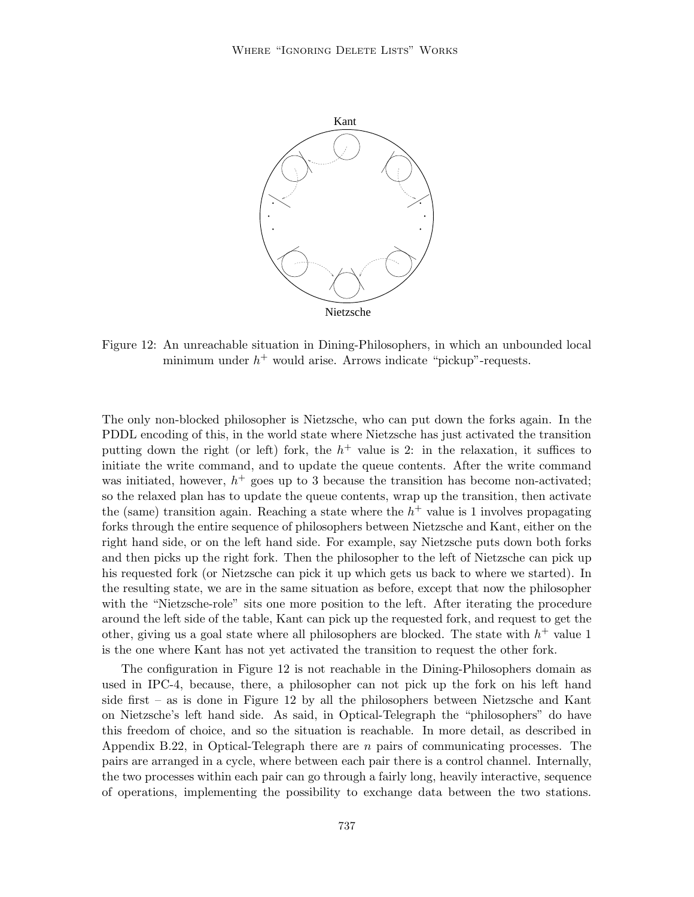

Figure 12: An unreachable situation in Dining-Philosophers, in which an unbounded local minimum under  $h^+$  would arise. Arrows indicate "pickup"-requests.

The only non-blocked philosopher is Nietzsche, who can put down the forks again. In the PDDL encoding of this, in the world state where Nietzsche has just activated the transition putting down the right (or left) fork, the  $h$ <sup>+</sup> value is 2: in the relaxation, it suffices to initiate the write command, and to update the queue contents. After the write command was initiated, however,  $h^+$  goes up to 3 because the transition has become non-activated; so the relaxed plan has to update the queue contents, wrap up the transition, then activate the (same) transition again. Reaching a state where the  $h<sup>+</sup>$  value is 1 involves propagating forks through the entire sequence of philosophers between Nietzsche and Kant, either on the right hand side, or on the left hand side. For example, say Nietzsche puts down both forks and then picks up the right fork. Then the philosopher to the left of Nietzsche can pick up his requested fork (or Nietzsche can pick it up which gets us back to where we started). In the resulting state, we are in the same situation as before, except that now the philosopher with the "Nietzsche-role" sits one more position to the left. After iterating the procedure around the left side of the table, Kant can pick up the requested fork, and request to get the other, giving us a goal state where all philosophers are blocked. The state with  $h^+$  value 1 is the one where Kant has not yet activated the transition to request the other fork.

The configuration in Figure 12 is not reachable in the Dining-Philosophers domain as used in IPC-4, because, there, a philosopher can not pick up the fork on his left hand side first – as is done in Figure 12 by all the philosophers between Nietzsche and Kant on Nietzsche's left hand side. As said, in Optical-Telegraph the "philosophers" do have this freedom of choice, and so the situation is reachable. In more detail, as described in Appendix B.22, in Optical-Telegraph there are n pairs of communicating processes. The pairs are arranged in a cycle, where between each pair there is a control channel. Internally, the two processes within each pair can go through a fairly long, heavily interactive, sequence of operations, implementing the possibility to exchange data between the two stations.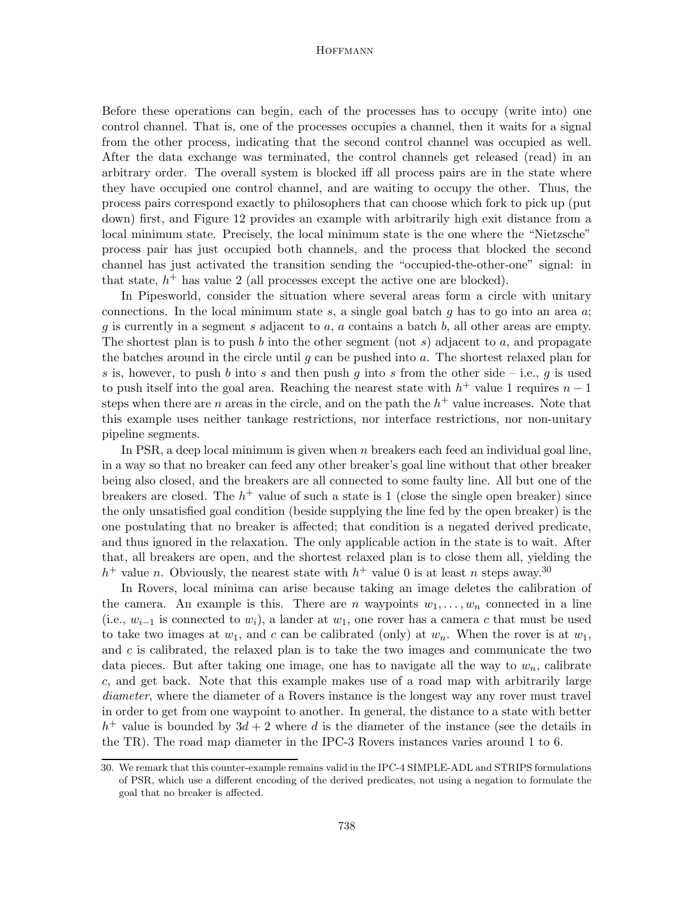Before these operations can begin, each of the processes has to occupy (write into) one control channel. That is, one of the processes occupies a channel, then it waits for a signal from the other process, indicating that the second control channel was occupied as well. After the data exchange was terminated, the control channels get released (read) in an arbitrary order. The overall system is blocked iff all process pairs are in the state where they have occupied one control channel, and are waiting to occupy the other. Thus, the process pairs correspond exactly to philosophers that can choose which fork to pick up (put down) first, and Figure 12 provides an example with arbitrarily high exit distance from a local minimum state. Precisely, the local minimum state is the one where the "Nietzsche" process pair has just occupied both channels, and the process that blocked the second channel has just activated the transition sending the "occupied-the-other-one" signal: in that state,  $h^+$  has value 2 (all processes except the active one are blocked).

In Pipesworld, consider the situation where several areas form a circle with unitary connections. In the local minimum state s, a single goal batch g has to go into an area  $a$ ; g is currently in a segment s adjacent to a, a contains a batch b, all other areas are empty. The shortest plan is to push b into the other segment (not s) adjacent to a, and propagate the batches around in the circle until  $q$  can be pushed into  $q$ . The shortest relaxed plan for s is, however, to push b into s and then push q into s from the other side – i.e., q is used to push itself into the goal area. Reaching the nearest state with  $h^+$  value 1 requires  $n-1$ steps when there are n areas in the circle, and on the path the  $h^+$  value increases. Note that this example uses neither tankage restrictions, nor interface restrictions, nor non-unitary pipeline segments.

In PSR, a deep local minimum is given when n breakers each feed an individual goal line, in a way so that no breaker can feed any other breaker's goal line without that other breaker being also closed, and the breakers are all connected to some faulty line. All but one of the breakers are closed. The  $h^+$  value of such a state is 1 (close the single open breaker) since the only unsatisfied goal condition (beside supplying the line fed by the open breaker) is the one postulating that no breaker is affected; that condition is a negated derived predicate, and thus ignored in the relaxation. The only applicable action in the state is to wait. After that, all breakers are open, and the shortest relaxed plan is to close them all, yielding the  $h^+$  value n. Obviously, the nearest state with  $h^+$  value 0 is at least n steps away.<sup>30</sup>

In Rovers, local minima can arise because taking an image deletes the calibration of the camera. An example is this. There are n waypoints  $w_1, \ldots, w_n$  connected in a line (i.e.,  $w_{i-1}$  is connected to  $w_i$ ), a lander at  $w_1$ , one rover has a camera c that must be used to take two images at  $w_1$ , and c can be calibrated (only) at  $w_n$ . When the rover is at  $w_1$ , and  $c$  is calibrated, the relaxed plan is to take the two images and communicate the two data pieces. But after taking one image, one has to navigate all the way to  $w_n$ , calibrate c, and get back. Note that this example makes use of a road map with arbitrarily large diameter, where the diameter of a Rovers instance is the longest way any rover must travel in order to get from one waypoint to another. In general, the distance to a state with better  $h^+$  value is bounded by  $3d + 2$  where d is the diameter of the instance (see the details in the TR). The road map diameter in the IPC-3 Rovers instances varies around 1 to 6.

<sup>30.</sup> We remark that this counter-example remains valid in the IPC-4 SIMPLE-ADL and STRIPS formulations of PSR, which use a different encoding of the derived predicates, not using a negation to formulate the goal that no breaker is affected.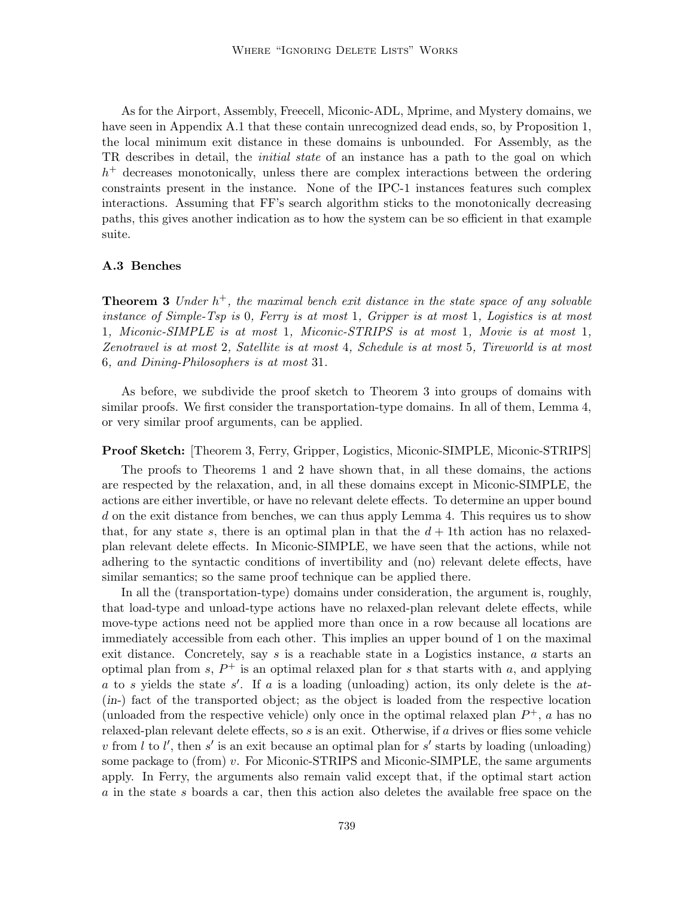As for the Airport, Assembly, Freecell, Miconic-ADL, Mprime, and Mystery domains, we have seen in Appendix A.1 that these contain unrecognized dead ends, so, by Proposition 1, the local minimum exit distance in these domains is unbounded. For Assembly, as the TR describes in detail, the *initial state* of an instance has a path to the goal on which  $h$ <sup>+</sup> decreases monotonically, unless there are complex interactions between the ordering constraints present in the instance. None of the IPC-1 instances features such complex interactions. Assuming that FF's search algorithm sticks to the monotonically decreasing paths, this gives another indication as to how the system can be so efficient in that example suite.

### A.3 Benches

**Theorem 3** Under  $h^+$ , the maximal bench exit distance in the state space of any solvable instance of Simple-Tsp is 0, Ferry is at most 1, Gripper is at most 1, Logistics is at most 1, Miconic-SIMPLE is at most 1, Miconic-STRIPS is at most 1, Movie is at most 1, Zenotravel is at most 2, Satellite is at most 4, Schedule is at most 5, Tireworld is at most 6, and Dining-Philosophers is at most 31.

As before, we subdivide the proof sketch to Theorem 3 into groups of domains with similar proofs. We first consider the transportation-type domains. In all of them, Lemma 4, or very similar proof arguments, can be applied.

Proof Sketch: [Theorem 3, Ferry, Gripper, Logistics, Miconic-SIMPLE, Miconic-STRIPS]

The proofs to Theorems 1 and 2 have shown that, in all these domains, the actions are respected by the relaxation, and, in all these domains except in Miconic-SIMPLE, the actions are either invertible, or have no relevant delete effects. To determine an upper bound d on the exit distance from benches, we can thus apply Lemma 4. This requires us to show that, for any state s, there is an optimal plan in that the  $d+1$ th action has no relaxedplan relevant delete effects. In Miconic-SIMPLE, we have seen that the actions, while not adhering to the syntactic conditions of invertibility and (no) relevant delete effects, have similar semantics; so the same proof technique can be applied there.

In all the (transportation-type) domains under consideration, the argument is, roughly, that load-type and unload-type actions have no relaxed-plan relevant delete effects, while move-type actions need not be applied more than once in a row because all locations are immediately accessible from each other. This implies an upper bound of 1 on the maximal exit distance. Concretely, say  $s$  is a reachable state in a Logistics instance,  $a$  starts an optimal plan from  $s$ ,  $P^+$  is an optimal relaxed plan for s that starts with a, and applying a to s yields the state  $s'$ . If a is a loading (unloading) action, its only delete is the at-(in-) fact of the transported object; as the object is loaded from the respective location (unloaded from the respective vehicle) only once in the optimal relaxed plan  $P^+$ , a has no relaxed-plan relevant delete effects, so s is an exit. Otherwise, if a drives or flies some vehicle v from l to l', then s' is an exit because an optimal plan for s' starts by loading (unloading) some package to (from) v. For Miconic-STRIPS and Miconic-SIMPLE, the same arguments apply. In Ferry, the arguments also remain valid except that, if the optimal start action a in the state s boards a car, then this action also deletes the available free space on the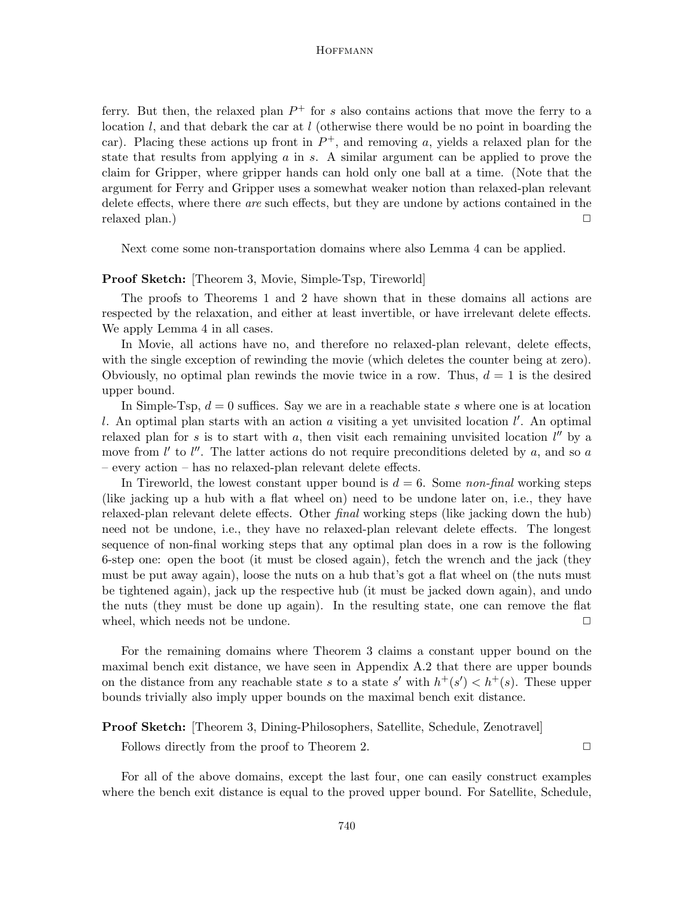ferry. But then, the relaxed plan  $P^+$  for s also contains actions that move the ferry to a location l, and that debark the car at l (otherwise there would be no point in boarding the car). Placing these actions up front in  $P^+$ , and removing a, yields a relaxed plan for the state that results from applying  $a$  in  $s$ . A similar argument can be applied to prove the claim for Gripper, where gripper hands can hold only one ball at a time. (Note that the argument for Ferry and Gripper uses a somewhat weaker notion than relaxed-plan relevant delete effects, where there are such effects, but they are undone by actions contained in the relaxed plan.)  $\Box$ 

Next come some non-transportation domains where also Lemma 4 can be applied.

## Proof Sketch: [Theorem 3, Movie, Simple-Tsp, Tireworld]

The proofs to Theorems 1 and 2 have shown that in these domains all actions are respected by the relaxation, and either at least invertible, or have irrelevant delete effects. We apply Lemma 4 in all cases.

In Movie, all actions have no, and therefore no relaxed-plan relevant, delete effects, with the single exception of rewinding the movie (which deletes the counter being at zero). Obviously, no optimal plan rewinds the movie twice in a row. Thus,  $d = 1$  is the desired upper bound.

In Simple-Tsp,  $d = 0$  suffices. Say we are in a reachable state s where one is at location l. An optimal plan starts with an action  $a$  visiting a yet unvisited location  $l'$ . An optimal relaxed plan for s is to start with a, then visit each remaining unvisited location  $l''$  by a move from  $l'$  to  $l''$ . The latter actions do not require preconditions deleted by a, and so a – every action – has no relaxed-plan relevant delete effects.

In Tireworld, the lowest constant upper bound is  $d = 6$ . Some non-final working steps (like jacking up a hub with a flat wheel on) need to be undone later on, i.e., they have relaxed-plan relevant delete effects. Other final working steps (like jacking down the hub) need not be undone, i.e., they have no relaxed-plan relevant delete effects. The longest sequence of non-final working steps that any optimal plan does in a row is the following 6-step one: open the boot (it must be closed again), fetch the wrench and the jack (they must be put away again), loose the nuts on a hub that's got a flat wheel on (the nuts must be tightened again), jack up the respective hub (it must be jacked down again), and undo the nuts (they must be done up again). In the resulting state, one can remove the flat wheel, which needs not be undone.  $\Box$ 

For the remaining domains where Theorem 3 claims a constant upper bound on the maximal bench exit distance, we have seen in Appendix A.2 that there are upper bounds on the distance from any reachable state s to a state s' with  $h^+(s') < h^+(s)$ . These upper bounds trivially also imply upper bounds on the maximal bench exit distance.

## Proof Sketch: [Theorem 3, Dining-Philosophers, Satellite, Schedule, Zenotravel]

Follows directly from the proof to Theorem 2.  $\Box$ 

For all of the above domains, except the last four, one can easily construct examples where the bench exit distance is equal to the proved upper bound. For Satellite, Schedule,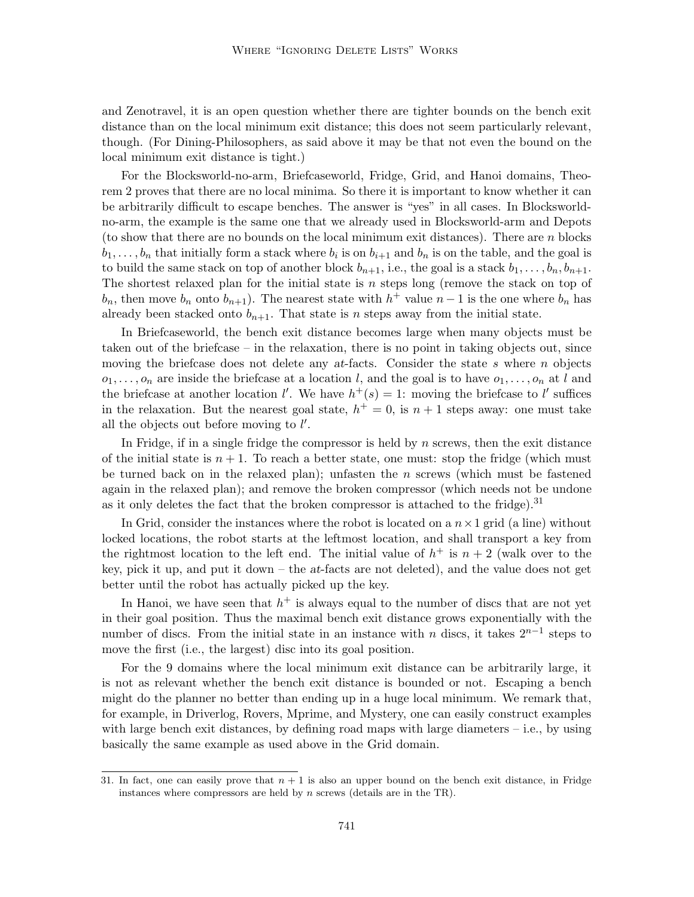and Zenotravel, it is an open question whether there are tighter bounds on the bench exit distance than on the local minimum exit distance; this does not seem particularly relevant, though. (For Dining-Philosophers, as said above it may be that not even the bound on the local minimum exit distance is tight.)

For the Blocksworld-no-arm, Briefcaseworld, Fridge, Grid, and Hanoi domains, Theorem 2 proves that there are no local minima. So there it is important to know whether it can be arbitrarily difficult to escape benches. The answer is "yes" in all cases. In Blocksworldno-arm, the example is the same one that we already used in Blocksworld-arm and Depots (to show that there are no bounds on the local minimum exit distances). There are  $n$  blocks  $b_1, \ldots, b_n$  that initially form a stack where  $b_i$  is on  $b_{i+1}$  and  $b_n$  is on the table, and the goal is to build the same stack on top of another block  $b_{n+1}$ , i.e., the goal is a stack  $b_1, \ldots, b_n, b_{n+1}$ . The shortest relaxed plan for the initial state is  $n$  steps long (remove the stack on top of  $b_n$ , then move  $b_n$  onto  $b_{n+1}$ ). The nearest state with  $h^+$  value  $n-1$  is the one where  $b_n$  has already been stacked onto  $b_{n+1}$ . That state is n steps away from the initial state.

In Briefcaseworld, the bench exit distance becomes large when many objects must be taken out of the briefcase – in the relaxation, there is no point in taking objects out, since moving the briefcase does not delete any  $at$ -facts. Consider the state s where n objects  $o_1, \ldots, o_n$  are inside the briefcase at a location l, and the goal is to have  $o_1, \ldots, o_n$  at l and the briefcase at another location l'. We have  $h^+(s) = 1$ : moving the briefcase to l' suffices in the relaxation. But the nearest goal state,  $h^+ = 0$ , is  $n + 1$  steps away: one must take all the objects out before moving to  $l'$ .

In Fridge, if in a single fridge the compressor is held by  $n$  screws, then the exit distance of the initial state is  $n + 1$ . To reach a better state, one must: stop the fridge (which must be turned back on in the relaxed plan); unfasten the n screws (which must be fastened again in the relaxed plan); and remove the broken compressor (which needs not be undone as it only deletes the fact that the broken compressor is attached to the fridge).<sup>31</sup>

In Grid, consider the instances where the robot is located on a  $n \times 1$  grid (a line) without locked locations, the robot starts at the leftmost location, and shall transport a key from the rightmost location to the left end. The initial value of  $h^+$  is  $n+2$  (walk over to the key, pick it up, and put it down – the at-facts are not deleted), and the value does not get better until the robot has actually picked up the key.

In Hanoi, we have seen that  $h^+$  is always equal to the number of discs that are not yet in their goal position. Thus the maximal bench exit distance grows exponentially with the number of discs. From the initial state in an instance with n discs, it takes  $2^{n-1}$  steps to move the first (i.e., the largest) disc into its goal position.

For the 9 domains where the local minimum exit distance can be arbitrarily large, it is not as relevant whether the bench exit distance is bounded or not. Escaping a bench might do the planner no better than ending up in a huge local minimum. We remark that, for example, in Driverlog, Rovers, Mprime, and Mystery, one can easily construct examples with large bench exit distances, by defining road maps with large diameters  $-$  i.e., by using basically the same example as used above in the Grid domain.

<sup>31.</sup> In fact, one can easily prove that  $n + 1$  is also an upper bound on the bench exit distance, in Fridge instances where compressors are held by  $n$  screws (details are in the TR).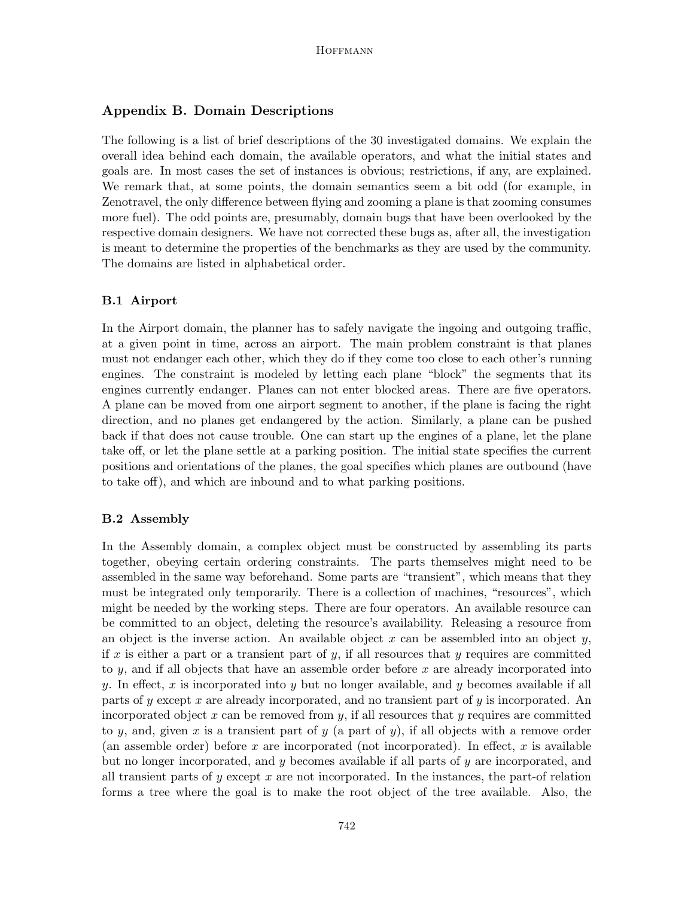# Appendix B. Domain Descriptions

The following is a list of brief descriptions of the 30 investigated domains. We explain the overall idea behind each domain, the available operators, and what the initial states and goals are. In most cases the set of instances is obvious; restrictions, if any, are explained. We remark that, at some points, the domain semantics seem a bit odd (for example, in Zenotravel, the only difference between flying and zooming a plane is that zooming consumes more fuel). The odd points are, presumably, domain bugs that have been overlooked by the respective domain designers. We have not corrected these bugs as, after all, the investigation is meant to determine the properties of the benchmarks as they are used by the community. The domains are listed in alphabetical order.

### B.1 Airport

In the Airport domain, the planner has to safely navigate the ingoing and outgoing traffic, at a given point in time, across an airport. The main problem constraint is that planes must not endanger each other, which they do if they come too close to each other's running engines. The constraint is modeled by letting each plane "block" the segments that its engines currently endanger. Planes can not enter blocked areas. There are five operators. A plane can be moved from one airport segment to another, if the plane is facing the right direction, and no planes get endangered by the action. Similarly, a plane can be pushed back if that does not cause trouble. One can start up the engines of a plane, let the plane take off, or let the plane settle at a parking position. The initial state specifies the current positions and orientations of the planes, the goal specifies which planes are outbound (have to take off), and which are inbound and to what parking positions.

## B.2 Assembly

In the Assembly domain, a complex object must be constructed by assembling its parts together, obeying certain ordering constraints. The parts themselves might need to be assembled in the same way beforehand. Some parts are "transient", which means that they must be integrated only temporarily. There is a collection of machines, "resources", which might be needed by the working steps. There are four operators. An available resource can be committed to an object, deleting the resource's availability. Releasing a resource from an object is the inverse action. An available object x can be assembled into an object y, if x is either a part or a transient part of y, if all resources that y requires are committed to y, and if all objects that have an assemble order before x are already incorporated into y. In effect, x is incorporated into y but no longer available, and y becomes available if all parts of y except x are already incorporated, and no transient part of y is incorporated. An incorporated object  $x$  can be removed from  $y$ , if all resources that  $y$  requires are committed to y, and, given x is a transient part of y (a part of y), if all objects with a remove order (an assemble order) before x are incorporated (not incorporated). In effect, x is available but no longer incorporated, and  $y$  becomes available if all parts of  $y$  are incorporated, and all transient parts of y except x are not incorporated. In the instances, the part-of relation forms a tree where the goal is to make the root object of the tree available. Also, the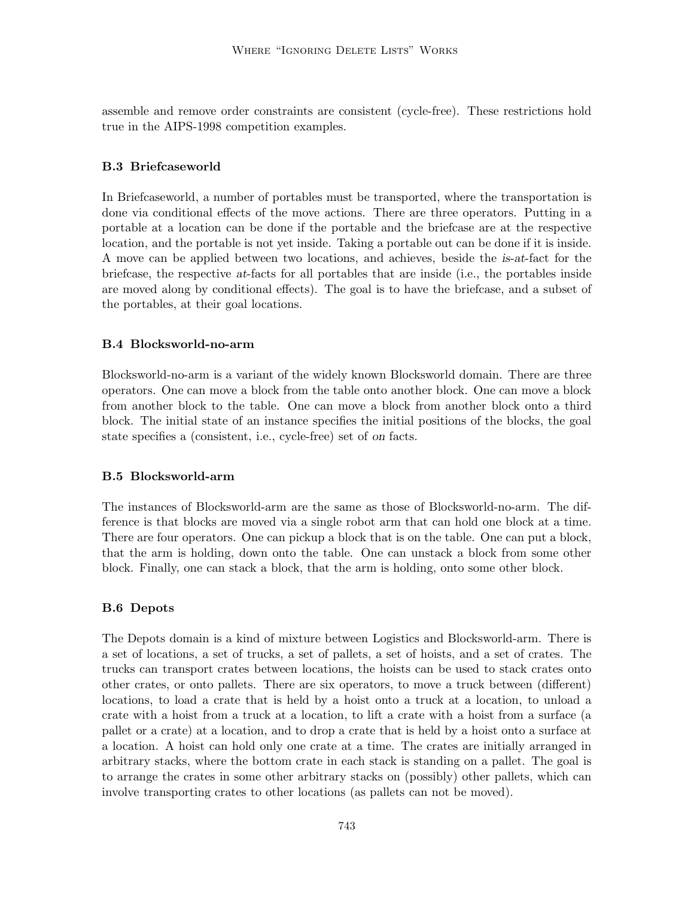assemble and remove order constraints are consistent (cycle-free). These restrictions hold true in the AIPS-1998 competition examples.

# B.3 Briefcaseworld

In Briefcaseworld, a number of portables must be transported, where the transportation is done via conditional effects of the move actions. There are three operators. Putting in a portable at a location can be done if the portable and the briefcase are at the respective location, and the portable is not yet inside. Taking a portable out can be done if it is inside. A move can be applied between two locations, and achieves, beside the is-at-fact for the briefcase, the respective at-facts for all portables that are inside (i.e., the portables inside are moved along by conditional effects). The goal is to have the briefcase, and a subset of the portables, at their goal locations.

# B.4 Blocksworld-no-arm

Blocksworld-no-arm is a variant of the widely known Blocksworld domain. There are three operators. One can move a block from the table onto another block. One can move a block from another block to the table. One can move a block from another block onto a third block. The initial state of an instance specifies the initial positions of the blocks, the goal state specifies a (consistent, i.e., cycle-free) set of on facts.

# B.5 Blocksworld-arm

The instances of Blocksworld-arm are the same as those of Blocksworld-no-arm. The difference is that blocks are moved via a single robot arm that can hold one block at a time. There are four operators. One can pickup a block that is on the table. One can put a block, that the arm is holding, down onto the table. One can unstack a block from some other block. Finally, one can stack a block, that the arm is holding, onto some other block.

# B.6 Depots

The Depots domain is a kind of mixture between Logistics and Blocksworld-arm. There is a set of locations, a set of trucks, a set of pallets, a set of hoists, and a set of crates. The trucks can transport crates between locations, the hoists can be used to stack crates onto other crates, or onto pallets. There are six operators, to move a truck between (different) locations, to load a crate that is held by a hoist onto a truck at a location, to unload a crate with a hoist from a truck at a location, to lift a crate with a hoist from a surface (a pallet or a crate) at a location, and to drop a crate that is held by a hoist onto a surface at a location. A hoist can hold only one crate at a time. The crates are initially arranged in arbitrary stacks, where the bottom crate in each stack is standing on a pallet. The goal is to arrange the crates in some other arbitrary stacks on (possibly) other pallets, which can involve transporting crates to other locations (as pallets can not be moved).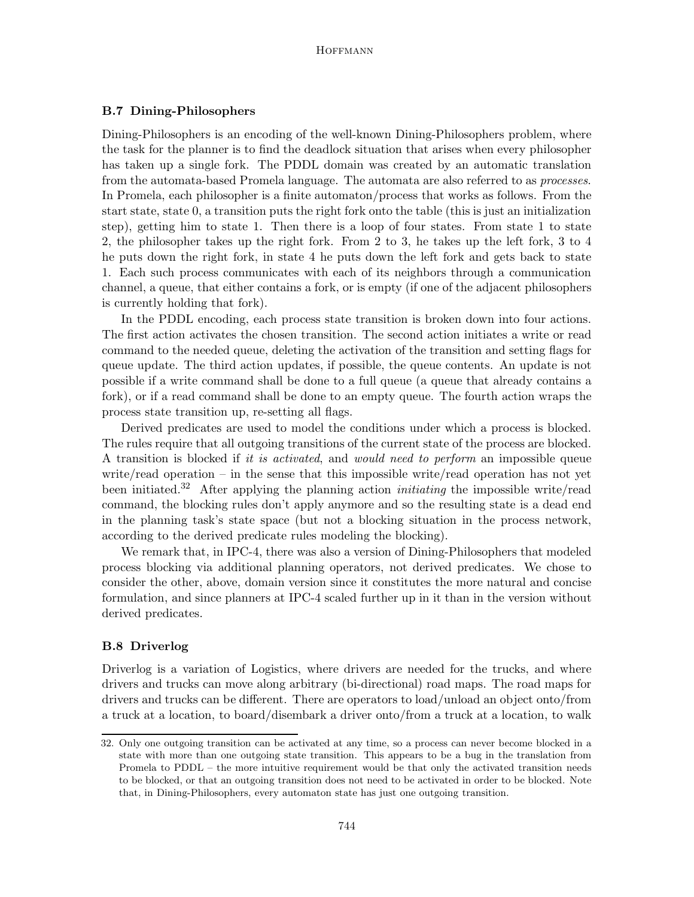### B.7 Dining-Philosophers

Dining-Philosophers is an encoding of the well-known Dining-Philosophers problem, where the task for the planner is to find the deadlock situation that arises when every philosopher has taken up a single fork. The PDDL domain was created by an automatic translation from the automata-based Promela language. The automata are also referred to as *processes*. In Promela, each philosopher is a finite automaton/process that works as follows. From the start state, state 0, a transition puts the right fork onto the table (this is just an initialization step), getting him to state 1. Then there is a loop of four states. From state 1 to state 2, the philosopher takes up the right fork. From 2 to 3, he takes up the left fork, 3 to 4 he puts down the right fork, in state 4 he puts down the left fork and gets back to state 1. Each such process communicates with each of its neighbors through a communication channel, a queue, that either contains a fork, or is empty (if one of the adjacent philosophers is currently holding that fork).

In the PDDL encoding, each process state transition is broken down into four actions. The first action activates the chosen transition. The second action initiates a write or read command to the needed queue, deleting the activation of the transition and setting flags for queue update. The third action updates, if possible, the queue contents. An update is not possible if a write command shall be done to a full queue (a queue that already contains a fork), or if a read command shall be done to an empty queue. The fourth action wraps the process state transition up, re-setting all flags.

Derived predicates are used to model the conditions under which a process is blocked. The rules require that all outgoing transitions of the current state of the process are blocked. A transition is blocked if it is activated, and would need to perform an impossible queue write/read operation – in the sense that this impossible write/read operation has not yet been initiated.<sup>32</sup> After applying the planning action *initiating* the impossible write/read command, the blocking rules don't apply anymore and so the resulting state is a dead end in the planning task's state space (but not a blocking situation in the process network, according to the derived predicate rules modeling the blocking).

We remark that, in IPC-4, there was also a version of Dining-Philosophers that modeled process blocking via additional planning operators, not derived predicates. We chose to consider the other, above, domain version since it constitutes the more natural and concise formulation, and since planners at IPC-4 scaled further up in it than in the version without derived predicates.

## B.8 Driverlog

Driverlog is a variation of Logistics, where drivers are needed for the trucks, and where drivers and trucks can move along arbitrary (bi-directional) road maps. The road maps for drivers and trucks can be different. There are operators to load/unload an object onto/from a truck at a location, to board/disembark a driver onto/from a truck at a location, to walk

<sup>32.</sup> Only one outgoing transition can be activated at any time, so a process can never become blocked in a state with more than one outgoing state transition. This appears to be a bug in the translation from Promela to PDDL – the more intuitive requirement would be that only the activated transition needs to be blocked, or that an outgoing transition does not need to be activated in order to be blocked. Note that, in Dining-Philosophers, every automaton state has just one outgoing transition.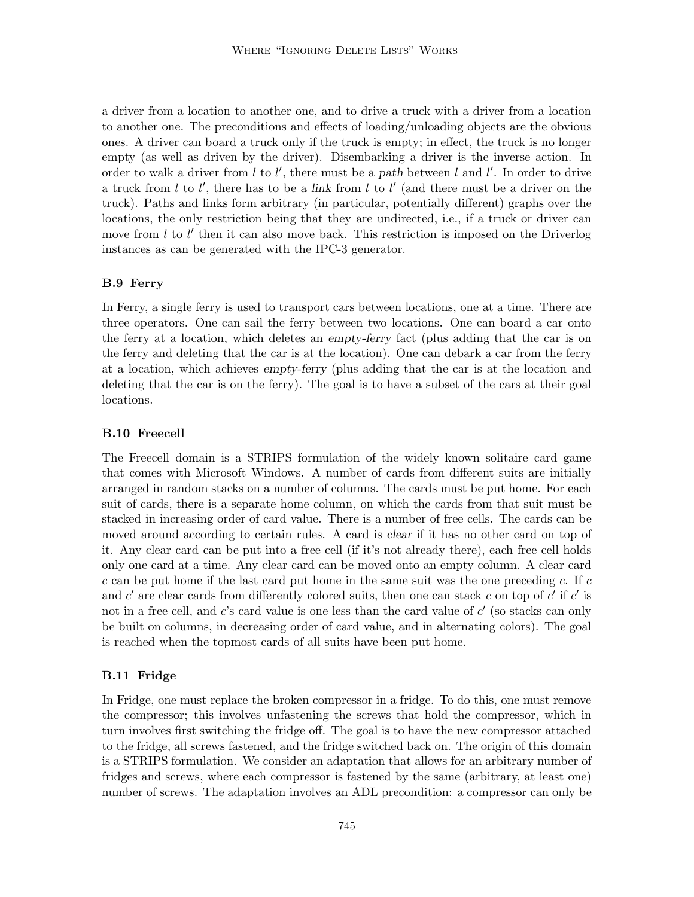a driver from a location to another one, and to drive a truck with a driver from a location to another one. The preconditions and effects of loading/unloading objects are the obvious ones. A driver can board a truck only if the truck is empty; in effect, the truck is no longer empty (as well as driven by the driver). Disembarking a driver is the inverse action. In order to walk a driver from  $l$  to  $l'$ , there must be a path between  $l$  and  $l'$ . In order to drive a truck from  $l$  to  $l'$ , there has to be a link from  $l$  to  $l'$  (and there must be a driver on the truck). Paths and links form arbitrary (in particular, potentially different) graphs over the locations, the only restriction being that they are undirected, i.e., if a truck or driver can move from  $l$  to  $l'$  then it can also move back. This restriction is imposed on the Driverlog instances as can be generated with the IPC-3 generator.

## B.9 Ferry

In Ferry, a single ferry is used to transport cars between locations, one at a time. There are three operators. One can sail the ferry between two locations. One can board a car onto the ferry at a location, which deletes an empty-ferry fact (plus adding that the car is on the ferry and deleting that the car is at the location). One can debark a car from the ferry at a location, which achieves empty-ferry (plus adding that the car is at the location and deleting that the car is on the ferry). The goal is to have a subset of the cars at their goal locations.

## B.10 Freecell

The Freecell domain is a STRIPS formulation of the widely known solitaire card game that comes with Microsoft Windows. A number of cards from different suits are initially arranged in random stacks on a number of columns. The cards must be put home. For each suit of cards, there is a separate home column, on which the cards from that suit must be stacked in increasing order of card value. There is a number of free cells. The cards can be moved around according to certain rules. A card is clear if it has no other card on top of it. Any clear card can be put into a free cell (if it's not already there), each free cell holds only one card at a time. Any clear card can be moved onto an empty column. A clear card c can be put home if the last card put home in the same suit was the one preceding c. If c and  $c'$  are clear cards from differently colored suits, then one can stack c on top of  $c'$  if  $c'$  is not in a free cell, and  $c$ 's card value is one less than the card value of  $c'$  (so stacks can only be built on columns, in decreasing order of card value, and in alternating colors). The goal is reached when the topmost cards of all suits have been put home.

# B.11 Fridge

In Fridge, one must replace the broken compressor in a fridge. To do this, one must remove the compressor; this involves unfastening the screws that hold the compressor, which in turn involves first switching the fridge off. The goal is to have the new compressor attached to the fridge, all screws fastened, and the fridge switched back on. The origin of this domain is a STRIPS formulation. We consider an adaptation that allows for an arbitrary number of fridges and screws, where each compressor is fastened by the same (arbitrary, at least one) number of screws. The adaptation involves an ADL precondition: a compressor can only be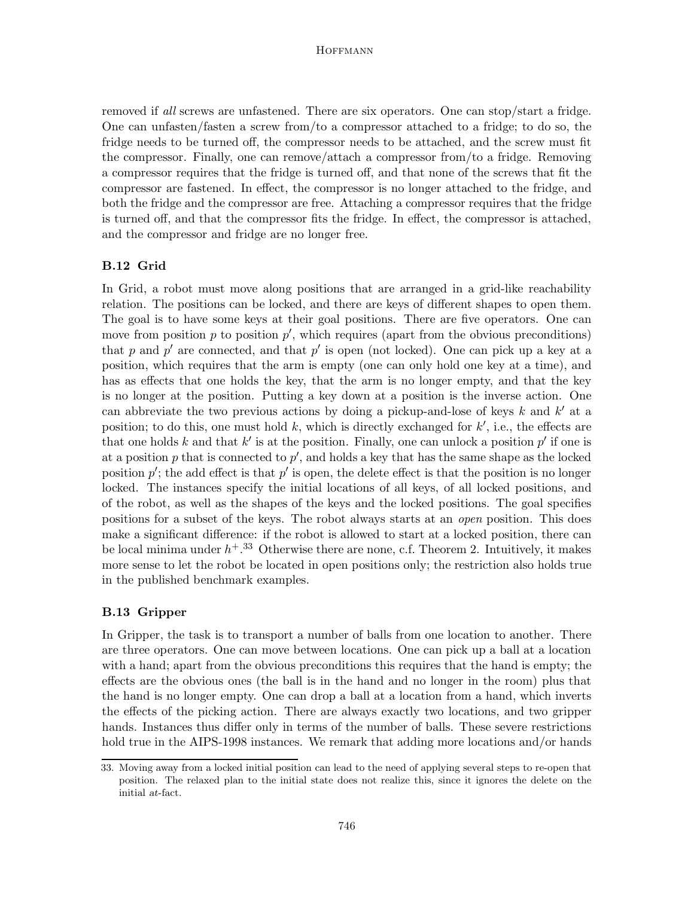removed if all screws are unfastened. There are six operators. One can stop/start a fridge. One can unfasten/fasten a screw from/to a compressor attached to a fridge; to do so, the fridge needs to be turned off, the compressor needs to be attached, and the screw must fit the compressor. Finally, one can remove/attach a compressor from/to a fridge. Removing a compressor requires that the fridge is turned off, and that none of the screws that fit the compressor are fastened. In effect, the compressor is no longer attached to the fridge, and both the fridge and the compressor are free. Attaching a compressor requires that the fridge is turned off, and that the compressor fits the fridge. In effect, the compressor is attached, and the compressor and fridge are no longer free.

# B.12 Grid

In Grid, a robot must move along positions that are arranged in a grid-like reachability relation. The positions can be locked, and there are keys of different shapes to open them. The goal is to have some keys at their goal positions. There are five operators. One can move from position  $p$  to position  $p'$ , which requires (apart from the obvious preconditions) that p and p' are connected, and that p' is open (not locked). One can pick up a key at a position, which requires that the arm is empty (one can only hold one key at a time), and has as effects that one holds the key, that the arm is no longer empty, and that the key is no longer at the position. Putting a key down at a position is the inverse action. One can abbreviate the two previous actions by doing a pickup-and-lose of keys  $k$  and  $k'$  at a position; to do this, one must hold  $k$ , which is directly exchanged for  $k'$ , i.e., the effects are that one holds k and that  $k'$  is at the position. Finally, one can unlock a position  $p'$  if one is at a position  $p$  that is connected to  $p'$ , and holds a key that has the same shape as the locked position  $p'$ ; the add effect is that  $p'$  is open, the delete effect is that the position is no longer locked. The instances specify the initial locations of all keys, of all locked positions, and of the robot, as well as the shapes of the keys and the locked positions. The goal specifies positions for a subset of the keys. The robot always starts at an open position. This does make a significant difference: if the robot is allowed to start at a locked position, there can be local minima under  $h^{+}$ .<sup>33</sup> Otherwise there are none, c.f. Theorem 2. Intuitively, it makes more sense to let the robot be located in open positions only; the restriction also holds true in the published benchmark examples.

## B.13 Gripper

In Gripper, the task is to transport a number of balls from one location to another. There are three operators. One can move between locations. One can pick up a ball at a location with a hand; apart from the obvious preconditions this requires that the hand is empty; the effects are the obvious ones (the ball is in the hand and no longer in the room) plus that the hand is no longer empty. One can drop a ball at a location from a hand, which inverts the effects of the picking action. There are always exactly two locations, and two gripper hands. Instances thus differ only in terms of the number of balls. These severe restrictions hold true in the AIPS-1998 instances. We remark that adding more locations and/or hands

<sup>33.</sup> Moving away from a locked initial position can lead to the need of applying several steps to re-open that position. The relaxed plan to the initial state does not realize this, since it ignores the delete on the initial at-fact.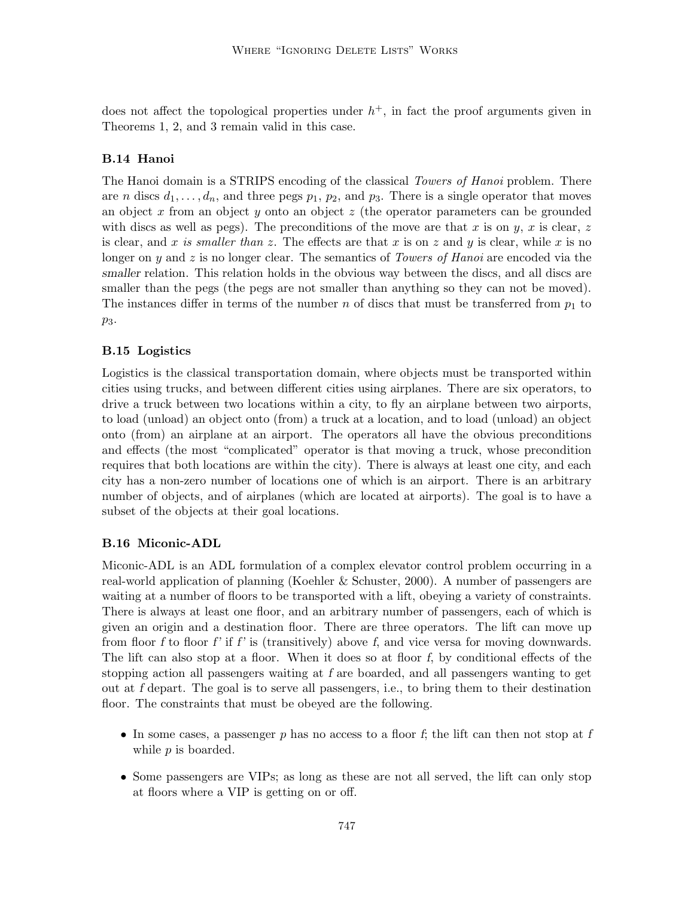does not affect the topological properties under  $h^+$ , in fact the proof arguments given in Theorems 1, 2, and 3 remain valid in this case.

# B.14 Hanoi

The Hanoi domain is a STRIPS encoding of the classical *Towers of Hanoi* problem. There are *n* discs  $d_1, \ldots, d_n$ , and three pegs  $p_1, p_2$ , and  $p_3$ . There is a single operator that moves an object x from an object y onto an object  $z$  (the operator parameters can be grounded with discs as well as pegs). The preconditions of the move are that x is on y, x is clear, z is clear, and x is smaller than z. The effects are that x is on z and y is clear, while x is no longer on y and z is no longer clear. The semantics of Towers of Hanoi are encoded via the smaller relation. This relation holds in the obvious way between the discs, and all discs are smaller than the pegs (the pegs are not smaller than anything so they can not be moved). The instances differ in terms of the number n of discs that must be transferred from  $p_1$  to p3.

## B.15 Logistics

Logistics is the classical transportation domain, where objects must be transported within cities using trucks, and between different cities using airplanes. There are six operators, to drive a truck between two locations within a city, to fly an airplane between two airports, to load (unload) an object onto (from) a truck at a location, and to load (unload) an object onto (from) an airplane at an airport. The operators all have the obvious preconditions and effects (the most "complicated" operator is that moving a truck, whose precondition requires that both locations are within the city). There is always at least one city, and each city has a non-zero number of locations one of which is an airport. There is an arbitrary number of objects, and of airplanes (which are located at airports). The goal is to have a subset of the objects at their goal locations.

## B.16 Miconic-ADL

Miconic-ADL is an ADL formulation of a complex elevator control problem occurring in a real-world application of planning (Koehler & Schuster, 2000). A number of passengers are waiting at a number of floors to be transported with a lift, obeying a variety of constraints. There is always at least one floor, and an arbitrary number of passengers, each of which is given an origin and a destination floor. There are three operators. The lift can move up from floor f to floor f' if f' is (transitively) above f, and vice versa for moving downwards. The lift can also stop at a floor. When it does so at floor f, by conditional effects of the stopping action all passengers waiting at f are boarded, and all passengers wanting to get out at f depart. The goal is to serve all passengers, i.e., to bring them to their destination floor. The constraints that must be obeyed are the following.

- In some cases, a passenger  $p$  has no access to a floor  $f$ ; the lift can then not stop at  $f$ while  $p$  is boarded.
- Some passengers are VIPs; as long as these are not all served, the lift can only stop at floors where a VIP is getting on or off.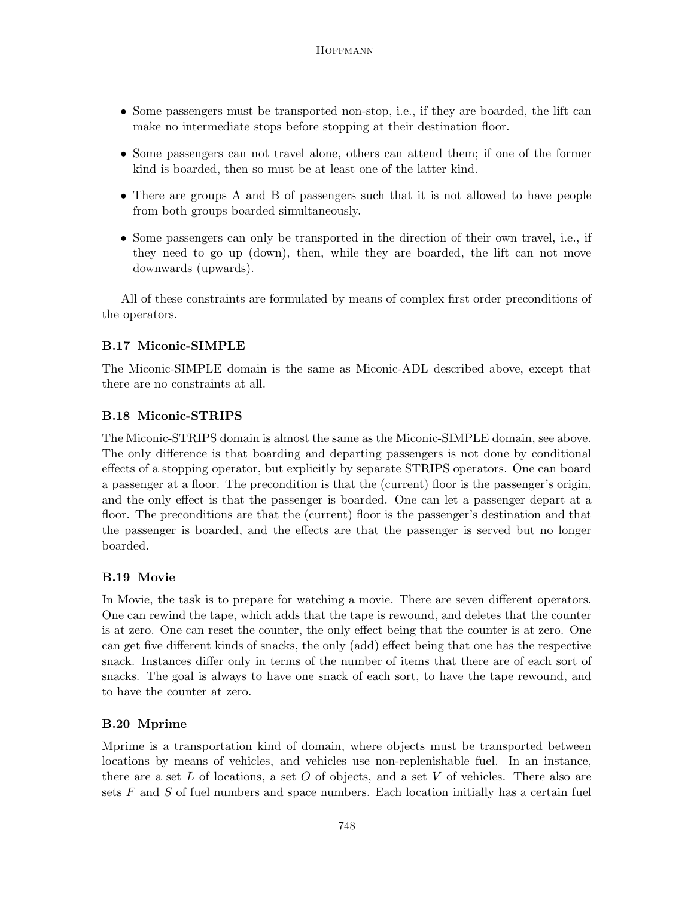- Some passengers must be transported non-stop, i.e., if they are boarded, the lift can make no intermediate stops before stopping at their destination floor.
- Some passengers can not travel alone, others can attend them; if one of the former kind is boarded, then so must be at least one of the latter kind.
- There are groups A and B of passengers such that it is not allowed to have people from both groups boarded simultaneously.
- Some passengers can only be transported in the direction of their own travel, i.e., if they need to go up (down), then, while they are boarded, the lift can not move downwards (upwards).

All of these constraints are formulated by means of complex first order preconditions of the operators.

# B.17 Miconic-SIMPLE

The Miconic-SIMPLE domain is the same as Miconic-ADL described above, except that there are no constraints at all.

# B.18 Miconic-STRIPS

The Miconic-STRIPS domain is almost the same as the Miconic-SIMPLE domain, see above. The only difference is that boarding and departing passengers is not done by conditional effects of a stopping operator, but explicitly by separate STRIPS operators. One can board a passenger at a floor. The precondition is that the (current) floor is the passenger's origin, and the only effect is that the passenger is boarded. One can let a passenger depart at a floor. The preconditions are that the (current) floor is the passenger's destination and that the passenger is boarded, and the effects are that the passenger is served but no longer boarded.

# B.19 Movie

In Movie, the task is to prepare for watching a movie. There are seven different operators. One can rewind the tape, which adds that the tape is rewound, and deletes that the counter is at zero. One can reset the counter, the only effect being that the counter is at zero. One can get five different kinds of snacks, the only (add) effect being that one has the respective snack. Instances differ only in terms of the number of items that there are of each sort of snacks. The goal is always to have one snack of each sort, to have the tape rewound, and to have the counter at zero.

# B.20 Mprime

Mprime is a transportation kind of domain, where objects must be transported between locations by means of vehicles, and vehicles use non-replenishable fuel. In an instance, there are a set L of locations, a set O of objects, and a set V of vehicles. There also are sets  $F$  and  $S$  of fuel numbers and space numbers. Each location initially has a certain fuel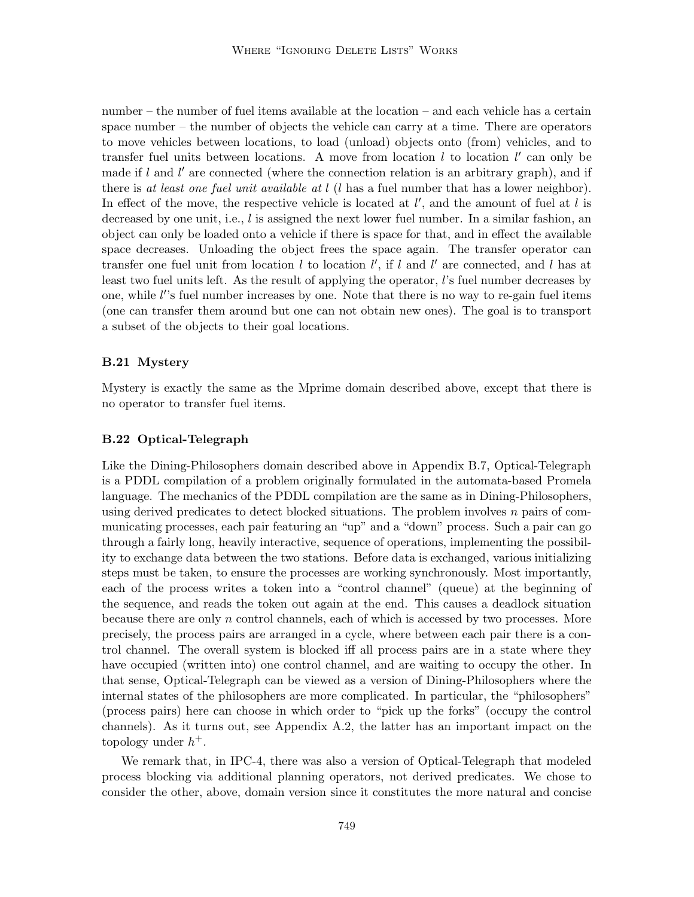number – the number of fuel items available at the location – and each vehicle has a certain space number – the number of objects the vehicle can carry at a time. There are operators to move vehicles between locations, to load (unload) objects onto (from) vehicles, and to transfer fuel units between locations. A move from location  $l$  to location  $l'$  can only be made if  $l$  and  $l'$  are connected (where the connection relation is an arbitrary graph), and if there is at least one fuel unit available at  $l$  (l has a fuel number that has a lower neighbor). In effect of the move, the respective vehicle is located at  $l'$ , and the amount of fuel at  $l$  is decreased by one unit, i.e.,  $l$  is assigned the next lower fuel number. In a similar fashion, an object can only be loaded onto a vehicle if there is space for that, and in effect the available space decreases. Unloading the object frees the space again. The transfer operator can transfer one fuel unit from location  $l$  to location  $l'$ , if  $l$  and  $l'$  are connected, and  $l$  has at least two fuel units left. As the result of applying the operator, l's fuel number decreases by one, while l''s fuel number increases by one. Note that there is no way to re-gain fuel items (one can transfer them around but one can not obtain new ones). The goal is to transport a subset of the objects to their goal locations.

## B.21 Mystery

Mystery is exactly the same as the Mprime domain described above, except that there is no operator to transfer fuel items.

### B.22 Optical-Telegraph

Like the Dining-Philosophers domain described above in Appendix B.7, Optical-Telegraph is a PDDL compilation of a problem originally formulated in the automata-based Promela language. The mechanics of the PDDL compilation are the same as in Dining-Philosophers, using derived predicates to detect blocked situations. The problem involves  $n$  pairs of communicating processes, each pair featuring an "up" and a "down" process. Such a pair can go through a fairly long, heavily interactive, sequence of operations, implementing the possibility to exchange data between the two stations. Before data is exchanged, various initializing steps must be taken, to ensure the processes are working synchronously. Most importantly, each of the process writes a token into a "control channel" (queue) at the beginning of the sequence, and reads the token out again at the end. This causes a deadlock situation because there are only n control channels, each of which is accessed by two processes. More precisely, the process pairs are arranged in a cycle, where between each pair there is a control channel. The overall system is blocked iff all process pairs are in a state where they have occupied (written into) one control channel, and are waiting to occupy the other. In that sense, Optical-Telegraph can be viewed as a version of Dining-Philosophers where the internal states of the philosophers are more complicated. In particular, the "philosophers" (process pairs) here can choose in which order to "pick up the forks" (occupy the control channels). As it turns out, see Appendix A.2, the latter has an important impact on the topology under  $h^+$ .

We remark that, in IPC-4, there was also a version of Optical-Telegraph that modeled process blocking via additional planning operators, not derived predicates. We chose to consider the other, above, domain version since it constitutes the more natural and concise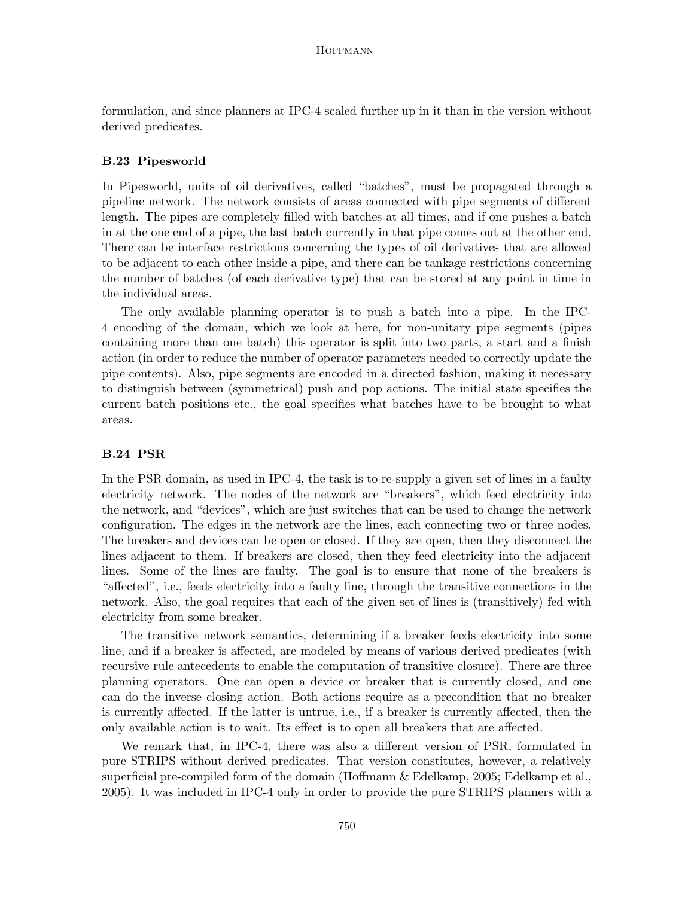formulation, and since planners at IPC-4 scaled further up in it than in the version without derived predicates.

# B.23 Pipesworld

In Pipesworld, units of oil derivatives, called "batches", must be propagated through a pipeline network. The network consists of areas connected with pipe segments of different length. The pipes are completely filled with batches at all times, and if one pushes a batch in at the one end of a pipe, the last batch currently in that pipe comes out at the other end. There can be interface restrictions concerning the types of oil derivatives that are allowed to be adjacent to each other inside a pipe, and there can be tankage restrictions concerning the number of batches (of each derivative type) that can be stored at any point in time in the individual areas.

The only available planning operator is to push a batch into a pipe. In the IPC-4 encoding of the domain, which we look at here, for non-unitary pipe segments (pipes containing more than one batch) this operator is split into two parts, a start and a finish action (in order to reduce the number of operator parameters needed to correctly update the pipe contents). Also, pipe segments are encoded in a directed fashion, making it necessary to distinguish between (symmetrical) push and pop actions. The initial state specifies the current batch positions etc., the goal specifies what batches have to be brought to what areas.

## B.24 PSR

In the PSR domain, as used in IPC-4, the task is to re-supply a given set of lines in a faulty electricity network. The nodes of the network are "breakers", which feed electricity into the network, and "devices", which are just switches that can be used to change the network configuration. The edges in the network are the lines, each connecting two or three nodes. The breakers and devices can be open or closed. If they are open, then they disconnect the lines adjacent to them. If breakers are closed, then they feed electricity into the adjacent lines. Some of the lines are faulty. The goal is to ensure that none of the breakers is "affected", i.e., feeds electricity into a faulty line, through the transitive connections in the network. Also, the goal requires that each of the given set of lines is (transitively) fed with electricity from some breaker.

The transitive network semantics, determining if a breaker feeds electricity into some line, and if a breaker is affected, are modeled by means of various derived predicates (with recursive rule antecedents to enable the computation of transitive closure). There are three planning operators. One can open a device or breaker that is currently closed, and one can do the inverse closing action. Both actions require as a precondition that no breaker is currently affected. If the latter is untrue, i.e., if a breaker is currently affected, then the only available action is to wait. Its effect is to open all breakers that are affected.

We remark that, in IPC-4, there was also a different version of PSR, formulated in pure STRIPS without derived predicates. That version constitutes, however, a relatively superficial pre-compiled form of the domain (Hoffmann & Edelkamp, 2005; Edelkamp et al., 2005). It was included in IPC-4 only in order to provide the pure STRIPS planners with a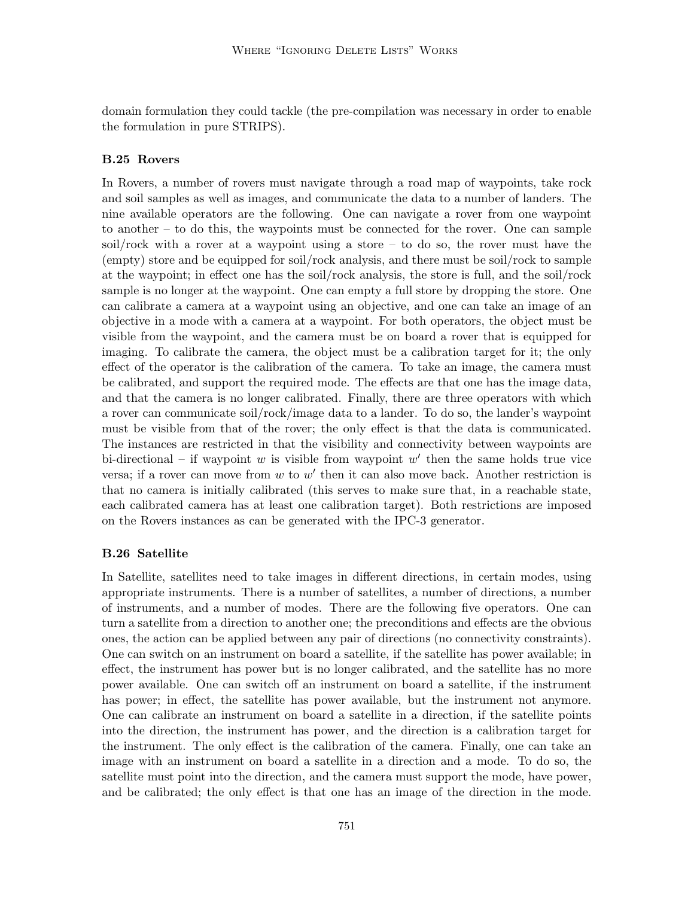domain formulation they could tackle (the pre-compilation was necessary in order to enable the formulation in pure STRIPS).

# B.25 Rovers

In Rovers, a number of rovers must navigate through a road map of waypoints, take rock and soil samples as well as images, and communicate the data to a number of landers. The nine available operators are the following. One can navigate a rover from one waypoint to another – to do this, the waypoints must be connected for the rover. One can sample soil/rock with a rover at a waypoint using a store – to do so, the rover must have the (empty) store and be equipped for soil/rock analysis, and there must be soil/rock to sample at the waypoint; in effect one has the soil/rock analysis, the store is full, and the soil/rock sample is no longer at the waypoint. One can empty a full store by dropping the store. One can calibrate a camera at a waypoint using an objective, and one can take an image of an objective in a mode with a camera at a waypoint. For both operators, the object must be visible from the waypoint, and the camera must be on board a rover that is equipped for imaging. To calibrate the camera, the object must be a calibration target for it; the only effect of the operator is the calibration of the camera. To take an image, the camera must be calibrated, and support the required mode. The effects are that one has the image data, and that the camera is no longer calibrated. Finally, there are three operators with which a rover can communicate soil/rock/image data to a lander. To do so, the lander's waypoint must be visible from that of the rover; the only effect is that the data is communicated. The instances are restricted in that the visibility and connectivity between waypoints are bi-directional – if waypoint  $w$  is visible from waypoint  $w'$  then the same holds true vice versa; if a rover can move from  $w$  to  $w'$  then it can also move back. Another restriction is that no camera is initially calibrated (this serves to make sure that, in a reachable state, each calibrated camera has at least one calibration target). Both restrictions are imposed on the Rovers instances as can be generated with the IPC-3 generator.

## B.26 Satellite

In Satellite, satellites need to take images in different directions, in certain modes, using appropriate instruments. There is a number of satellites, a number of directions, a number of instruments, and a number of modes. There are the following five operators. One can turn a satellite from a direction to another one; the preconditions and effects are the obvious ones, the action can be applied between any pair of directions (no connectivity constraints). One can switch on an instrument on board a satellite, if the satellite has power available; in effect, the instrument has power but is no longer calibrated, and the satellite has no more power available. One can switch off an instrument on board a satellite, if the instrument has power; in effect, the satellite has power available, but the instrument not anymore. One can calibrate an instrument on board a satellite in a direction, if the satellite points into the direction, the instrument has power, and the direction is a calibration target for the instrument. The only effect is the calibration of the camera. Finally, one can take an image with an instrument on board a satellite in a direction and a mode. To do so, the satellite must point into the direction, and the camera must support the mode, have power, and be calibrated; the only effect is that one has an image of the direction in the mode.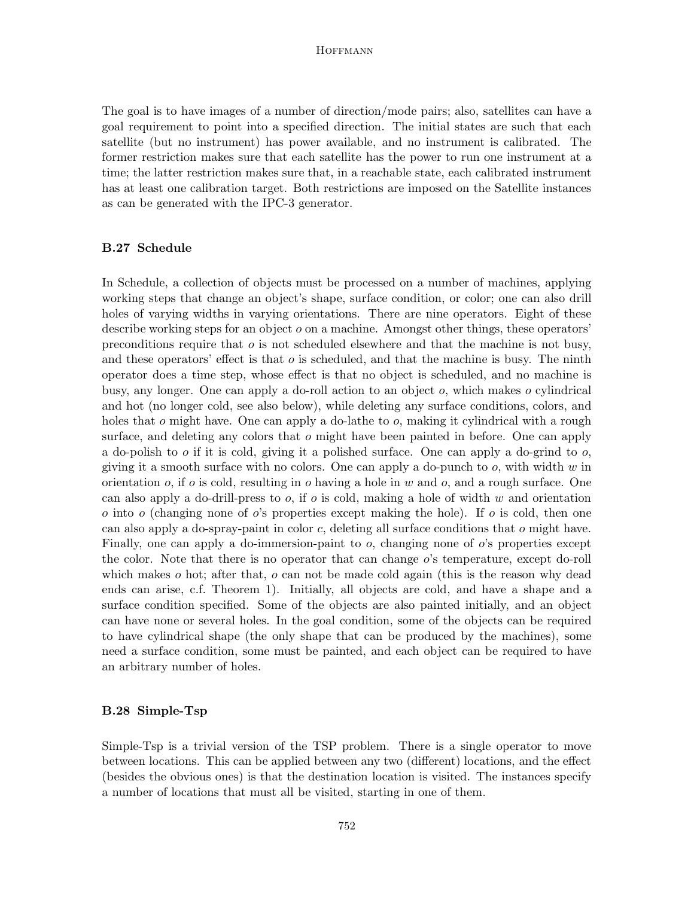The goal is to have images of a number of direction/mode pairs; also, satellites can have a goal requirement to point into a specified direction. The initial states are such that each satellite (but no instrument) has power available, and no instrument is calibrated. The former restriction makes sure that each satellite has the power to run one instrument at a time; the latter restriction makes sure that, in a reachable state, each calibrated instrument has at least one calibration target. Both restrictions are imposed on the Satellite instances as can be generated with the IPC-3 generator.

# B.27 Schedule

In Schedule, a collection of objects must be processed on a number of machines, applying working steps that change an object's shape, surface condition, or color; one can also drill holes of varying widths in varying orientations. There are nine operators. Eight of these describe working steps for an object  $o$  on a machine. Amongst other things, these operators' preconditions require that  $\sigma$  is not scheduled elsewhere and that the machine is not busy, and these operators' effect is that  $o$  is scheduled, and that the machine is busy. The ninth operator does a time step, whose effect is that no object is scheduled, and no machine is busy, any longer. One can apply a do-roll action to an object o, which makes o cylindrical and hot (no longer cold, see also below), while deleting any surface conditions, colors, and holes that  $\sigma$  might have. One can apply a do-lathe to  $\sigma$ , making it cylindrical with a rough surface, and deleting any colors that  $o$  might have been painted in before. One can apply a do-polish to  $o$  if it is cold, giving it a polished surface. One can apply a do-grind to  $o$ , giving it a smooth surface with no colors. One can apply a do-punch to  $o$ , with width  $w$  in orientation  $o$ , if  $o$  is cold, resulting in  $o$  having a hole in  $w$  and  $o$ , and a rough surface. One can also apply a do-drill-press to  $o$ , if  $o$  is cold, making a hole of width  $w$  and orientation  $\alpha$  into  $\alpha$  (changing none of  $\alpha$ 's properties except making the hole). If  $\alpha$  is cold, then one can also apply a do-spray-paint in color  $c$ , deleting all surface conditions that  $o$  might have. Finally, one can apply a do-immersion-paint to  $o$ , changing none of  $o$ 's properties except the color. Note that there is no operator that can change o's temperature, except do-roll which makes  $o$  hot; after that,  $o$  can not be made cold again (this is the reason why dead ends can arise, c.f. Theorem 1). Initially, all objects are cold, and have a shape and a surface condition specified. Some of the objects are also painted initially, and an object can have none or several holes. In the goal condition, some of the objects can be required to have cylindrical shape (the only shape that can be produced by the machines), some need a surface condition, some must be painted, and each object can be required to have an arbitrary number of holes.

## B.28 Simple-Tsp

Simple-Tsp is a trivial version of the TSP problem. There is a single operator to move between locations. This can be applied between any two (different) locations, and the effect (besides the obvious ones) is that the destination location is visited. The instances specify a number of locations that must all be visited, starting in one of them.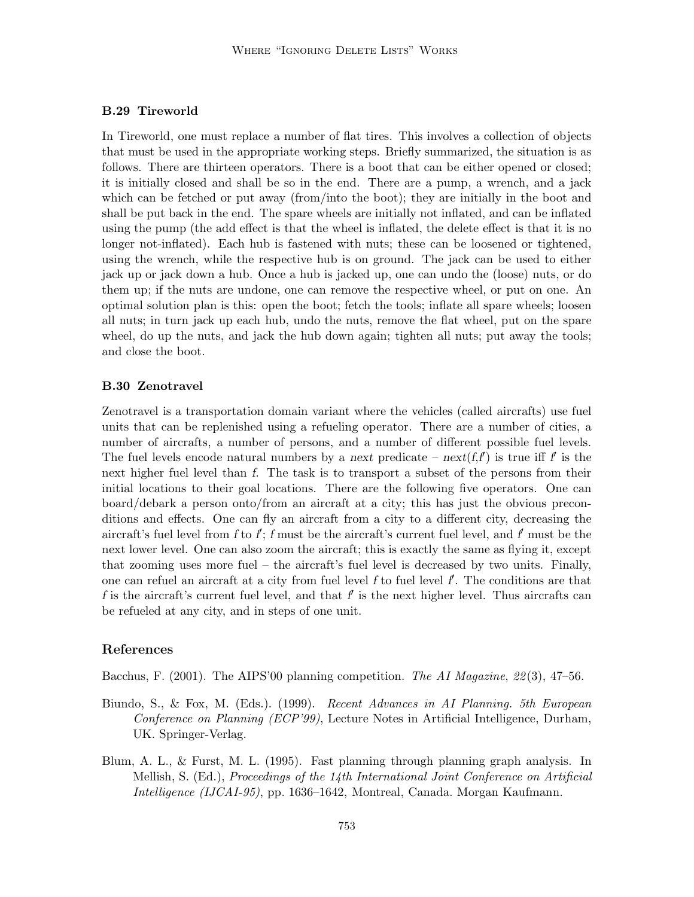# B.29 Tireworld

In Tireworld, one must replace a number of flat tires. This involves a collection of objects that must be used in the appropriate working steps. Briefly summarized, the situation is as follows. There are thirteen operators. There is a boot that can be either opened or closed; it is initially closed and shall be so in the end. There are a pump, a wrench, and a jack which can be fetched or put away (from/into the boot); they are initially in the boot and shall be put back in the end. The spare wheels are initially not inflated, and can be inflated using the pump (the add effect is that the wheel is inflated, the delete effect is that it is no longer not-inflated). Each hub is fastened with nuts; these can be loosened or tightened, using the wrench, while the respective hub is on ground. The jack can be used to either jack up or jack down a hub. Once a hub is jacked up, one can undo the (loose) nuts, or do them up; if the nuts are undone, one can remove the respective wheel, or put on one. An optimal solution plan is this: open the boot; fetch the tools; inflate all spare wheels; loosen all nuts; in turn jack up each hub, undo the nuts, remove the flat wheel, put on the spare wheel, do up the nuts, and jack the hub down again; tighten all nuts; put away the tools; and close the boot.

# B.30 Zenotravel

Zenotravel is a transportation domain variant where the vehicles (called aircrafts) use fuel units that can be replenished using a refueling operator. There are a number of cities, a number of aircrafts, a number of persons, and a number of different possible fuel levels. The fuel levels encode natural numbers by a next predicate – next(f,f) is true iff f is the next higher fuel level than f. The task is to transport a subset of the persons from their initial locations to their goal locations. There are the following five operators. One can board/debark a person onto/from an aircraft at a city; this has just the obvious preconditions and effects. One can fly an aircraft from a city to a different city, decreasing the aircraft's fuel level from f to f; f must be the aircraft's current fuel level, and f must be the next lower level. One can also zoom the aircraft; this is exactly the same as flying it, except that zooming uses more fuel – the aircraft's fuel level is decreased by two units. Finally, one can refuel an aircraft at a city from fuel level  $f$  to fuel level  $f$ . The conditions are that f is the aircraft's current fuel level, and that  $f$  is the next higher level. Thus aircrafts can be refueled at any city, and in steps of one unit.

#### References

Bacchus, F. (2001). The AIPS'00 planning competition. The AI Magazine,  $22(3)$ , 47–56.

- Biundo, S., & Fox, M. (Eds.). (1999). Recent Advances in AI Planning. 5th European Conference on Planning (ECP'99), Lecture Notes in Artificial Intelligence, Durham, UK. Springer-Verlag.
- Blum, A. L., & Furst, M. L. (1995). Fast planning through planning graph analysis. In Mellish, S. (Ed.), Proceedings of the 14th International Joint Conference on Artificial Intelligence (IJCAI-95), pp. 1636–1642, Montreal, Canada. Morgan Kaufmann.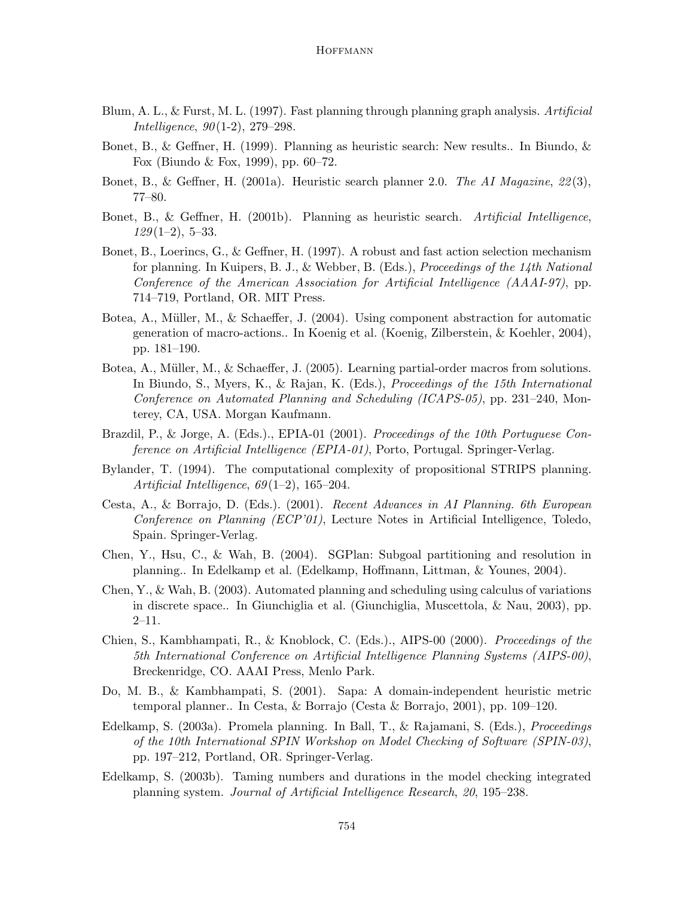- Blum, A. L., & Furst, M. L. (1997). Fast planning through planning graph analysis. Artificial Intelligence, 90(1-2), 279–298.
- Bonet, B., & Geffner, H. (1999). Planning as heuristic search: New results.. In Biundo, & Fox (Biundo & Fox, 1999), pp. 60–72.
- Bonet, B., & Geffner, H. (2001a). Heuristic search planner 2.0. The AI Magazine, 22(3), 77–80.
- Bonet, B., & Geffner, H. (2001b). Planning as heuristic search. Artificial Intelligence,  $129(1-2)$ , 5-33.
- Bonet, B., Loerincs, G., & Geffner, H. (1997). A robust and fast action selection mechanism for planning. In Kuipers, B. J., & Webber, B. (Eds.), Proceedings of the 14th National Conference of the American Association for Artificial Intelligence (AAAI-97), pp. 714–719, Portland, OR. MIT Press.
- Botea, A., Müller, M., & Schaeffer, J.  $(2004)$ . Using component abstraction for automatic generation of macro-actions.. In Koenig et al. (Koenig, Zilberstein, & Koehler, 2004), pp. 181–190.
- Botea, A., Müller, M., & Schaeffer, J. (2005). Learning partial-order macros from solutions. In Biundo, S., Myers, K., & Rajan, K. (Eds.), Proceedings of the 15th International Conference on Automated Planning and Scheduling (ICAPS-05), pp. 231–240, Monterey, CA, USA. Morgan Kaufmann.
- Brazdil, P., & Jorge, A. (Eds.)., EPIA-01 (2001). Proceedings of the 10th Portuguese Conference on Artificial Intelligence (EPIA-01), Porto, Portugal. Springer-Verlag.
- Bylander, T. (1994). The computational complexity of propositional STRIPS planning. Artificial Intelligence, 69(1–2), 165–204.
- Cesta, A., & Borrajo, D. (Eds.). (2001). Recent Advances in AI Planning. 6th European Conference on Planning (ECP'01), Lecture Notes in Artificial Intelligence, Toledo, Spain. Springer-Verlag.
- Chen, Y., Hsu, C., & Wah, B. (2004). SGPlan: Subgoal partitioning and resolution in planning.. In Edelkamp et al. (Edelkamp, Hoffmann, Littman, & Younes, 2004).
- Chen, Y., & Wah, B. (2003). Automated planning and scheduling using calculus of variations in discrete space.. In Giunchiglia et al. (Giunchiglia, Muscettola, & Nau, 2003), pp. 2–11.
- Chien, S., Kambhampati, R., & Knoblock, C. (Eds.)., AIPS-00 (2000). Proceedings of the 5th International Conference on Artificial Intelligence Planning Systems (AIPS-00), Breckenridge, CO. AAAI Press, Menlo Park.
- Do, M. B., & Kambhampati, S. (2001). Sapa: A domain-independent heuristic metric temporal planner.. In Cesta, & Borrajo (Cesta & Borrajo, 2001), pp. 109–120.
- Edelkamp, S. (2003a). Promela planning. In Ball, T., & Rajamani, S. (Eds.), Proceedings of the 10th International SPIN Workshop on Model Checking of Software (SPIN-03), pp. 197–212, Portland, OR. Springer-Verlag.
- Edelkamp, S. (2003b). Taming numbers and durations in the model checking integrated planning system. Journal of Artificial Intelligence Research, 20, 195–238.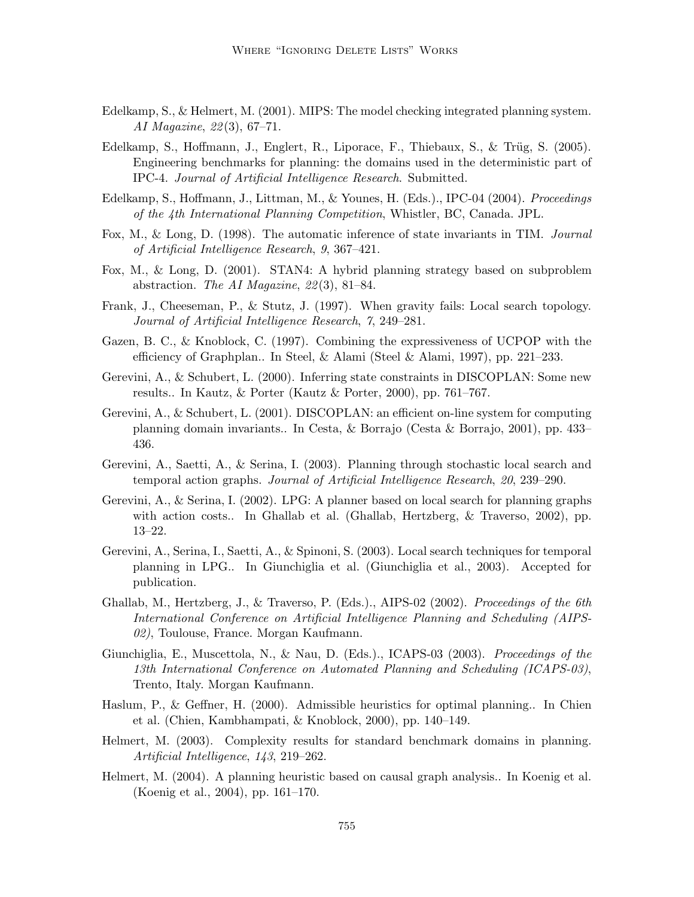- Edelkamp, S., & Helmert, M. (2001). MIPS: The model checking integrated planning system. AI Magazine, 22(3), 67–71.
- Edelkamp, S., Hoffmann, J., Englert, R., Liporace, F., Thiebaux, S., & Trüg, S.  $(2005)$ . Engineering benchmarks for planning: the domains used in the deterministic part of IPC-4. Journal of Artificial Intelligence Research. Submitted.
- Edelkamp, S., Hoffmann, J., Littman, M., & Younes, H. (Eds.)., IPC-04 (2004). Proceedings of the 4th International Planning Competition, Whistler, BC, Canada. JPL.
- Fox, M., & Long, D. (1998). The automatic inference of state invariants in TIM. Journal of Artificial Intelligence Research, 9, 367–421.
- Fox, M., & Long, D. (2001). STAN4: A hybrid planning strategy based on subproblem abstraction. The AI Magazine, 22(3), 81–84.
- Frank, J., Cheeseman, P., & Stutz, J. (1997). When gravity fails: Local search topology. Journal of Artificial Intelligence Research, 7, 249–281.
- Gazen, B. C., & Knoblock, C. (1997). Combining the expressiveness of UCPOP with the efficiency of Graphplan.. In Steel, & Alami (Steel & Alami, 1997), pp. 221–233.
- Gerevini, A., & Schubert, L. (2000). Inferring state constraints in DISCOPLAN: Some new results.. In Kautz, & Porter (Kautz & Porter, 2000), pp. 761–767.
- Gerevini, A., & Schubert, L. (2001). DISCOPLAN: an efficient on-line system for computing planning domain invariants.. In Cesta, & Borrajo (Cesta & Borrajo, 2001), pp. 433– 436.
- Gerevini, A., Saetti, A., & Serina, I. (2003). Planning through stochastic local search and temporal action graphs. Journal of Artificial Intelligence Research, 20, 239–290.
- Gerevini, A., & Serina, I. (2002). LPG: A planner based on local search for planning graphs with action costs.. In Ghallab et al. (Ghallab, Hertzberg, & Traverso, 2002), pp. 13–22.
- Gerevini, A., Serina, I., Saetti, A., & Spinoni, S. (2003). Local search techniques for temporal planning in LPG.. In Giunchiglia et al. (Giunchiglia et al., 2003). Accepted for publication.
- Ghallab, M., Hertzberg, J., & Traverso, P. (Eds.)., AIPS-02 (2002). Proceedings of the 6th International Conference on Artificial Intelligence Planning and Scheduling (AIPS-02), Toulouse, France. Morgan Kaufmann.
- Giunchiglia, E., Muscettola, N., & Nau, D. (Eds.)., ICAPS-03 (2003). Proceedings of the 13th International Conference on Automated Planning and Scheduling (ICAPS-03), Trento, Italy. Morgan Kaufmann.
- Haslum, P., & Geffner, H. (2000). Admissible heuristics for optimal planning.. In Chien et al. (Chien, Kambhampati, & Knoblock, 2000), pp. 140–149.
- Helmert, M. (2003). Complexity results for standard benchmark domains in planning. Artificial Intelligence, 143, 219–262.
- Helmert, M. (2004). A planning heuristic based on causal graph analysis.. In Koenig et al. (Koenig et al., 2004), pp. 161–170.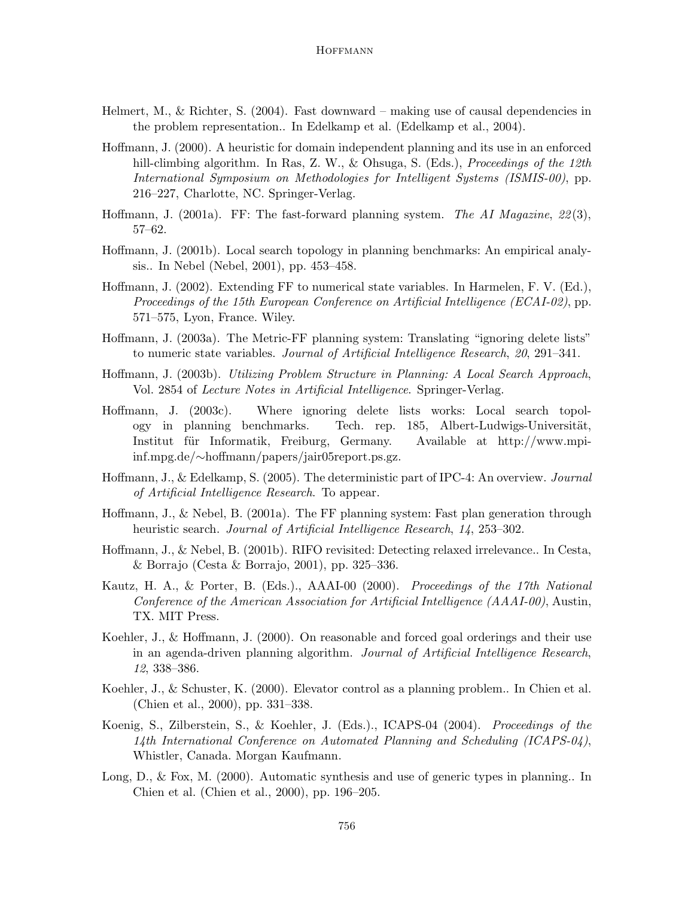- Helmert, M., & Richter, S.  $(2004)$ . Fast downward making use of causal dependencies in the problem representation.. In Edelkamp et al. (Edelkamp et al., 2004).
- Hoffmann, J. (2000). A heuristic for domain independent planning and its use in an enforced hill-climbing algorithm. In Ras, Z. W., & Ohsuga, S. (Eds.), *Proceedings of the 12th* International Symposium on Methodologies for Intelligent Systems (ISMIS-00), pp. 216–227, Charlotte, NC. Springer-Verlag.
- Hoffmann, J. (2001a). FF: The fast-forward planning system. The AI Magazine,  $22(3)$ , 57–62.
- Hoffmann, J. (2001b). Local search topology in planning benchmarks: An empirical analysis.. In Nebel (Nebel, 2001), pp. 453–458.
- Hoffmann, J. (2002). Extending FF to numerical state variables. In Harmelen, F. V. (Ed.), Proceedings of the 15th European Conference on Artificial Intelligence (ECAI-02), pp. 571–575, Lyon, France. Wiley.
- Hoffmann, J. (2003a). The Metric-FF planning system: Translating "ignoring delete lists" to numeric state variables. Journal of Artificial Intelligence Research, 20, 291–341.
- Hoffmann, J. (2003b). Utilizing Problem Structure in Planning: A Local Search Approach, Vol. 2854 of Lecture Notes in Artificial Intelligence. Springer-Verlag.
- Hoffmann, J. (2003c). Where ignoring delete lists works: Local search topology in planning benchmarks. Tech. rep. 185, Albert-Ludwigs-Universität, Institut für Informatik, Freiburg, Germany. Available at http://www.mpiinf.mpg.de/∼hoffmann/papers/jair05report.ps.gz.
- Hoffmann, J., & Edelkamp, S. (2005). The deterministic part of IPC-4: An overview. *Journal* of Artificial Intelligence Research. To appear.
- Hoffmann, J., & Nebel, B. (2001a). The FF planning system: Fast plan generation through heuristic search. Journal of Artificial Intelligence Research, 14, 253–302.
- Hoffmann, J., & Nebel, B. (2001b). RIFO revisited: Detecting relaxed irrelevance.. In Cesta, & Borrajo (Cesta & Borrajo, 2001), pp. 325–336.
- Kautz, H. A., & Porter, B. (Eds.)., AAAI-00 (2000). Proceedings of the 17th National Conference of the American Association for Artificial Intelligence (AAAI-00), Austin, TX. MIT Press.
- Koehler, J., & Hoffmann, J. (2000). On reasonable and forced goal orderings and their use in an agenda-driven planning algorithm. Journal of Artificial Intelligence Research, 12, 338–386.
- Koehler, J., & Schuster, K. (2000). Elevator control as a planning problem.. In Chien et al. (Chien et al., 2000), pp. 331–338.
- Koenig, S., Zilberstein, S., & Koehler, J. (Eds.)., ICAPS-04 (2004). Proceedings of the 14th International Conference on Automated Planning and Scheduling (ICAPS-04), Whistler, Canada. Morgan Kaufmann.
- Long, D., & Fox, M. (2000). Automatic synthesis and use of generic types in planning.. In Chien et al. (Chien et al., 2000), pp. 196–205.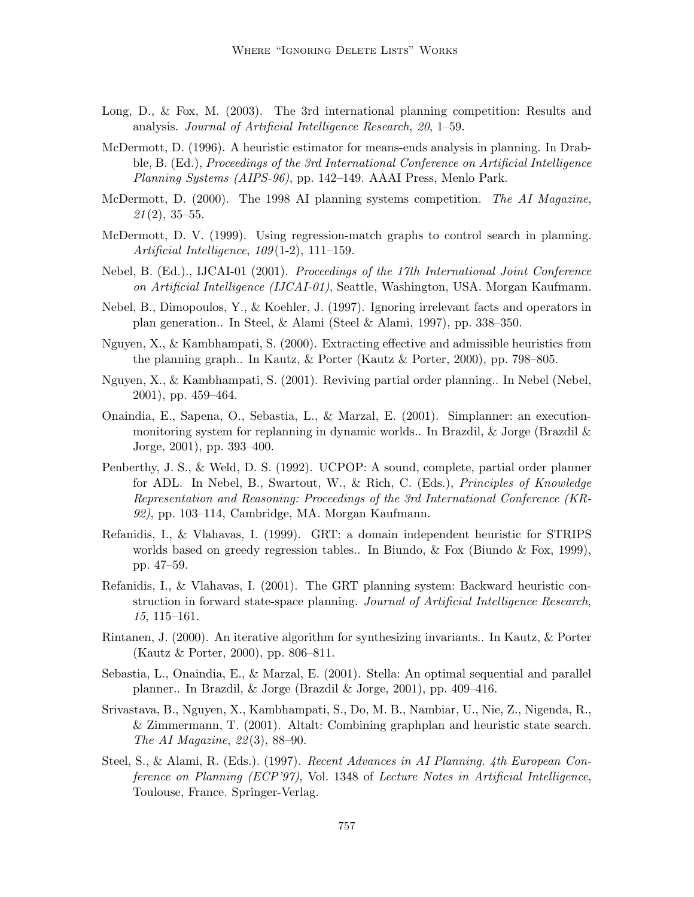- Long, D., & Fox, M. (2003). The 3rd international planning competition: Results and analysis. Journal of Artificial Intelligence Research, 20, 1–59.
- McDermott, D. (1996). A heuristic estimator for means-ends analysis in planning. In Drabble, B. (Ed.), Proceedings of the 3rd International Conference on Artificial Intelligence Planning Systems (AIPS-96), pp. 142–149. AAAI Press, Menlo Park.
- McDermott, D. (2000). The 1998 AI planning systems competition. The AI Magazine,  $21(2), 35-55.$
- McDermott, D. V. (1999). Using regression-match graphs to control search in planning. Artificial Intelligence, 109(1-2), 111–159.
- Nebel, B. (Ed.)., IJCAI-01 (2001). Proceedings of the 17th International Joint Conference on Artificial Intelligence (IJCAI-01), Seattle, Washington, USA. Morgan Kaufmann.
- Nebel, B., Dimopoulos, Y., & Koehler, J. (1997). Ignoring irrelevant facts and operators in plan generation.. In Steel, & Alami (Steel & Alami, 1997), pp. 338–350.
- Nguyen, X., & Kambhampati, S. (2000). Extracting effective and admissible heuristics from the planning graph.. In Kautz, & Porter (Kautz & Porter, 2000), pp. 798–805.
- Nguyen, X., & Kambhampati, S. (2001). Reviving partial order planning.. In Nebel (Nebel, 2001), pp. 459–464.
- Onaindia, E., Sapena, O., Sebastia, L., & Marzal, E. (2001). Simplanner: an executionmonitoring system for replanning in dynamic worlds.. In Brazdil, & Jorge (Brazdil & Jorge, 2001), pp. 393–400.
- Penberthy, J. S., & Weld, D. S. (1992). UCPOP: A sound, complete, partial order planner for ADL. In Nebel, B., Swartout, W., & Rich, C. (Eds.), Principles of Knowledge Representation and Reasoning: Proceedings of the 3rd International Conference (KR-92), pp. 103–114, Cambridge, MA. Morgan Kaufmann.
- Refanidis, I., & Vlahavas, I. (1999). GRT: a domain independent heuristic for STRIPS worlds based on greedy regression tables.. In Biundo, & Fox (Biundo & Fox, 1999), pp. 47–59.
- Refanidis, I., & Vlahavas, I. (2001). The GRT planning system: Backward heuristic construction in forward state-space planning. Journal of Artificial Intelligence Research, 15, 115–161.
- Rintanen, J. (2000). An iterative algorithm for synthesizing invariants.. In Kautz, & Porter (Kautz & Porter, 2000), pp. 806–811.
- Sebastia, L., Onaindia, E., & Marzal, E. (2001). Stella: An optimal sequential and parallel planner.. In Brazdil, & Jorge (Brazdil & Jorge, 2001), pp. 409–416.
- Srivastava, B., Nguyen, X., Kambhampati, S., Do, M. B., Nambiar, U., Nie, Z., Nigenda, R., & Zimmermann, T. (2001). Altalt: Combining graphplan and heuristic state search. The AI Magazine, 22(3), 88–90.
- Steel, S., & Alami, R. (Eds.). (1997). Recent Advances in AI Planning. 4th European Conference on Planning (ECP'97), Vol. 1348 of Lecture Notes in Artificial Intelligence, Toulouse, France. Springer-Verlag.